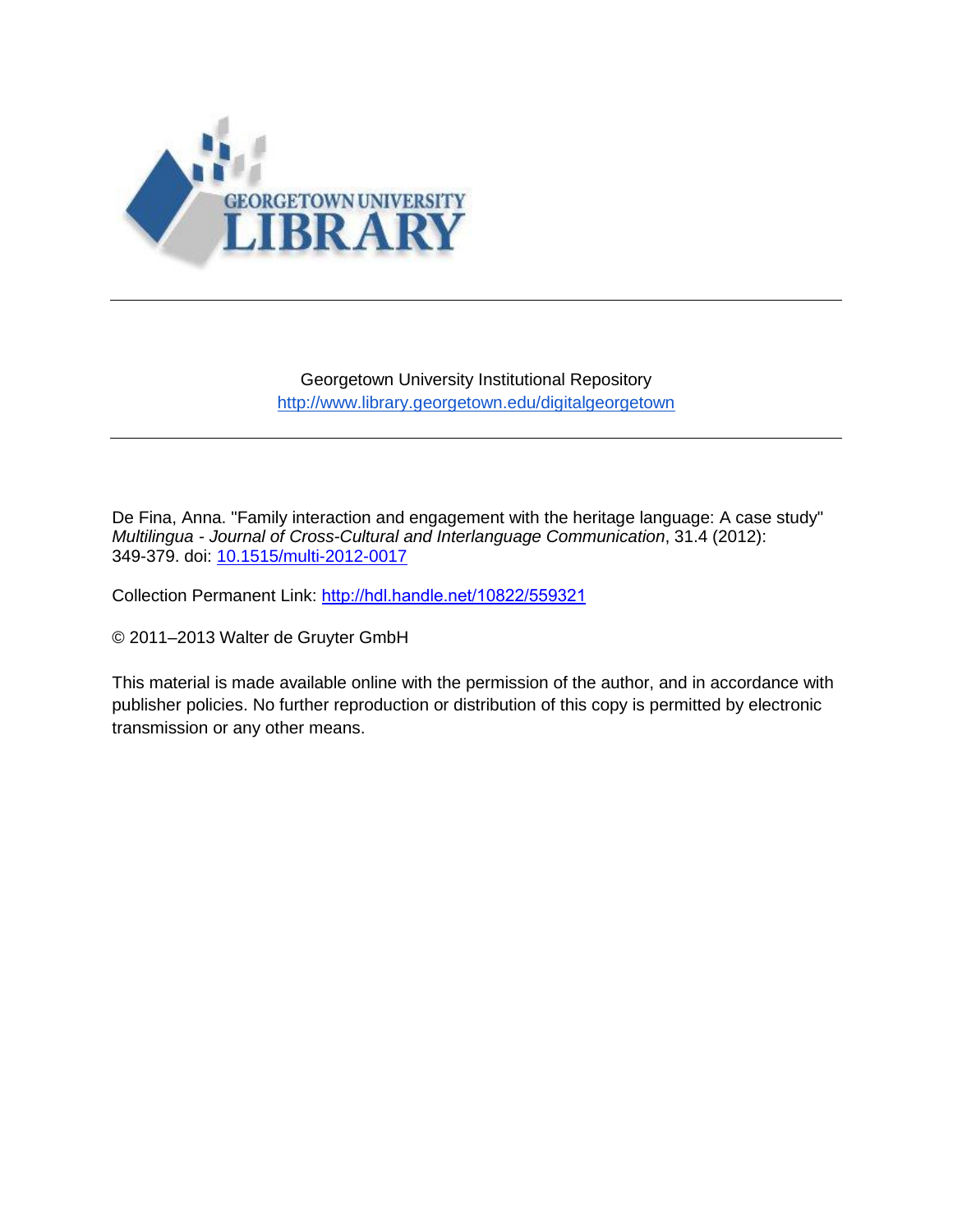

Georgetown University Institutional Repository <http://www.library.georgetown.edu/digitalgeorgetown>

De Fina, Anna. "Family interaction and engagement with the heritage language: A case study" *Multilingua - Journal of Cross-Cultural and Interlanguage Communication*, 31.4 (2012): 349-379. doi: [10.1515/multi-2012-0017](http://dx.doi.org/10.1515/multi-2012-0017) 

Collection Permanent Link: <http://hdl.handle.net/10822/559321>

© 2011–2013 Walter de Gruyter GmbH

This material is made available online with the permission of the author, and in accordance with publisher policies. No further reproduction or distribution of this copy is permitted by electronic transmission or any other means.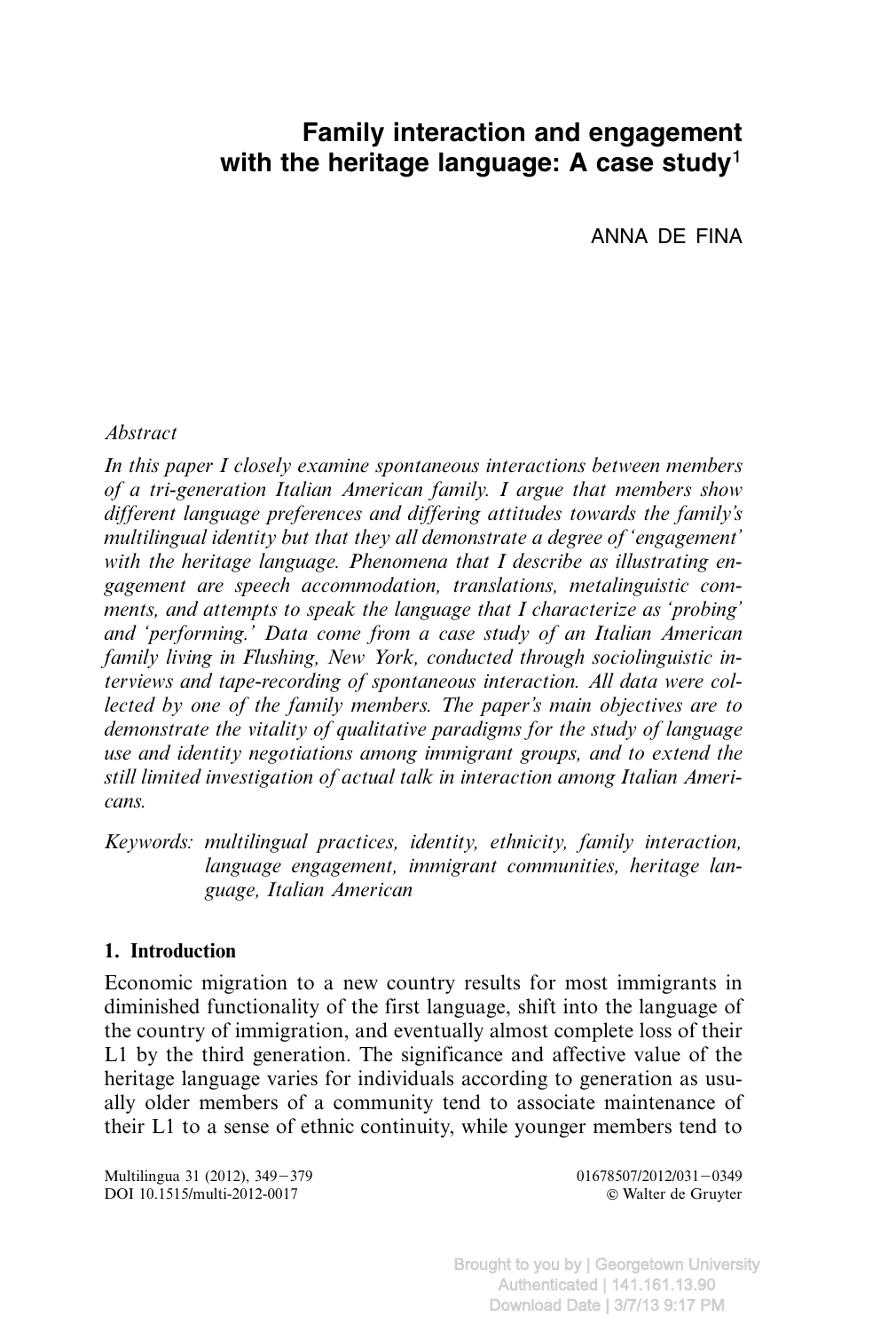# **Family interaction and engagement Family interaction and engagement**<br>with the heritage language: A case study<sup>1</sup> engagement<br>case study<sup>1</sup><br>ANNA DE FINA

# *Abstract*

*Abstract*<br>*In this paper I closely examine spontaneous interactions between members*<br>*of a tri-generation Italian American family. I argue that members show*<br>*different language preferences and differing attitudes towards dbstract*<br>*In this paper I closely examine spontaneous interactions between members*<br>*of a tri-generation Italian American family. I argue that members show*<br>*different language preferences and differing attitudes towards different different denoted and the endoted at this paper I closely examine spontaneous interactions between members*<br>*of a tri-generation Italian American family. I argue that members show*<br>*different language preference Abstract*<br>*In this paper I closely examine spontaneous interactions between members*<br>*of a tri-generation Italian American family. I argue that members show*<br>*different language preferences and differing attitudes towards Abstract*<br>*In this paper I closely examine spontaneous interactions between members*<br>*of a tri-generation Italian American family. I argue that members show*<br>*different language preferences and differing attitudes towards In this paper I closely examine spontaneous interactions between members* of a tri-generation Italian American family. I argue that members show different language preferences and differing attitudes towards the family's *m* ins paper *T* closety examine spontaneous interactions between members<br>of a tri-generation Italian American family. I argue that members show<br>different language preferences and differing attitudes towards the family's<br> *a a different language preferences and differing attitudes towards the family's*<br>*multilingual identity but that they all demonstrate a degree of 'engagement'*<br>*with the heritage language. Phenomena that I describe as family in a family but that they all demonstrate a degree of 'engagement'*<br>*with the heritage language. Phenomena that I describe as illustrating engagement are speech accommodation, translations, metalinguistic com-<br>gage terminimization dentity but that they an demonstrate a degree of engagement*<br>with the heritage language. Phenomena that I describe as illustrating en-<br>gagement are speech accommodation, translations, metalinguistic com-<br>m *lected by one of the family members. The paper's main objective as inastrating engagement are speech accommodation, translations, metalinguistic comments, and attempts to speak the language that I characterize as 'probing demonstrate the speech accommodation, transidions, metaingalistic com-*<br> *ments, and attempts to speak the language that I characterize as 'probing'*<br> *and 'performing.' Data come from a case study of an Italian American use and 'performing.' Data come from a case study of an Italian American* family living in Flushing, New York, conducted through sociolinguistic interviews and tape-recording of spontaneous interaction. All data were coll *family living in Flushing, New York, conducted through sociolinguistic interviews and tape-recording of spontaneous interaction. All data were collected by one of the family members. The paper's main objectives are to dem cans. Kected by one of the family members. The paper's main objectives are to demonstrate the vitality of qualitative paradigms for the study of language use and identity negotiations among immigrant groups, and to extend the s language*<br>*language the vitality of qualitative paradigms for the study of language<br>thity negotiations among immigrant groups, and to extend the<br>investigation of actual talk in interaction among Italian Ameri-<br>multilingua* 

*investigation of actual talk in inter*<br>*investigation of actual talk in inter*<br>*multilingual practices, identity, e*<br>*language engagement, immigrant*<br>guage, Italian American *Keywords: multilingual practices, identity, ethnicity, family interaction, language engagement, immigrant communities, heritage language, Italian American*<br>**1. Introduction**<br>Economic migration to a new country results for

Economic migration to a new country results for most immigrants in<br>diminished functionality of the first language, shift into the language of<br>the country of immigration and eventually almost complete loss of their diminished functionality of the first language, and the language variation<br>diminished functionality of the first language, shift into the language of<br>the country of immigration, and eventually almost complete loss of their guage, *Tialian American*<br> **1. Introduction**<br>
Economic migration to a new country results for most immigrants in<br>
diminished functionality of the first language, shift into the language of<br>
the country of immigration, and 1. Introduction<br>Economic migration to a new country results for most immigrants in<br>diminished functionality of the first language, shift into the language of<br>the country of immigration, and eventually almost complete loss **1. Introduction**<br>Economic migration to a new country results for most immigrants in<br>diminished functionality of the first language, shift into the language of<br>the country of immigration, and eventually almost complete los Economic migration to a new country results for most immigrants in<br>diminished functionality of the first language, shift into the language of<br>the country of immigration, and eventually almost complete loss of their<br>L1 by t Economic imgration to a new country results for most immigrants in<br>diminished functionality of the first language, shift into the language of<br>the country of immigration, and eventually almost complete loss of their<br>L1 by heritage language varies for individuals according to generation as usually older members of a community tend to associate maintenance of their L1 to a sense of ethnic continuity, while younger members tend to Multilingua ally older members of a community tend to associate maintenance of<br>their L1 to a sense of ethnic continuity, while younger members tend to<br>Multilingua 31 (2012), 349–379<br>DOI 10.1515/multi-2012-0017<br>
© Walter de Gruyter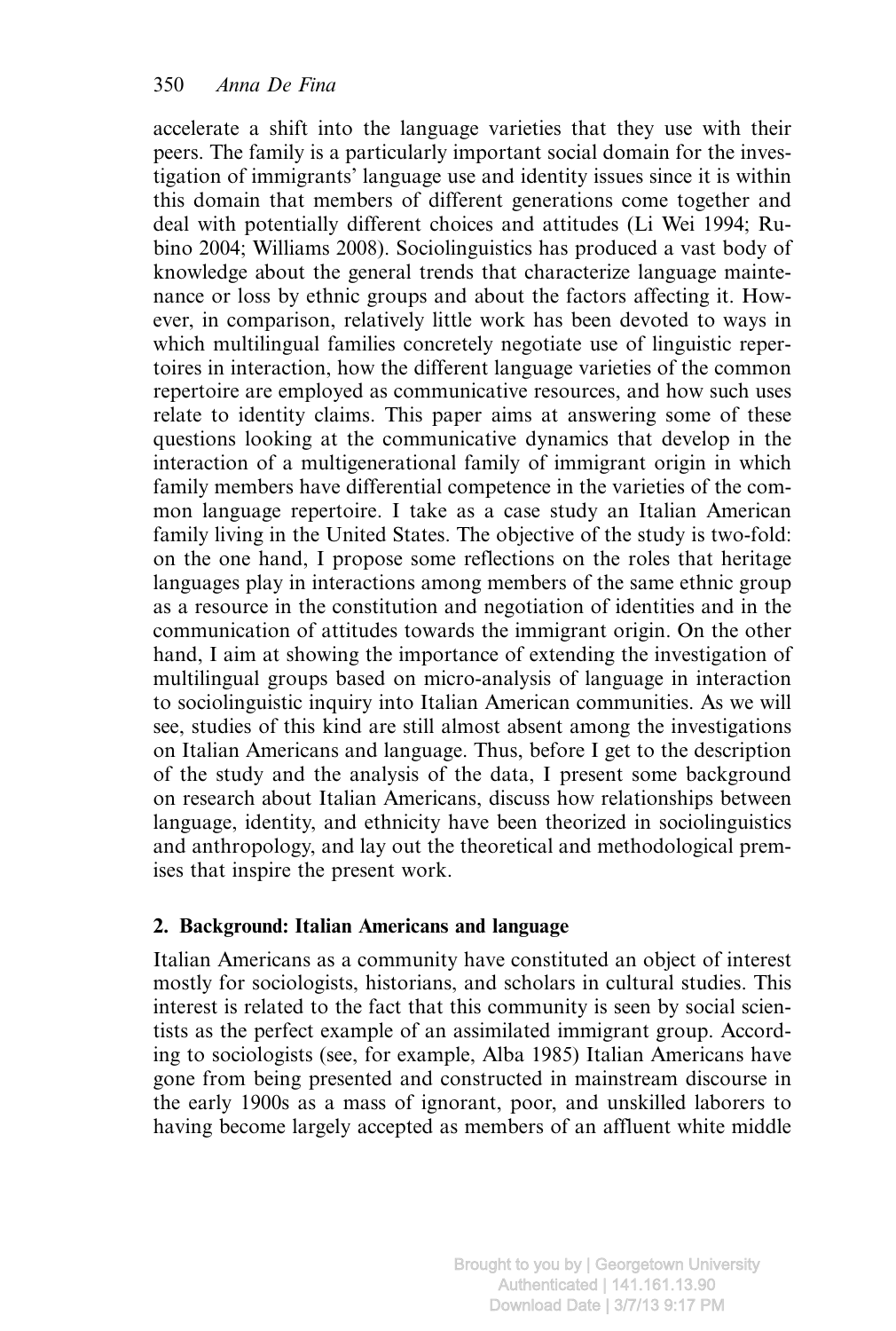<sup>350</sup> *Anna De Fina Anna De Fina*<br>accelerate a shift into the language varieties that they use with their<br>peers. The family is a particularly important social domain for the inves-<br>tigation of immigrants' language use and identity issues sin *Anna De Fina*<br>accelerate a shift into the language varieties that they use with their<br>peers. The family is a particularly important social domain for the inves-<br>tigation of immigrants' language use and identity issues sin Anna De Fina<br>accelerate a shift into the language varieties that they use with their<br>peers. The family is a particularly important social domain for the inves-<br>tigation of immigrants' language use and identity issues since 350 Anna De Fina<br>accelerate a shift into the language varieties that they use with their<br>peers. The family is a particularly important social domain for the inves-<br>tigation of immigrants' language use and identity issues s 350 Anna De Fina<br>accelerate a shift into the language varieties that they use with their<br>peers. The family is a particularly important social domain for the inves-<br>tigation of immigrants' language use and identity issues accelerate a shift into the language varieties that they use with their<br>peers. The family is a particularly important social domain for the inves-<br>tigation of immigrants' language use and identity issues since it is within accelerate a sint into the language varieties that they use with their<br>peers. The family is a particularly important social domain for the inves-<br>tigation of immigrants' language use and identity issues since it is within<br> tigation of immigrants' language use and identity issues since it is within this domain that members of different generations come together and deal with potentially different choices and attitudes (Li Wei 1994; Rubino 200 relation of immigrants tanguage use and identity issues since it is within<br>this domain that members of different generations come together and<br>deal with potentially different choices and attitudes (Li Wei 1994; Ru-<br>bino 20 deal with potentially different choices and attitudes (Li Wei 1994; Ru-<br>bino 2004; Williams 2008). Sociolinguistics has produced a vast body of<br>knowledge about the general trends that characterize language mainte-<br>nance or dear with potentiany different enotees and attridues (ET wer 1774, Kubino 2004; Williams 2008). Sociolinguistics has produced a vast body of knowledge about the general trends that characterize language maintenance or loss bino 2004, williams 2006). Sociolly distributed a vast body of knowledge about the general trends that characterize language mainte-<br>nance or loss by ethnic groups and about the factors affecting it. How-<br>ever, in comparis Rhowledge about the general tichles that characterize tanguage manne-<br>nance or loss by ethnic groups and about the factors affecting it. How-<br>ever, in comparison, relatively little work has been devoted to ways in<br>which mu mance of loss by culture groups and about the factors ancecting it. How-<br>ever, in comparison, relatively little work has been devoted to ways in<br>which multilingual families concretely negotiate use of linguistic reper-<br>toi EVET, in comparison, relatively fitte work has occh devoted to ways in<br>which multilingual families concretely negotiate use of linguistic reper-<br>toires in interaction, how the different language varieties of the common<br>rep which multilinguar families concretely higgotate use of ingurstic reper-<br>toires in interaction, how the different language varieties of the common<br>repertoire are employed as communicative resources, and how such uses<br>relat tones in interaction, how the unferent language varieties of the common<br>repertoire are employed as communicative resources, and how such uses<br>relate to identity claims. This paper aims at answering some of these<br>questions relate to identity claims. This paper aims at answering some of these questions looking at the communicative dynamics that develop in the interaction of a multigenerational family of immigrant origin in which family member relate to dentity claims. This paper all as at answering some of these<br>questions looking at the communicative dynamics that develop in the<br>interaction of a multigenerational family of immigrant origin in which<br>family membe questions looking at the communicative dynamics that develop in the<br>interaction of a multigenerational family of immigrant origin in which<br>family members have differential competence in the varieties of the com-<br>mon langua meraction of a munigenerational family of minigrant origin in winen<br>family members have differential competence in the varieties of the com-<br>mon language repertoire. I take as a case study an Italian American<br>family living mon language repertoire. I take as a case study an Italian American family living in the United States. The objective of the study is two-fold: on the one hand, I propose some reflections on the roles that heritage languag hand, I aim at showing the importance of the study is two-fold:<br>the on-the one-hand, I propose some reflections on the roles that heritage<br>languages play in interactions among members of the same ethnic group<br>as a resource ranniy if the officer states. The objective of the study is two-fold.<br>
on the one hand, I propose some reflections on the roles that heritage<br>
languages play in interactions among members of the same ethnic group<br>
as a res on the one hand, I propose some reflections on the roles that heritage languages play in interactions among members of the same ethnic group as a resource in the constitution and negotiation of identities and in the commun ranguages play in interactions among inciries of the same chine group<br>as a resource in the constitution and negotiation of identities and in the<br>communication of attitudes towards the immigrant origin. On the other<br>hand, I as a resource in the constitution and hegotiation of identities and in the<br>communication of attitudes towards the immigrant origin. On the other<br>hand, I aim at showing the importance of extending the investigation of<br>multi communication of attitudes towards the immigrant origin. On the other<br>hand, I aim at showing the importance of extending the investigation of<br>multilingual groups based on micro-analysis of language in interaction<br>to sociol nand, I am at showing the importance of extending the investigation of<br>multilingual groups based on micro-analysis of language in interaction<br>to sociolinguistic inquiry into Italian American communities. As we will<br>see, st to sociolinguistic inquiry into Italian American communities. As we will see, studies of this kind are still almost absent among the investigations on Italian Americans and language. Thus, before I get to the description o see, studies of this kind are still almost absent among the investigations of the study and the analysis of the data, I present some background<br>on research about Italian Americans, discuss how relationships between<br>language, identity, and ethnicity have been theorized in sociolinguistics<br>and anth on research about Italian Americans, discuss how relationships between<br>language, identity, and ethnicity have been theorized in sociolinguistics<br>and anthropology, and lay out the theoretical and methodological prem-<br>ises t Ianguage, identity, and ethnicity have been theorized in sociolinguistics<br>and anthropology, and lay out the theoretical and methodological prem-<br>ises that inspire the present work.<br>2. Background: Italian Americans and lang

and anthropology, and lay out the theoretical and methodological premises that inspire the present work.<br> **2. Background: Italian Americans and language**<br>
Italian Americans as a community have constituted an object of inte ises that inspire the present work.<br>
2. Background: Italian Americans and language<br>
Italian Americans as a community have constituted an object of interest<br>
mostly for sociologists, historians, and scholars in cultural stu 2. Background: Italian Americans and language<br>Italian Americans as a community have constituted an object of interest<br>mostly for sociologists, historians, and scholars in cultural studies. This<br>interest is related to the f 2. Background: Italian Americans and language<br>Italian Americans as a community have constituted an object of interest<br>mostly for sociologists, historians, and scholars in cultural studies. This<br>interest is related to the f Italian Americans as a community have constituted an object of interest<br>mostly for sociologists, historians, and scholars in cultural studies. This<br>interest is related to the fact that this community is seen by social scie Tranan Americans as a community nave constituted an object of interest<br>mostly for sociologists, historians, and scholars in cultural studies. This<br>interest is related to the fact that this community is seen by social scien mostry for sociologists, instortants, and scholars in cultural studies. This<br>interest is related to the fact that this community is seen by social scien-<br>tists as the perfect example of an assimilated immigrant group. Acco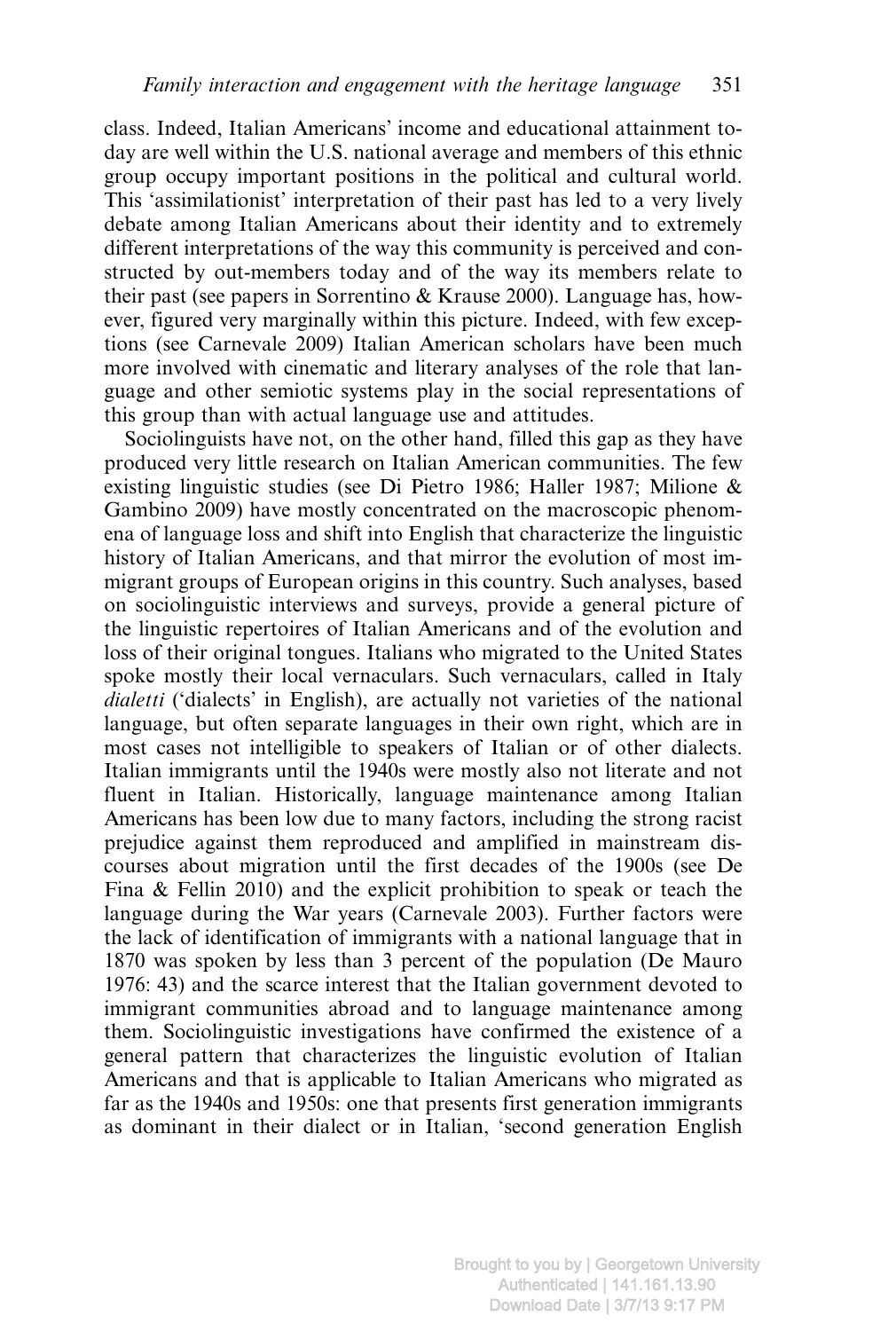Family interaction and engagement with the heritage language 351<br>class. Indeed, Italian Americans' income and educational attainment to-<br>day are well within the U.S. national average and members of this ethnic<br>group occupy Family interaction and engagement with the heritage language 351<br>class. Indeed, Italian Americans' income and educational attainment to-<br>day are well within the U.S. national average and members of this ethnic<br>group occupy Family interaction and engagement with the heritage language 351<br>class. Indeed, Italian Americans' income and educational attainment to-<br>day are well within the U.S. national average and members of this ethnic<br>group occupy Family interaction and engagement with the heritage language 351<br>class. Indeed, Italian Americans' income and educational attainment to-<br>day are well within the U.S. national average and members of this ethnic<br>group occupy Famuy interaction and engagement with the heritage language 351<br>class. Indeed, Italian Americans' income and educational attainment to-<br>day are well within the U.S. national average and members of this ethnic<br>group occupy class. Indeed, Italian Americans' income and educational attainment to-<br>day are well within the U.S. national average and members of this ethnic<br>group occupy important positions in the political and cultural world.<br>This ' class. Indeed, Italian Allentans moolie and educational attainment to-<br>day are well within the U.S. national average and members of this ethnic<br>group occupy important positions in the political and cultural world.<br>This 'as day are wen whilm the O.S. hational average and inemets of this children<br>group occupy important positions in the political and cultural world.<br>This 'assimilationist' interpretation of their past has led to a very lively<br>de group occupy important positions in the pointed and editural world.<br>This 'assimilationist' interpretation of their past has led to a very lively<br>debate among Italian Americans about their identity and to extremely<br>differen This assumationst interpretation of their past has led to a very fively<br>debate among Italian Americans about their identity and to extremely<br>different interpretations of the way this community is perceived and con-<br>structe different interpretations of the way this community and to extremely<br>different interpretations of the way this community is perceived and con-<br>structed by out-members today and of the way its members relate to<br>their past ( different interpretations of the way this community is perceived and constructed by out-members today and of the way its members relate to their past (see papers in Sorrentino & Krause 2000). Language has, however, figured structed by out-included solved and of the way its include<br>their past (see papers in Sorrentino & Krause 2000). Languag<br>ever, figured very marginally within this picture. Indeed, with<br>tions (see Carnevale 2009) Italian Ame En past (see papers in sortentino & Krause 2000). Language has, how-<br>er, figured very marginally within this picture. Indeed, with few excep-<br>ons (see Carnevale 2009) Italian American scholars have been much<br>ore involved ever, rigured very marginary within this picture. Indeed, with rew excep-<br>tions (see Carnevale 2009) Italian American scholars have been much<br>more involved with cinematic and literary analyses of the role that lan-<br>guage a

Frankrund Evots (see Carnevale 2009) Hanali American scholars have been intermoved more involved with cinematic and literary analyses of the role that language and other semiotic systems play in the social representations more involved with cinematic and literary analyses of the role that language and other semiotic systems play in the social representations of this group than with actual language use and attitudes. Sociolinguists have not, guage and other semiout systems play in the social representations of<br>this group than with actual language use and attitudes.<br>Sociolinguists have not, on the other hand, filled this gap as they have<br>produced very little re produced very little research on Italian American communities. The few existing linguistic studies (see Di Pietro 1986; Haller 1987; Milione & Gambino 2009) have mostly concentrated on the macroscopic phenomena of language socioninguists have not, on the other hand, fined this gap as they have<br>produced very little research on Italian American communities. The few<br>existing linguistic studies (see Di Pietro 1986; Haller 1987; Milione &<br>Gambino produced very little research on rianan American communities. The rew<br>existing linguistic studies (see Di Pietro 1986; Haller 1987; Milione &<br>Gambino 2009) have mostly concentrated on the macroscopic phenom-<br>ena of languag Existing imguistic studies (see Dr Fietro 1960, Hallet 1967, Millone & Gambino 2009) have mostly concentrated on the macroscopic phenomena of language loss and shift into English that characterize the linguistic history of Gamono 2009) have mostry concentrated on the macroscopic phenomena of language loss and shift into English that characterize the linguistic history of Italian Americans, and that mirror the evolution of most im-<br>migrant gr Eila of language loss and simit into English that characterize the inguistic<br>history of Italian Americans, and that mirror the evolution of most im-<br>migrant groups of European origins in this country. Such analyses, based<br> *dialetti* ('dialects' in English), are actually not varieties of the national dialects' interviews and surveys, provide a general picture of the linguistic repertoires of Italian Americans and of the evolution and loss of Imgrant groups of European origins in this country. Such analyses, based<br>on sociolinguistic interviews and surveys, provide a general picture of<br>the linguistic repertoires of Italian Americans and of the evolution and<br>loss on sociolinguistic interviews and surveys, provide a general picture of<br>the linguistic repertoires of Italian Americans and of the evolution and<br>loss of their original tongues. Italians who migrated to the United States<br>sp Italian immigrants until the 1940s were mostly also not literate and not different spoke mostly their local vernaculars. Such vernaculars, called in Italy *dialetti* ('dialects' in English), are actually not varieties of t fluent in Italian. Historically, anguage maintenance among Italian Americans has been lowed to the mational language, but often separate languages in their own right, which are in most cases not intelligible to speakers of spoke mostry then local vernactuals. Such vernactuals, cancel in Italy *dialetti* ('dialects' in English), are actually not varieties of the national language, but often separate languages in their own right, which are in *diatent* (dialects in English), are actually not varieties of the hational language, but often separate languages in their own right, which are in most cases not intelligible to speakers of Italian or of other dialects. ranguage, but often separate ranguages in their own right, which are in<br>most cases not intelligible to speakers of Italian or of other dialects.<br>Italian immigrants until the 1940s were mostly also not literate and not<br>flue most cases not intenigible to speakers of Italian of of other dialects.<br>Italian immigrants until the 1940s were mostly also not literate and not<br>fluent in Italian. Historically, language maintenance among Italian<br>Americans Italian inimigrants until the 1940s were mostry also not inerate and not<br>fluent in Italian. Historically, language maintenance among Italian<br>Americans has been low due to many factors, including the strong racist<br>prejudice Fruent in Italian. Historicany, language inalineralice allong Italian<br>Americans has been low due to many factors, including the strong racist<br>prejudice against them reproduced and amplified in mainstream dis-<br>courses about Americans has been low due to many ractors, including the strong ractst<br>prejudice against them reproduced and amplified in mainstream dis-<br>courses about migration until the first decades of the 1900s (see De<br>Fina & Fellin prejudice against them reproduced and amplified in mainstream dis-<br>courses about migration until the first decades of the 1900s (see De<br>Fina & Fellin 2010) and the explicit prohibition to speak or teach the<br>language during courses about ingration until the first decades of the 1900s (see De<br>Fina & Fellin 2010) and the explicit prohibition to speak or teach the<br>language during the War years (Carnevale 2003). Further factors were<br>the lack of i Fina  $\alpha$  Fellin 2010) and the explicit promotion to speak of teach the<br>language during the War years (Carnevale 2003). Further factors were<br>the lack of identification of immigrants with a national language that in<br>1870 w ranguage during the war years (Carnevale 2005). Further ractors were<br>the lack of identification of immigrants with a national language that in<br>1870 was spoken by less than 3 percent of the population (De Mauro<br>1976: 43) an the fack of definited<br>above in minimism with a haddonal language that in<br>1870 was spoken by less than 3 percent of the population (De Mauro<br>1976: 43) and the scarce interest that the Italian government devoted to<br>immigrant Far as spoken by less than 5 percent of the population (De Matio 1976: 43) and the scarce interest that the Italian government devoted to immigrant communities abroad and to language maintenance among them. Sociolinguistic 1970. 45) and the scatce merest that the Tranan government devoted to<br>immigrant communities abroad and to language maintenance among<br>them. Sociolinguistic investigations have confirmed the existence of a<br>general pattern th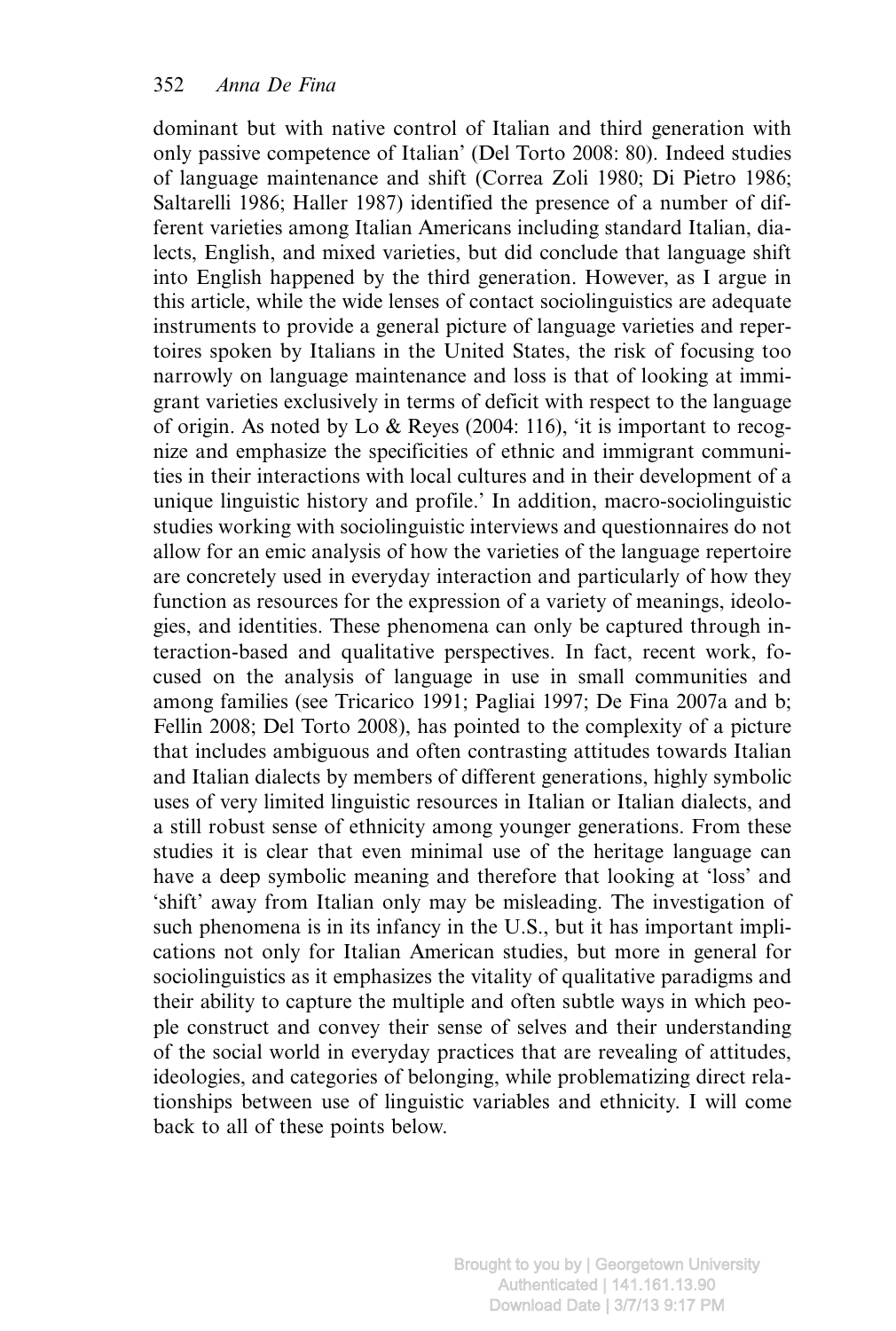352 *Anna De Fina*<br>dominant but with native control of Italian and third generation with *Anna De Fina*<br>dominant but with native control of Italian and third generation with<br>only passive competence of Italian' (Del Torto 2008: 80). Indeed studies<br>of language maintenance and shift (Correa Zoli 1980: Di Pietro 1 *Anna De Fina*<br>dominant but with native control of Italian and third generation with<br>only passive competence of Italian' (Del Torto 2008: 80). Indeed studies<br>of language maintenance and shift (Correa Zoli 1980; Di Pietro 1 *Anna De Fina*<br>dominant but with native control of Italian and third generation with<br>only passive competence of Italian' (Del Torto 2008: 80). Indeed studies<br>of language maintenance and shift (Correa Zoli 1980; Di Pietro 1 *Anna De Fina*<br>dominant but with native control of Italian and third generation with<br>only passive competence of Italian' (Del Torto 2008: 80). Indeed studies<br>of language maintenance and shift (Correa Zoli 1980; Di Pietro 1 Ference of Italian and third generation with<br>only passive competence of Italian' (Del Torto 2008: 80). Indeed studies<br>of language maintenance and shift (Correa Zoli 1980; Di Pietro 1986;<br>Saltarelli 1986; Haller 1987) ident dominant but with native control of Italian and third generation with<br>only passive competence of Italian' (Del Torto 2008: 80). Indeed studies<br>of language maintenance and shift (Correa Zoli 1980; Di Pietro 1986;<br>Saltarelli only passive competence of Italian' (Del Torto 2008: 80). Indeed studies<br>of language maintenance and shift (Correa Zoli 1980; Di Pietro 1986;<br>Saltarelli 1986; Haller 1987) identified the presence of a number of dif-<br>ferent of language maintenance and shift (Correa Zoli 1980; Di Pietro 1986; Saltarelli 1986; Haller 1987) identified the presence of a number of different varieties among Italian Americans including standard Italian, dialects, En of language maintenance and shift (Correa Zoli 1980; Di Pietro 1986; Saltarelli 1986; Haller 1987) identified the presence of a number of different varieties among Italian Americans including standard Italian, dialects, En Frent varieties among Italian Americans including standard Italian, dialects, English, and mixed varieties, but did conclude that language shift into English happened by the third generation. However, as I argue in this ar lects, English, and mixed varieties, but did conclude that language shift into English happened by the third generation. However, as I argue in this article, while the wide lenses of contact sociolinguistics are adequate First, English happened by the third generation. However, as I argue in this article, while the wide lenses of contact sociolinguistics are adequate instruments to provide a general picture of language varieties and reper this article, while the wide lenses of contact sociolinguistics are adequate instruments to provide a general picture of language varieties and repertoires spoken by Italians in the United States, the risk of focusing too instruments to provide a general picture of language varieties and repertoires spoken by Italians in the United States, the risk of focusing too narrowly on language maintenance and loss is that of looking at immigrant varieties exclusively in terms of deficit with respect to the language of narrowly on language maintenance and loss is that of looking at immigrant varieties exclusively in terms of deficit with respect to the language of origin. As noted by Lo & Reyes (2004: 116), 'it is important to recognize grant varieties exclusively in terms of deficit with respect to the language<br>of origin. As noted by Lo & Reyes (2004: 116), 'it is important to recog-<br>nize and emphasize the specificities of ethnic and immigrant communi-<br> of origin. As noted by Lo & Reyes (2004: 116), 'it is important to recognize and emphasize the specificities of ethnic and immigrant communities in their interactions with local cultures and in their development of a uniq nize and emphasize the specificities of ethnic and immigrant communi-<br>ties in their interactions with local cultures and in their development of a<br>unique linguistic history and profile.' In addition, macro-sociolinguistic<br> ties in their interactions with local cultures and in their development of a unique linguistic history and profile.' In addition, macro-sociolinguistic studies working with sociolinguistic interviews and questionnaires do unique linguistic history and profile.' In addition, macro-sociolinguistic<br>studies working with sociolinguistic interviews and questionnaires do not<br>allow for an emic analysis of how the varieties of the language repertoir studies working with sociolinguistic interviews and questionnaires do not allow for an emic analysis of how the varieties of the language repertoire are concretely used in everyday interaction and particularly of how they allow for an emic analysis of how the varieties of the language repertoire<br>are concretely used in everyday interaction and particularly of how they<br>function as resources for the expression of a variety of meanings, ideolofunction as resources for the expression of a variety of meanings, ideologies, and identities. These phenomena can only be captured through interaction-based and qualitative perspectives. In fact, recent work, focused on t function as resources for the expression of a variety of meanings, ideologies, and identities. These phenomena can only be captured through interaction-based and qualitative perspectives. In fact, recent work, focused on t gies, and identities. These phenomena can only be captured through in-<br>teraction-based and qualitative perspectives. In fact, recent work, fo-<br>cused on the analysis of language in use in small communities and<br>among familie teraction-based and qualitative perspectives. In fact, recent work, fo-<br>cused on the analysis of language in use in small communities and<br>among families (see Tricarico 1991; Pagliai 1997; De Fina 2007a and b;<br>Fellin 2008; cused on the analysis of language in use in small communities and<br>among families (see Tricarico 1991; Pagliai 1997; De Fina 2007a and b;<br>Fellin 2008; Del Torto 2008), has pointed to the complexity of a picture<br>that include among families (see Tricarico 1991; Pagliai 1997; De Fina 2007a and b; Fellin 2008; Del Torto 2008), has pointed to the complexity of a picture that includes ambiguous and often contrasting attitudes towards Italian and It Fellin 2008; Del Torto 2008), has pointed to the complexity of a picture<br>that includes ambiguous and often contrasting attitudes towards Italian<br>and Italian dialects by members of different generations, highly symbolic<br>use that includes ambiguous and often contrasting attitudes towards Italian<br>and Italian dialects by members of different generations, highly symbolic<br>uses of very limited linguistic resources in Italian or Italian dialects, an and Italian dialects by members of different generations, highly symbolic<br>uses of very limited linguistic resources in Italian or Italian dialects, and<br>a still robust sense of ethnicity among younger generations. From thes uses of very limited linguistic resources in Italian or Italian dialects, and<br>a still robust sense of ethnicity among younger generations. From these<br>studies it is clear that even minimal use of the heritage language can<br>h a still robust sense of ethnicity among younger generations. From these studies it is clear that even minimal use of the heritage language can have a deep symbolic meaning and therefore that looking at 'loss' and 'shift' a studies it is clear that even minimal use of the heritage language can<br>have a deep symbolic meaning and therefore that looking at 'loss' and<br>'shift' away from Italian only may be misleading. The investigation of<br>such pheno have a deep symbolic meaning and therefore that looking at 'loss' and 'shift' away from Italian only may be misleading. The investigation of such phenomena is in its infancy in the U.S., but it has important implications n "shift" away from Italian only may be misleading. The investigation of such phenomena is in its infancy in the U.S., but it has important implications not only for Italian American studies, but more in general for sociolin 'shift' away from Italian only may be misleading. The investigation of such phenomena is in its infancy in the U.S., but it has important implications not only for Italian American studies, but more in general for socioli cations not only for Italian American studies, but more in general for sociolinguistics as it emphasizes the vitality of qualitative paradigms and their ability to capture the multiple and often subtle ways in which people sociolinguistics as it emphasizes the vitality of qualitative paradigms and<br>their ability to capture the multiple and often subtle ways in which peo-<br>ple construct and convey their sense of selves and their understanding<br>o their ability to capture the multiple and often subtle ways in which peo-<br>ple construct and convey their sense of selves and their understanding<br>of the social world in everyday practices that are revealing of attitudes,<br>id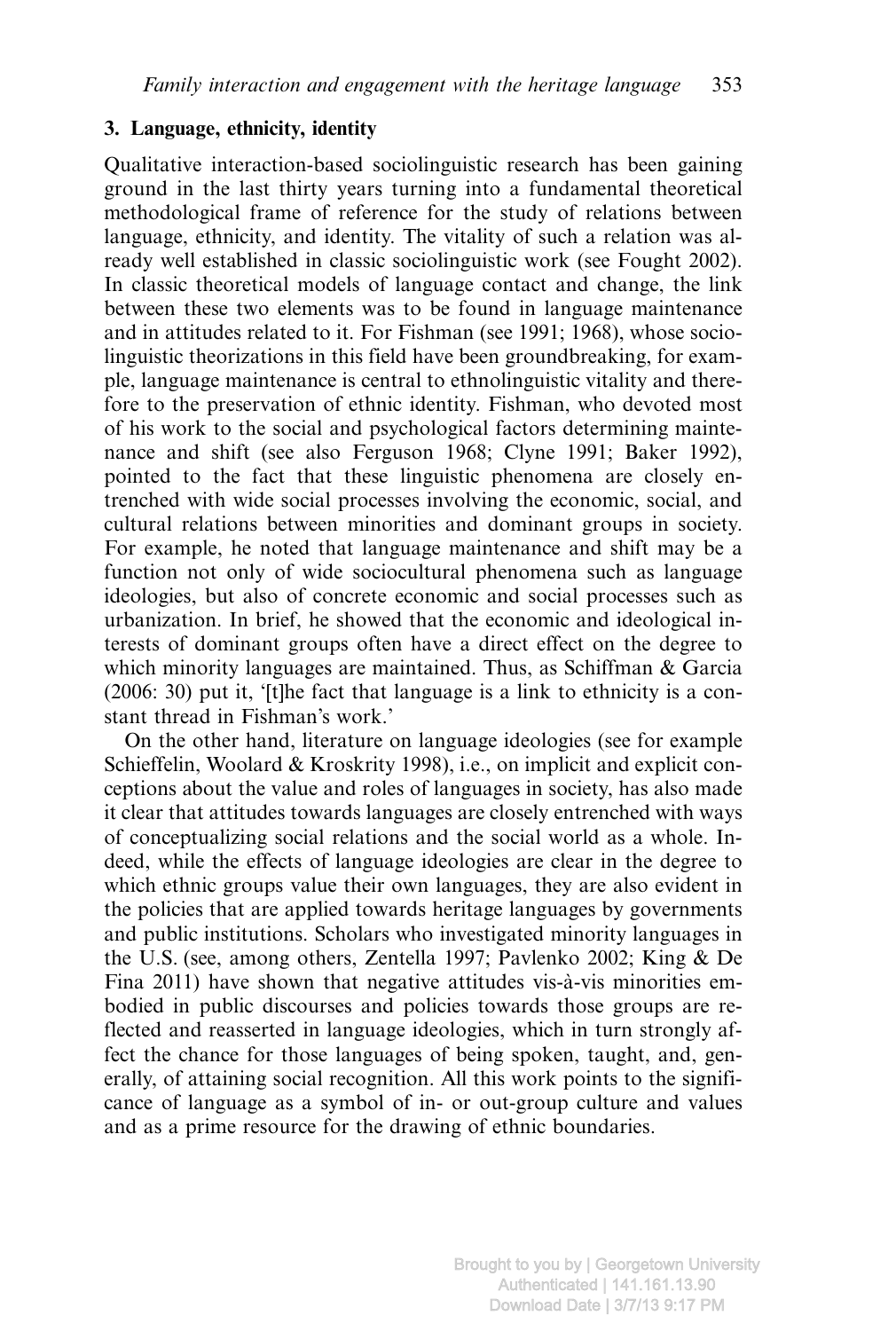Family interaction and engagement with the heritage language 353<br>3. Language, ethnicity, identity<br>Qualitative interaction-based sociolinguistic research has been gaining<br>ground in the last thirty years turning into a funda Family interaction and engagement with the heritage language 353<br>3. Language, ethnicity, identity<br>Qualitative interaction-based sociolinguistic research has been gaining<br>ground in the last thirty years turning into a funda Family interaction and engagement with the heritage language 353<br>
3. Language, ethnicity, identity<br>
Qualitative interaction-based sociolinguistic research has been gaining<br>
ground in the last thirty years turning into a fu 3. Language, ethnicity, identity<br>Qualitative interaction-based sociolinguistic research has been gaining<br>ground in the last thirty years turning into a fundamental theoretical<br>methodological frame of reference for the stud **3. Language, ethnicity, identity**<br>Qualitative interaction-based sociolinguistic research has been gaining<br>ground in the last thirty years turning into a fundamental theoretical<br>methodological frame of reference for the st Qualitative interaction-based sociolinguistic research has been gaining<br>ground in the last thirty years turning into a fundamental theoretical<br>methodological frame of reference for the study of relations between<br>language, Quantative interaction-based socioning<br>ansume these two and fundamental theoretical<br>methodological frame of reference for the study of relations between<br>language, ethnicity, and identity. The vitality of such a relation wa ground in the last timty years turning into a fundamental theoretical<br>methodological frame of reference for the study of relations between<br>language, ethnicity, and identity. The vitality of such a relation was al-<br>ready we Inethodological frame of reference for the study of relations between<br>language, ethnicity, and identity. The vitality of such a relation was al-<br>ready well established in classic sociolinguistic work (see Fought 2002).<br>In ranguage, cumenty, and dentity. The vitality of such a relation was arready well established in classic sociolinguistic work (see Fought 2002). In classic theoretical models of language contact and change, the link between Fore to the preservation of ethnic identity. Fishman, who devoted mand in attitudes related to it. For Fishman (see 1991; 1968), whose sociolinguistic theorizations in this field have been groundbreaking, for example, lang In classic ineofetical models of language contact and change, the link<br>between these two elements was to be found in language maintenance<br>and in attitudes related to it. For Fishman (see 1991; 1968), whose socio-<br>linguisti between these two elements was to be found in fanguage maintenance<br>and in attitudes related to it. For Fishman (see 1991; 1968), whose socio-<br>linguistic theorizations in this field have been groundbreaking, for exam-<br>ple, and in attitudes related to it. For Fishman (see 1991, 1966), whose socio-<br>linguistic theorizations in this field have been groundbreaking, for exam-<br>ple, language maintenance is central to ethnolinguistic vitality and the miguistic theorizations in this field have been groundoreaking, for exam-<br>ple, language maintenance is central to ethnolinguistic vitality and there-<br>fore to the preservation of ethnic identity. Fishman, who devoted most<br>o ple, language maintenance is central to ethnomigatistic vitality and there-<br>fore to the preservation of ethnic identity. Fishman, who devoted most<br>of his work to the social and psychological factors determining mainte-<br>nan For example, the noted that language maintenance and shift (see also Ferguson 1968; Clyne 1991; Baker 1992), pointed to the fact that these linguistic phenomena are closely entrenched with wide social processes involving t or ins work to the social and psychological ractors determining mainte-<br>nance and shift (see also Ferguson 1968; Clyne 1991; Baker 1992),<br>pointed to the fact that these linguistic phenomena are closely en-<br>trenched with wi ideologies, but also of concrete economic and ideological in-<br>trenched with wide social processes involving the economic, social, and<br>cultural relations between minorities and dominant groups in society.<br>For example, he no pointed to the fact that these imguistic phenomical are crossry chronomic terms that with wide social processes involving the economic, social, and cultural relations between minorities and dominant groups in society. For terenced with wide social processes involving the ceohomic, social, and<br>cultural relations between minorities and dominant groups in society.<br>For example, he noted that language maintenance and shift may be a<br>function not entural relations between inhibities and dominant groups in society.<br>For example, he noted that language maintenance and shift may be a<br>function not only of wide sociocultural phenomena such as language<br>ideologies, but als For example, he hoted that language manneriance and sint may be a<br>function not only of wide sociocultural phenomena such as language<br>ideologies, but also of concrete economic and social processes such as<br>urbanization. In b function flot only of which solid ideologies, but also of concrete econourbanization. In brief, he showed that terests of dominant groups often have which minority languages are maintai (2006: 30) put it, '[t]he fact that banization. In brief, he showed that the economic and ideological in-<br>banization. In brief, he showed that the economic and ideological in-<br>rests of dominant groups often have a direct effect on the degree to<br>iich minorit urbanization. In brief, he showed that the economic and ideological in-<br>terests of dominant groups often have a direct effect on the degree to<br>which minority languages are maintained. Thus, as Schiffman & Garcia<br>(2006: 30

cerests of dominant groups often have a direct effect on the degree to<br>which minority languages are maintained. Thus, as Schiffman & Garcia<br>(2006: 30) put it, '[t]he fact that language is a link to ethnicity is a con-<br>stan it clear that attitudes towards languages are closely entrenched with ways<br>of conceptualizing social relations and the social world as a whole. In-<br>deed, while the effects of language ideologies are clear in the degree to Schieffelin, Woolard & Kroskrity 1998), i.e., on implicit and explicit conceptions about the value and roles of languages in society, has also made it clear that attitudes towards languages are closely entrenched with way Stant thread in Tislinian's work.<br>
On the other hand, literature on language ideologies (see for example<br>
Schieffelin, Woolard & Kroskrity 1998), i.e., on implicit and explicit con-<br>
ceptions about the value and roles of l on the other hand, increating on anguage ideologies (see for example<br>Schieffelin, Woolard & Kroskrity 1998), i.e., on implicit and explicit con-<br>ceptions about the value and roles of languages in society, has also made<br>it Selections, Woolard & Krosking 1996), i.e., on implient and explicit conceptions about the value and roles of languages in society, has also made it clear that attitudes towards languages are closely entrenched with ways it clear that attitudes towards languages are closely entrenched with ways<br>of conceptualizing social relations and the social world as a whole. In-<br>deed, while the effects of language ideologies are clear in the degree to<br> It clear that attitudes towards languages are closely entrefield with ways<br>of conceptualizing social relations and the social world as a whole. In-<br>deed, while the effects of language ideologies are clear in the degree to<br> or conceptualizing social relations and the social world as a whole. Indeed, while the effects of language ideologies are clear in the degree to which ethnic groups value their own languages, they are also evident in the p decal, which ethnic groups value their own languages, they are also evident in<br>the policies that are applied towards heritage languages by governments<br>and public institutions. Scholars who investigated minority languages i when ethne groups value then own languages, they are also evident in<br>the policies that are applied towards heritage languages by governments<br>and public institutions. Scholars who investigated minority languages in<br>the U.S. fraction. Scholars who investigated minority languages in<br>the U.S. (see, among others, Zentella 1997; Pavlenko 2002; King & De<br>Fina 2011) have shown that negative attitudes vis-à-vis minorities em-<br>bodied in public discour and puone institutions. Senotars who investigated inhority ianguages in<br>the U.S. (see, among others, Zentella 1997; Pavlenko 2002; King & De<br>Fina 2011) have shown that negative attitudes vis-à-vis minorities em-<br>bodied in cance of language as a symbol of in- or out-group culture and as a prime resource for the drawing of ethnic bundle in turn strongly affect the chance for those language ideologies, which in turn strongly affect the chance That 2011) have shown that hegative attitudes vis-a-vis imhorities<br>bodied in public discourses and policies towards those groups are<br>flected and reasserted in language ideologies, which in turn strongl<br>fect the chance for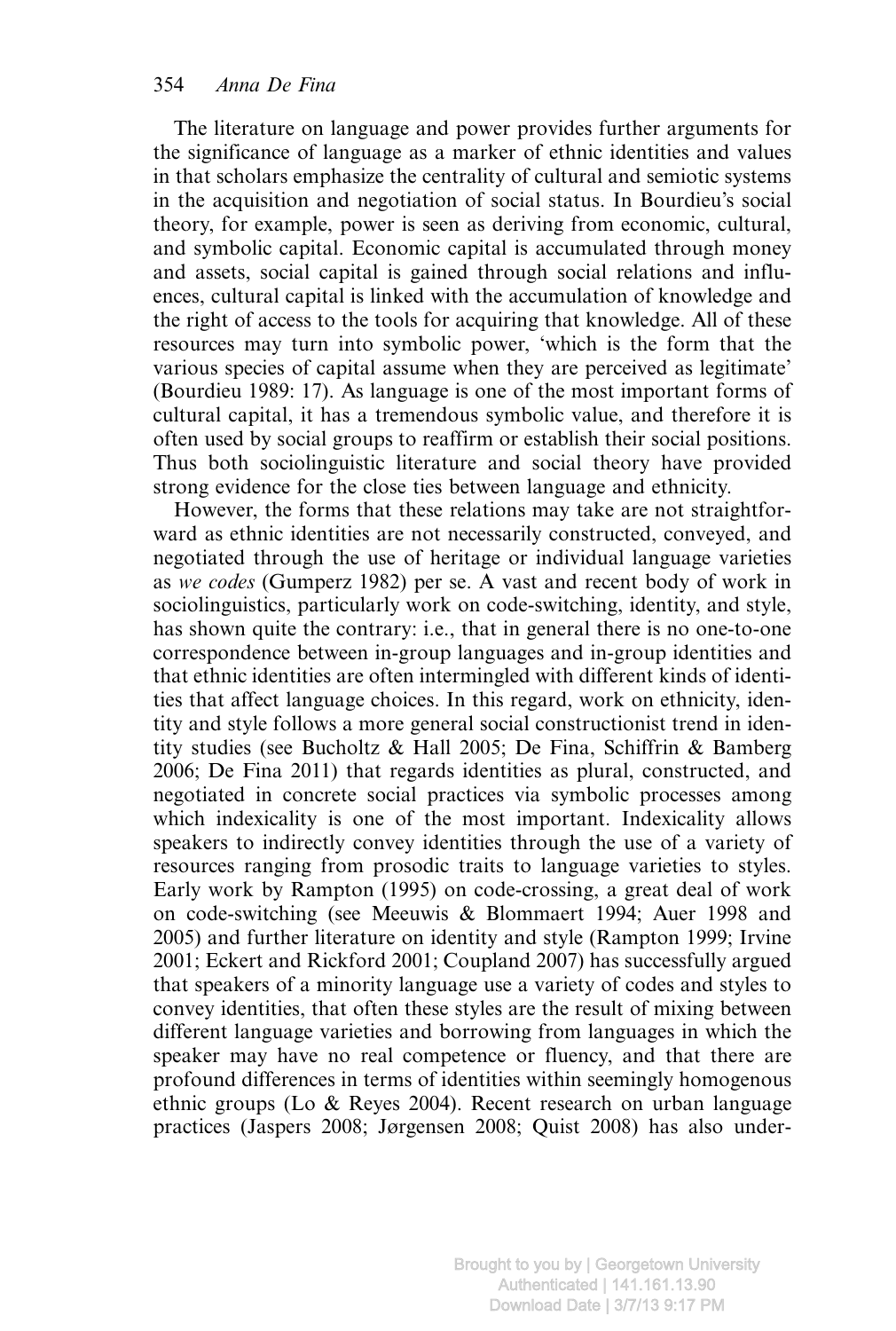<sup>354</sup> *Anna De Fina* A *Anna De Fina*<br>The literature on language and power provides further arguments for<br>e significance of language as a marker of ethnic identities and values<br>that scholars emphasize the centrality of cultural and semiotic sy Anna De Fina<br>The literature on language and power provides further arguments for<br>the significance of language as a marker of ethnic identities and values<br>in that scholars emphasize the centrality of cultural and semiotic s 354 Anna De Fina<br>
The literature on language and power provides further arguments for<br>
the significance of language as a marker of ethnic identities and values<br>
in that scholars emphasize the centrality of cultural and sem 354 Anna De Fina<br>The literature on language and power provides further arguments for<br>the significance of language as a marker of ethnic identities and values<br>in that scholars emphasize the centrality of cultural and semiot The literature on language and power provides further arguments for<br>the significance of language as a marker of ethnic identities and values<br>in that scholars emphasize the centrality of cultural and semiotic systems<br>in the The literature on language and power provides further arguments for<br>the significance of language as a marker of ethnic identities and values<br>in that scholars emphasize the centrality of cultural and semiotic systems<br>in the The interature of language and power provides further arguments for<br>the significance of language as a marker of ethnic identities and values<br>in that scholars emphasize the centrality of cultural and semiotic systems<br>in the In that scholars emphasize the centrality of cultural and semiotic systems<br>in the acquisition and negotiation of social status. In Bourdieu's social<br>theory, for example, power is seen as deriving from economic, cultural,<br>a In that scholars emphasize the eentranty of eutural and schnotle systems<br>in the acquisition and negotiation of social status. In Bourdieu's social<br>theory, for example, power is seen as deriving from economic, cultural,<br>and In the acquisition and hegotiation of social status. In Bourdieu's social<br>theory, for example, power is seen as deriving from economic, cultural,<br>and symbolic capital. Economic capital is accumulated through money<br>and asse incory, for example, power is seen as deriving from economic, cultural, and symbolic capital. Economic capital is accumulated through money and assets, social capital is gained through social relations and influences, cult and symbonc capital. Economic capital is accumulated through money<br>and assets, social capital is gained through social relations and influ-<br>ences, cultural capital is linked with the accumulation of knowledge and<br>the right and assets, social capital is gained through social relations and influ-<br>ences, cultural capital is linked with the accumulation of knowledge and<br>the right of access to the tools for acquiring that knowledge. All of these<br> ences, cutural caphar is finked with the accumulation of knowledge and<br>the right of access to the tools for acquiring that knowledge. All of these<br>resources may turn into symbolic power, 'which is the form that the<br>various The Fight of access to the tools for acquiring that knowledge. All of these<br>resources may turn into symbolic power, 'which is the form that the<br>various species of capital assume when they are perceived as legitimate'<br>(Bour resources may turn mto symbone power, which is the form that the various species of capital assume when they are perceived as legitimate (Bourdieu 1989: 17). As language is one of the most important forms cultural capital, However, the forms that these relations may take are not important forms of the most important forms of the most important forms of the used by social groups to reaffirm or establish their social positions.<br>The straight st (Bourdied 1969, 17). As language is one of the most important forms of cultural capital, it has a tremendous symbolic value, and therefore it is often used by social groups to reaffirm or establish their social positions.

cultural capital, it has a tremendous symbolic value, and therefore it is often used by social groups to reaffirm or establish their social positions.<br>Thus both sociolinguistic literature and social theory have provided st of the social groups to reaffilm of establish their social positions.<br>Thus both sociolinguistic literature and social theory have provided<br>strong evidence for the close ties between language and ethnicity.<br>However, the for Thus bout sociolinguistic interature and social theory have provided<br>strong evidence for the close ties between language and ethnicity.<br>However, the forms that these relations may take are not straightfor-<br>ward as ethnic i show the forms that these responses and entirely.<br>
However, the forms that these relations may take are not straightfor-<br>
ward as ethnic identities are not necessarily constructed, conveyed, and<br>
negotiated through the use Trowever, the forms that these relations may take are not straightfor-<br>ward as ethnic identities are not necessarily constructed, conveyed, and<br>negotiated through the use of heritage or individual language varieties<br>as we ward as ethnic definities are not hecessarily constructed, conveyed, and<br>negotiated through the use of heritage or individual language varieties<br>as we codes (Gumperz 1982) per se. A vast and recent body of work in<br>sociolin the *solution* in the use of heritage of individual language varieties<br>as we codes (Gumperz 1982) per se. A vast and recent body of work in<br>sociolinguistics, particularly work on code-switching, identity, and style,<br>has s as we coaes (Gumperz 1982) per se. A vast and recent body or work in<br>sociolinguistics, particularly work on code-switching, identity, and style,<br>has shown quite the contrary: i.e., that in general there is no one-to-one<br>c socioninguistics, particularly work on code-switching, definity, and style,<br>has shown quite the contrary: i.e., that in general there is no one-to-one<br>correspondence between in-group languages and in-group identities and<br>t nas shown quite the contrary. i.e., that in general there is no one-to-one<br>correspondence between in-group languages and in-group identities and<br>that ethnic identities are often intermingled with different kinds of identicorrespondence between in-group ranguages and in-group dentities and<br>that ethnic identities are often intermingled with different kinds of identi-<br>tity and style follows a more general social constructionist trend in iden that ethnic identities are often interfiningled with different kinds of identities that affect language choices. In this regard, work on ethnicity, identity studies (see Bucholtz & Hall 2005; De Fina, Schiffrin & Bamberg 2 ity and style follows a more general social constructionist trend in identity studies (see Bucholtz & Hall 2005; De Fina, Schiffrin & Bamberg 2006; De Fina 2011) that regards identities as plural, constructed, and negotiat resources ranging from prosodic traits to language varieties and negotiated in concrete social practices via splural, constructed, and negotiated in concrete social practices via symbolic processes among which indexicality In the State Bucholiz & Hall 2005, De Fina, Schiffin & Balloerg<br>2006; De Fina 2011) that regards identities as plural, constructed, and<br>negotiated in concrete social practices via symbolic processes among<br>which indexicalit 2000, De Fina 2011) that regards definites as philal, constructed, and<br>negotiated in concrete social practices via symbolic processes among<br>which indexicality is one of the most important. Indexicality allows<br>speakers to i negotiated in concrete social practices via symbonic processes allong<br>which indexicality is one of the most important. Indexicality allows<br>speakers to indirectly convey identities through the use of a variety of<br>resources which mdexically is one of the most important. Indexically allows<br>speakers to indirectly convey identities through the use of a variety of<br>resources ranging from prosodic traits to language varieties to styles.<br>Early work speakers to munectly convey dentities through the use of a variety of<br>resources ranging from prosodic traits to language varieties to styles.<br>Early work by Rampton (1995) on code-crossing, a great deal of work<br>on code-swit resources ranging from prosourc trans to language varieties to styles.<br>Early work by Rampton (1995) on code-crossing, a great deal of work<br>on code-switching (see Meeuwis & Blommaert 1994; Auer 1998 and<br>2005) and further li Early Work by Rampton (1995) on code-crossing, a great deal of Work<br>on code-switching (see Meeuwis & Blommaert 1994; Auer 1998 and<br>2005) and further literature on identity and style (Rampton 1999; Irvine<br>2001; Eckert and R on code-switching (see Meetuwis & Bionimaert 1994, Auer 1998 and 2005) and further literature on identity and style (Rampton 1999; Irvine 2001; Eckert and Rickford 2001; Coupland 2007) has successfully argued that speaker 2005) and further literature on identity and style (Rampton 1999; Irvine 2001; Eckert and Rickford 2001; Coupland 2007) has successfully argued that speakers of a minority language use a variety of codes and styles to con 2001, Eckert and Kickroto 2001, Coupland 2007) has successfuny argued<br>that speakers of a minority language use a variety of codes and styles to<br>convey identities, that often these styles are the result of mixing between<br>d ethnic groups (Lo  $&$  Reyes 2004). Recent research on urban language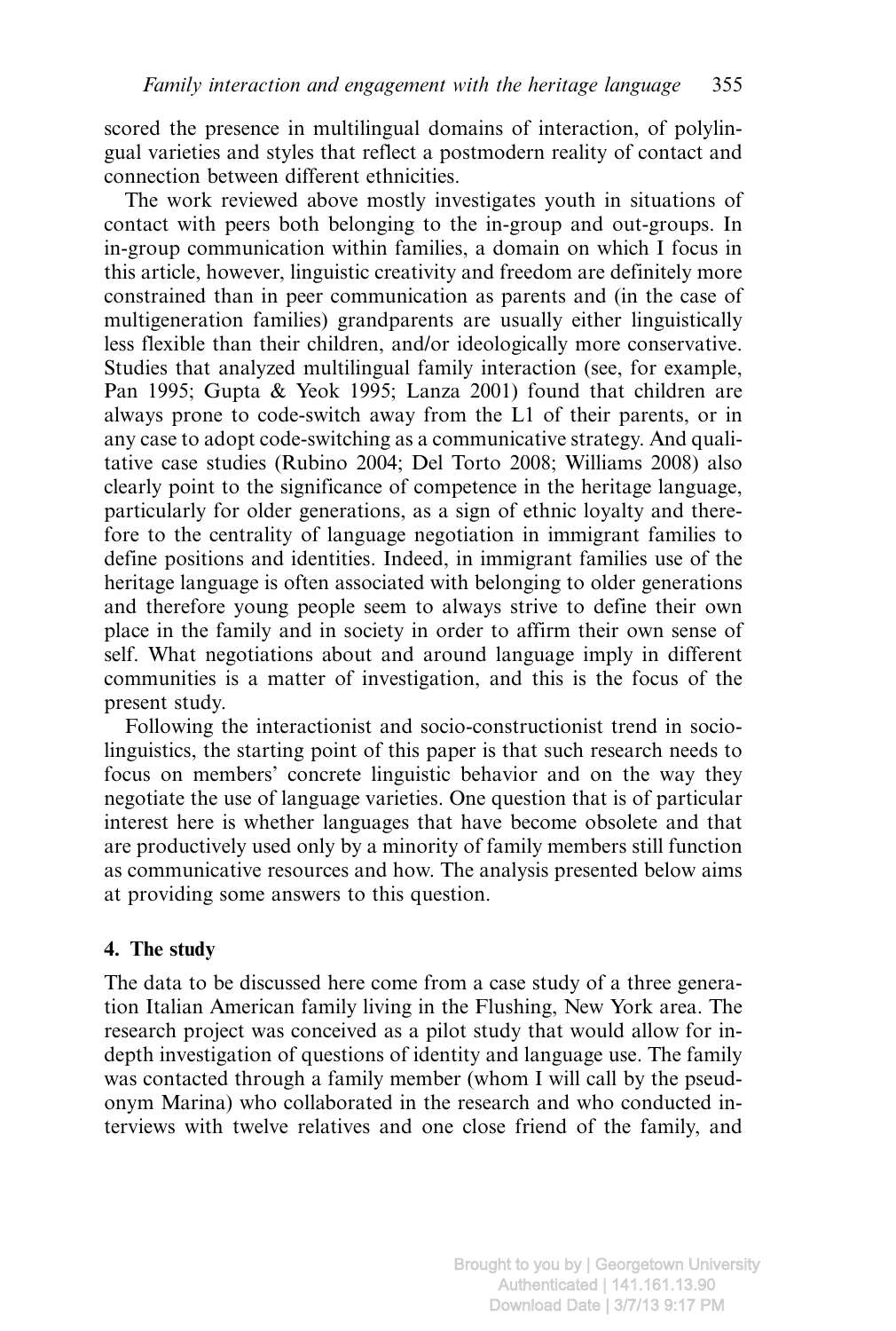Family interaction and engagement with the heritage language 355<br>scored the presence in multilingual domains of interaction, of polylin-<br>gual varieties and styles that reflect a postmodern reality of contact and<br>connection Family interaction and engagement with the heritage language 355<br>scored the presence in multilingual domains of interaction, of polylin-<br>gual varieties and styles that reflect a postmodern reality of contact and<br>connection Family interaction and engagement with the<br>scored the presence in multilingual domains<br>gual varieties and styles that reflect a postmo<br>connection between different ethnicities.<br>The work reviewed above mostly investige<br>cont Family interaction and engagement with the heritage language 355<br>
ored the presence in multilingual domains of interaction, of polylin-<br>
al varieties and styles that reflect a postmodern reality of contact and<br>
nnection be

Family interaction and engagement with the heritage language 355<br>scored the presence in multilingual domains of interaction, of polylin-<br>gual varieties and styles that reflect a postmodern reality of contact and<br>connection scored the presence in multilingual domains of interaction, of polylingual varieties and styles that reflect a postmodern reality of contact and connection between different ethnicities.<br>The work reviewed above mostly inve scored the presence in multimigual domains of interaction, or polymi-<br>gual varieties and styles that reflect a postmodern reality of contact and<br>connection between different ethnicities.<br>The work reviewed above mostly inve guar varieties and styles that reflect a postmodern reanty or contact and<br>connection between different ethnicities.<br>The work reviewed above mostly investigates youth in situations of<br>contact with peers both belonging to th The work reviewed above mostly investigates youth in situations of contact with peers both belonging to the in-group and out-groups. In in-group communication within families, a domain on which I focus in this article, how Inc work Tevrewed above mostry investigates youth in situations of<br>contact with peers both belonging to the in-group and out-groups. In<br>in-group communication within families, a domain on which I focus in<br>this article, how Fig. 2011 contact with peers both belonging to the in-group and out-groups. In<br>in-group communication within families, a domain on which I focus in<br>this article, however, linguistic creativity and freedom are definitely m m-group communication within rainines, a domain on which I rocus in<br>this article, however, linguistic creativity and freedom are definitely more<br>constrained than in peer communication as parents and (in the case of<br>multige always prone to code-switching and increasing and interesting more<br>constrained than in peer communication as parents and (in the case of<br>multigeneration families) grandparents are usually either linguistically<br>less flexibl constrained than in peer communication as parents and (in the case of<br>multigeneration families) grandparents are usually either linguistically<br>less flexible than their children, and/or ideologically more conservative.<br>Stud mungeneration rannies) grandparents are usuany entier iniguisticany<br>less flexible than their children, and/or ideologically more conservative.<br>Studies that analyzed multilingual family interaction (see, for example,<br>Pan 19 cludies that analyzed multilingual family interaction (see, for example, Pan 1995; Gupta & Yeok 1995; Lanza 2001) found that children are always prone to code-switch away from the L1 of their parents, or in any case to ado budies that analyzed inditifulgiar ranny interaction (see, for example, Pan 1995; Gupta & Yeok 1995; Lanza 2001) found that children are always prone to code-switch away from the L1 of their parents, or in any case to adop Fan 1999, Gupta & Teok 1995, Lanza 2001) found that emforted are<br>always prone to code-switching as a communicative strategy. And quali-<br>tative case studies (Rubino 2004; Del Torto 2008; Williams 2008) also<br>clearly point to always profit to code-switch away from the E1 of their parents, of m<br>any case to adopt code-switching as a communicative strategy. And quali-<br>tative case studies (Rubino 2004; Del Torto 2008; Williams 2008) also<br>clearly po any case to adopt code-switching as a communicative strategy. And quantative case studies (Rubino 2004; Del Torto 2008; Williams 2008) also clearly point to the significance of competence in the heritage language, particul rative case studies (Kuolino 2004, Def 1010 2006, Williams 2006) also<br>clearly point to the significance of competence in the heritage language,<br>particularly for older generations, as a sign of ethnic loyalty and there-<br>for clearly point to the significance of competence in the heritage language,<br>particularly for older generations, as a sign of ethnic loyalty and there-<br>fore to the centrality of language negotiation in immigrant families to<br>d particularly for offer generations, as a sign of ethnic loyarty and there-<br>fore to the centrality of language negotiation in immigrant families to<br>define positions and identities. Indeed, in immigrant families use of the<br>h Force to the centranty or language hegotation in infinity and define positions and identities. Indeed, in immigrant families use of the heritage language is often associated with belonging to older generations and therefor define positions and<br>heritage language is<br>and therefore your<br>place in the family<br>self. What negotiat<br>communities is a r<br>present study.<br>Following the in<br>linguistics the start and therefore young people seem to always strive to define their own place in the family and in society in order to affirm their own sense of self. What negotiations about and around language imply in different communities and therefore young people seem to always strive to define their own<br>place in the family and in society in order to affirm their own sense of<br>self. What negotiations about and around language imply in different<br>communities

place in the rammy and in society in order to antimi then own sense of<br>self. What negotiations about and around language imply in different<br>communities is a matter of investigation, and this is the focus of the<br>present stu negotiate the use of language varieties. One question that is of particular Following the interactionist and socio-constructionist trend in socio-<br>linguistics, the starting point of this paper is that such research needs to<br>focus on members' concrete linguistic behavior and on the way they<br>negotia Following the interactionist and socio-constructionist trend in socio-<br>linguistics, the starting point of this paper is that such research needs to<br>focus on members' concrete linguistic behavior and on the way they<br>negotia Following the interactionist and socio-constructionist tiend in socio-<br>linguistics, the starting point of this paper is that such research needs to<br>focus on members' concrete linguistic behavior and on the way they<br>negotia Imguistics, the starting point of this paper is that<br>focus on members' concrete linguistic behavior<br>negotiate the use of language varieties. One quest<br>interest here is whether languages that have bec<br>are productively used interest here is whether<br>are productively used as<br>as communicative reso<br>at providing some ans<br>**4. The study**<br>The data to be discuss The data to be discussed here come from a case study of a three genera-<br> **4. The study**<br> **4. The study**<br> **7.** The data to be discussed here come from a case study of a three genera-<br>
tion Italian American family living in

as communicative resources and how. The analysis presented below aims<br>at providing some answers to this question.<br>**4. The study**<br>The data to be discussed here come from a case study of a three genera-<br>tion Italian American at providing some answers to this question.<br> **4. The study**<br>
The data to be discussed here come from a case study of a three genera-<br>
tion Italian American family living in the Flushing, New York area. The<br>
research projec 4. The study<br>The data to be discussed here come from a case study of a three genera-<br>tion Italian American family living in the Flushing, New York area. The<br>research project was conceived as a pilot study that would allow **4. The study**<br>The data to be discussed here come from a case study of a three genera-<br>tion Italian American family living in the Flushing, New York area. The<br>research project was conceived as a pilot study that would allo The data to be discussed here come from a case study of a three generation Italian American family living in the Flushing, New York area. The research project was conceived as a pilot study that would allow for in-<br>depth i The data to be discussed here come from a case study of a time genera-<br>tion Italian American family living in the Flushing, New York area. The<br>research project was conceived as a pilot study that would allow for in-<br>depth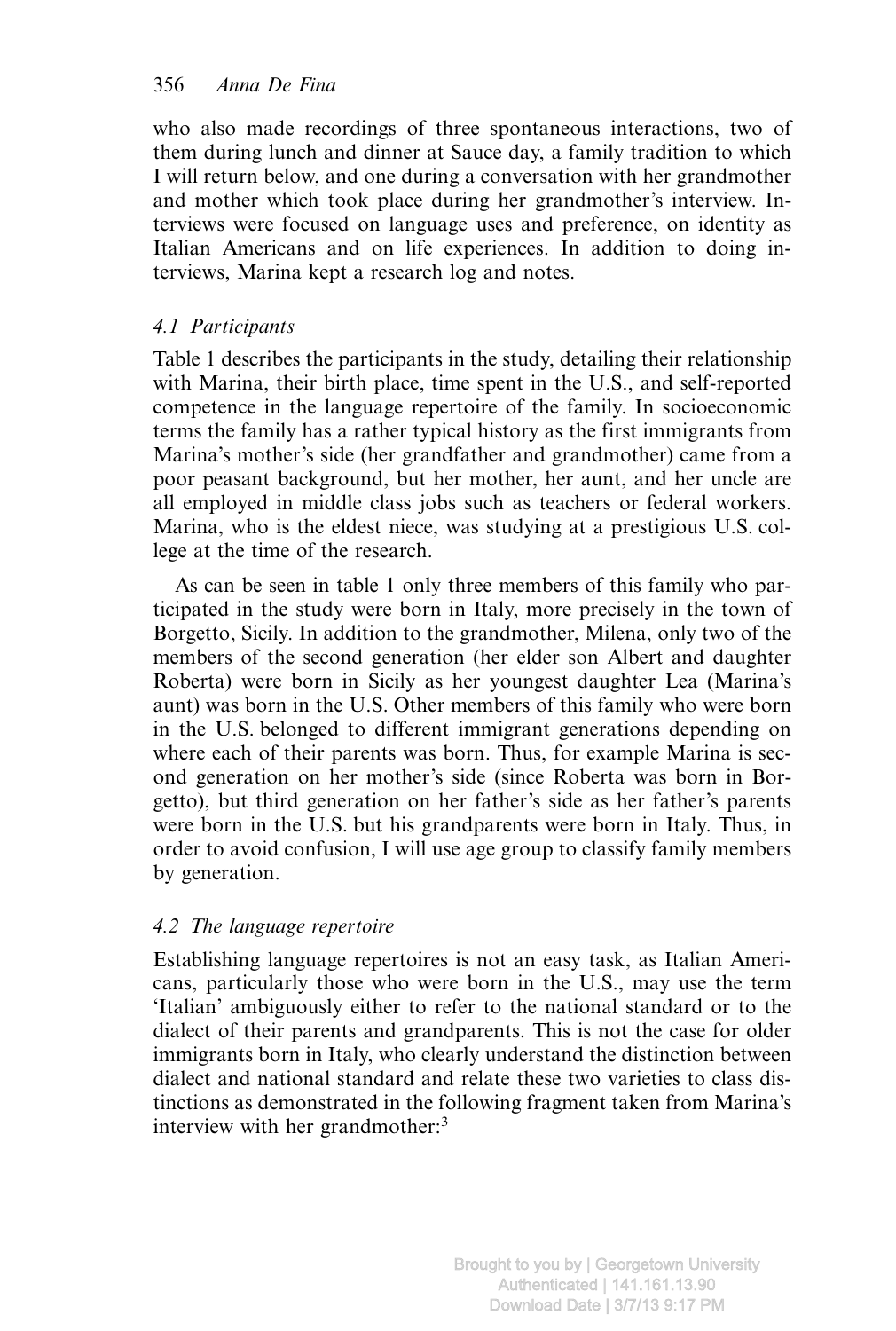<sup>356</sup> *Anna De Fina Anna De Fina*<br>who also made recordings of three spontaneous interactions, two of<br>them during lunch and dinner at Sauce day, a family tradition to which<br>I will return below and one during a conversation with her grandmothe Anna De Fina<br>who also made recordings of three spontaneous interactions, two of<br>them during lunch and dinner at Sauce day, a family tradition to which<br>I will return below, and one during a conversation with her grandmother *Anna De Fina*<br>
who also made recordings of three spontaneous interactions, two of<br>
them during lunch and dinner at Sauce day, a family tradition to which<br>
I will return below, and one during a conversation with her grandm 356 Anna De Fina<br>who also made recordings of three spontaneous interactions, two of<br>them during lunch and dinner at Sauce day, a family tradition to which<br>I will return below, and one during a conversation with her grandmo 356 Anna De Fina<br>who also made recordings of three spontaneous interactions, two of<br>them during lunch and dinner at Sauce day, a family tradition to which<br>I will return below, and one during a conversation with her grandmo who also made recordings of three spontaneous interactions, two of them during lunch and dinner at Sauce day, a family tradition to which I will return below, and one during a conversation with her grandmother and mother w who also made recordings of three spontaneous in<br>them during lunch and dinner at Sauce day, a family<br>I will return below, and one during a conversation wit<br>and mother which took place during her grandmot<br>terviews were focu and mother which took place during her grandmother's interview. Interviews were focused on language uses and preference, on identity as Italian Americans and on life experiences. In addition to doing interviews, Marina kep terviews were focused on language uses and preference, on identity as<br>Italian Americans and on life experiences. In addition to doing in-<br>terviews, Marina kept a research log and notes.<br>4.1 Participants<br>Table 1 describes t

Italian Americans and on life experiences. In addition to doing in-<br>terviews, Marina kept a research log and notes.<br>4.1 Participants<br>Table 1 describes the participants in the study, detailing their relationship<br>with Marina terviews, Marina kept a research log and notes.<br>
4.1 Participants<br>
Table 1 describes the participants in the study, detailing their relationship<br>
with Marina, their birth place, time spent in the U.S., and self-reported<br>
c 4.1 Participants<br>Table 1 describes the participants in the study, detailing their relationship<br>with Marina, their birth place, time spent in the U.S., and self-reported<br>competence in the language repertoire of the family. 4.1 Participants<br>Table 1 describes the participants in the study, detailing their relationship<br>with Marina, their birth place, time spent in the U.S., and self-reported<br>competence in the language repertoire of the family. Table 1 describes the participants in the study, detailing their relationship<br>with Marina, their birth place, time spent in the U.S., and self-reported<br>competence in the language repertoire of the family. In socioeconomic<br> with Marina, their birth place, time spent in the U.S., and self-reported competence in the language repertoire of the family. In socioeconomic terms the family has a rather typical history as the first immigrants from Mar competence in the language repertoire of the family. In socioeconomic<br>terms the family has a rather typical history as the first immigrants from<br>Marina's mother's side (her grandfather and grandmother) came from a<br>poor pea competence in the language repertor<br>terms the family has a rather typical i<br>Marina's mother's side (her grandfatl<br>poor peasant background, but her n<br>all employed in middle class jobs su<br>Marina, who is the eldest niece, was arina's mother's side (her grandfather and grandmother) came from a<br>or peasant background, but her mother, her aunt, and her uncle are<br>employed in middle class jobs such as teachers or federal workers.<br>arina, who is the el poor peasant background, but her mother, her aunt, and her uncle are<br>all employed in middle class jobs such as teachers or federal workers.<br>Marina, who is the eldest niece, was studying at a prestigious U.S. col-<br>lege at t

all employed in middle class jobs such as teachers or federal workers.<br>Marina, who is the eldest niece, was studying at a prestigious U.S. col-<br>lege at the time of the research.<br>As can be seen in table 1 only three members Marina, who is the eldest niece, was studying at a prestigious U.S. col-<br>lege at the time of the research.<br>As can be seen in table 1 only three members of this family who par-<br>ticipated in the study were born in Italy, mor lege at the time of the research.<br>As can be seen in table 1 only three members of this family who par-<br>ticipated in the study were born in Italy, more precisely in the town of<br>Borgetto, Sicily. In addition to the grandmoth As can be seen in table 1 only three members of this family who par-<br>ticipated in the study were born in Italy, more precisely in the town of<br>Borgetto, Sicily. In addition to the grandmother, Milena, only two of the<br>member As can be seen in table 1 only time inembers of this family who par-<br>ticipated in the study were born in Italy, more precisely in the town of<br>Borgetto, Sicily. In addition to the grandmother, Milena, only two of the<br>member Repated in the study were born in rtary, more precisely in the town of Borgetto, Sicily. In addition to the grandmother, Milena, only two of the members of the second generation (her elder son Albert and daughter Roberta) Borgetto, sichy. In addition to the grandmother, whieha, only two of the<br>members of the second generation (her elder son Albert and daughter<br>Roberta) were born in Sicily as her youngest daughter Lea (Marina's<br>aunt) was bor Roberta) were born in Sicily as her youngest daughter Lea (Marina's aunt) was born in the U.S. Other members of this family who were born in the U.S. belonged to different immigrant generations depending on where each of t Roberta) were born in Sichy as her youngest datighter Lea (Marina's aunt) was born in the U.S. Other members of this family who were born in the U.S. belonged to different immigrant generations depending on where each of t ature) was born in the O.S. Other inembers of this family who were born<br>in the U.S. belonged to different immigrant generations depending on<br>where each of their parents was born. Thus, for example Marina is sec-<br>ond genera where each of their parents was born. Thus, for example Marina is second generation on her mother's side (since Roberta was born in Borgetto), but third generation on her father's side as her father's parents were born in Frame and the U.S. but his grand<br>
were born in the U.S. but his grand<br>
order to avoid confusion, I will use<br>
by generation.<br>
4.2 *The language repertoire*<br>
Establishing language repertoires is were born in the U.S. but his grandparents were born in Italy. Thus, in<br>order to avoid confusion, I will use age group to classify family members<br>by generation.<br>4.2 The language repertoire<br>Establishing language repertoires

order to avoid confusion, I will use age group to classify family members<br>by generation.<br>4.2 The language repertoire<br>Establishing language repertoires is not an easy task, as Italian Ameri-<br>cans, particularly those who wer <sup>4.2</sup> The language repertoire<br>
Establishing language repertoires is not an easy task, as Italian Ameri-<br>
cans, particularly those who were born in the U.S., may use the term<br>
'Italian' ambiguously either to refer to the na 4.2 The language repertoire<br>Establishing language repertoires is not an easy task, as Italian Ameri-<br>cans, particularly those who were born in the U.S., may use the term<br>'Italian' ambiguously either to refer to the nationa 4.2 The language repertoire<br>Establishing language repertoires is not an easy task, as Italian Ameri-<br>cans, particularly those who were born in the U.S., may use the term<br>'Italian' ambiguously either to refer to the nationa Establishing language repertoires is not an easy task, as Italian Ameri-<br>cans, particularly those who were born in the U.S., may use the term<br>'Italian' ambiguously either to refer to the national standard or to the<br>dialect Estabishing language repertones is not an easy task, as rianan Americans, particularly those who were born in the U.S., may use the term 'Italian' ambiguously either to refer to the national standard or to the dialect of t cans, particularly those who were bord<br>
"Italian" ambiguously either to refer to<br>
dialect of their parents and grandparen<br>
immigrants born in Italy, who clearly ur<br>
dialect and national standard and relate<br>
tinctions as de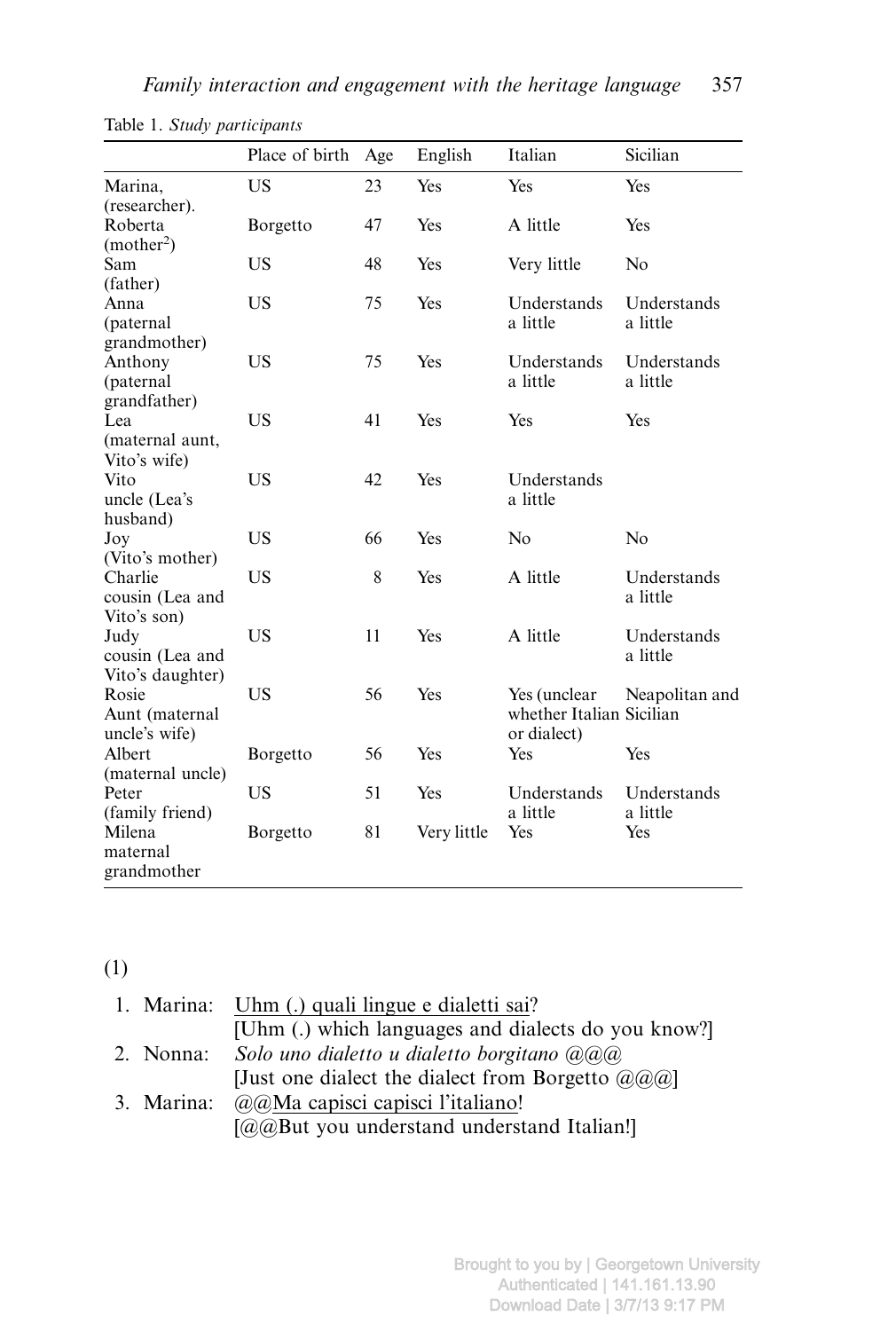| Table 1. Study participants                 |                    |    |             |                                                         |                         |
|---------------------------------------------|--------------------|----|-------------|---------------------------------------------------------|-------------------------|
|                                             | Place of birth Age |    | English     | Italian                                                 | Sicilian                |
| Marina,<br>(researcher).                    | US                 | 23 | Yes         | Yes                                                     | Yes                     |
| Roberta<br>(mother <sup>2</sup> )           | Borgetto           | 47 | Yes         | A little                                                | Yes                     |
| Sam<br>(father)                             | US                 | 48 | Yes         | Very little                                             | No                      |
| Anna<br>(paternal)<br>grandmother)          | <b>US</b>          | 75 | Yes         | Understands<br>a little                                 | Understands<br>a little |
| Anthony<br>(paternal<br>grandfather)        | US                 | 75 | Yes         | Understands<br>a little                                 | Understands<br>a little |
| Lea<br>(maternal aunt,<br>Vito's wife)      | <b>US</b>          | 41 | Yes         | Yes                                                     | Yes                     |
| Vito<br>uncle (Lea's<br>husband)            | US                 | 42 | Yes         | Understands<br>a little                                 |                         |
| Joy<br>(Vito's mother)                      | US                 | 66 | Yes         | No                                                      | N <sub>o</sub>          |
| Charlie<br>cousin (Lea and<br>Vito's son)   | <b>US</b>          | 8  | <b>Yes</b>  | A little                                                | Understands<br>a little |
| Judy<br>cousin (Lea and<br>Vito's daughter) | <b>US</b>          | 11 | Yes         | A little                                                | Understands<br>a little |
| Rosie<br>Aunt (maternal<br>uncle's wife)    | <b>US</b>          | 56 | <b>Yes</b>  | Yes (unclear<br>whether Italian Sicilian<br>or dialect) | Neapolitan and          |
| Albert<br>(maternal uncle)                  | Borgetto           | 56 | <b>Yes</b>  | Yes                                                     | Yes                     |
| Peter<br>(family friend)                    | US                 | 51 | Yes         | Understands<br>a little                                 | Understands<br>a little |
| Milena<br>maternal<br>grandmother           | Borgetto           | 81 | Very little | Yes                                                     | Yes                     |

(1)

| randmother |                                                                                          |
|------------|------------------------------------------------------------------------------------------|
|            |                                                                                          |
| 1)         |                                                                                          |
| 1. Marina: | Uhm (.) quali lingue e dialetti sai?                                                     |
|            | [Uhm (.) which languages and dialects do you know?]                                      |
| 2. Nonna:  | Solo uno dialetto u dialetto borgitano $(a/a)a$                                          |
|            | [Just one dialect the dialect from Borgetto $(\partial \hat{\rho}(\partial \hat{\rho}))$ |
| 3. Marina: | $(a)$ $(a)$ Ma capisci capisci l'italiano!                                               |
|            | $[@@But$ you understand understand Italian!]                                             |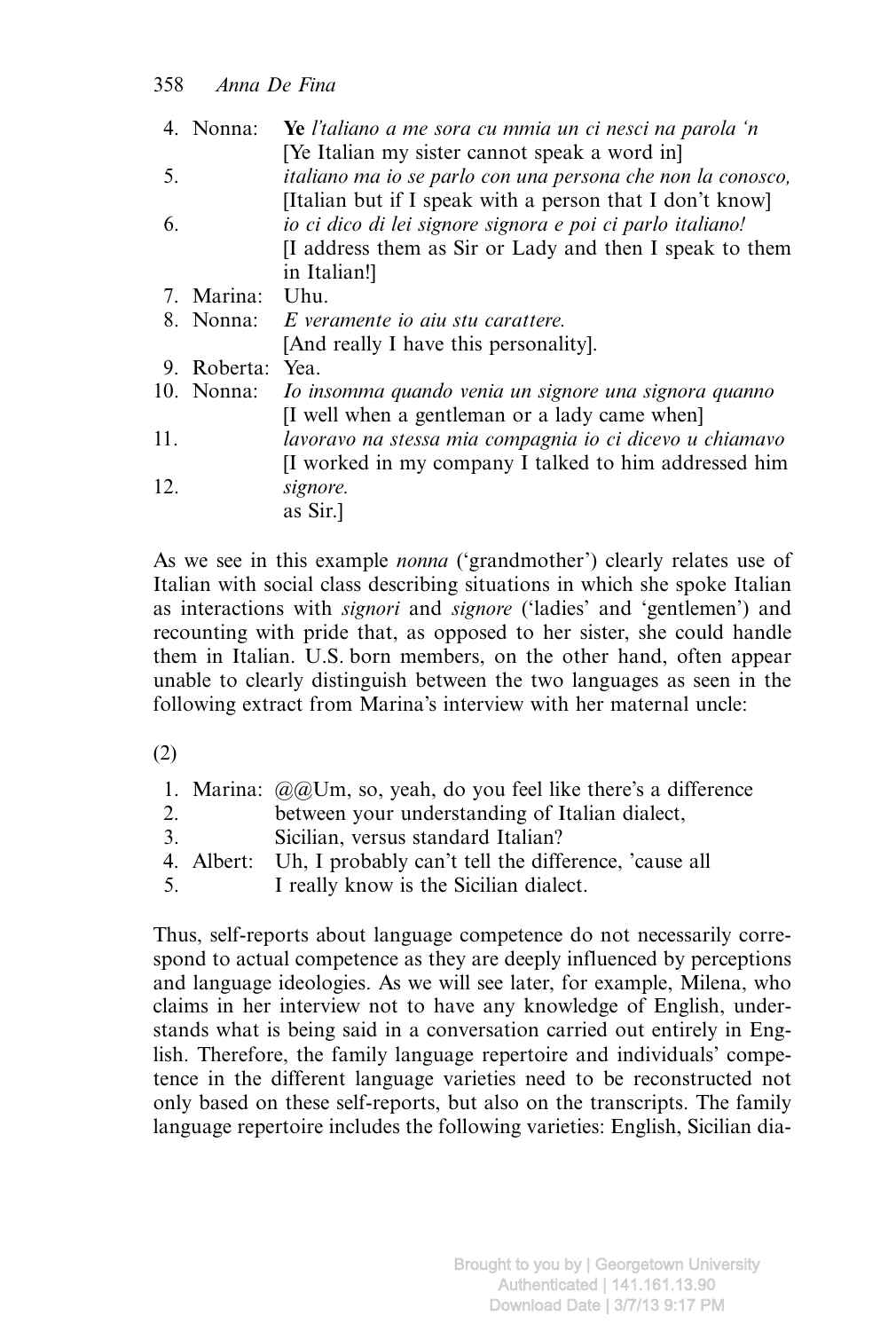|            | Anna De Fina                                                                                                            |
|------------|-------------------------------------------------------------------------------------------------------------------------|
| 4. Nonna:  | $\chi$ e l'taliano a me sora cu mmia un ci nesci na parola 'n<br>[Ye Italian my sister cannot speak a word in]          |
| 5.         | italiano ma io se parlo con una persona che non la conosco,<br>[Italian but if I speak with a person that I don't know] |
| 6.         | io ci dico di lei signore signora e poi ci parlo italiano!                                                              |
|            | II address them as Sir or Lady and then I speak to them<br>in Italian!]                                                 |
| 7. Marina: | Uhu.                                                                                                                    |
| 8. Nonna:  | E veramente io aiu stu carattere.                                                                                       |
|            | [And really I have this personality].                                                                                   |
|            | 9. Roberta: Yea.                                                                                                        |
| 10. Nonna: | Io insomma quando venia un signore una signora quanno<br>[I well when a gentleman or a lady came when]                  |
| 11.        | lavoravo na stessa mia compagnia io ci dicevo u chiamavo                                                                |
|            | II worked in my company I talked to him addressed him                                                                   |
| 12.        | signore.                                                                                                                |
|            | as Sir.]                                                                                                                |

as interactions with *signore*.<br>
as Sir.]<br>
As we see in this example *nonna* ('grandmother') clearly relates use of<br>
Italian with social class describing situations in which she spoke Italian<br>
as interactions with *signori* recounting with social class describing situations in which she spoke Italian<br>as interactions with signori and *signore* ('ladies' and 'gentlemen') and<br>recounting with pride that, as opposed to her sister, she could handle As we see in this example *nonna* ('grandmother') clearly relates use of Italian with social class describing situations in which she spoke Italian as interactions with *signori* and *signore* ('ladies' and 'gentlemen') an As we see in this example *nonna* ('grandmother') clearly relates use of Italian with social class describing situations in which she spoke Italian as interactions with *signori* and *signore* ('ladies' and 'gentlemen') an As we see in this example *nonna* (grandmother) elearly relates use of Italian with social class describing situations in which she spoke Italian as interactions with *signori* and *signore* ('ladies' and 'gentlemen') and 1. Marina: U.S. born members, on the other hand, often appear<br>
1. Marina: extract from Marina's interview with her maternal uncle:<br>
2.<br>
1. Marina: @@Um, so, yeah, do you feel like there's a difference<br>
2. between your unde unable to clearly distinguish between the two languages as seen in the following extract from Marina's interview with her maternal uncle:

(2)

|          | ollowing extract from Marina's interview with her maternal uncle:                                                                                                       |
|----------|-------------------------------------------------------------------------------------------------------------------------------------------------------------------------|
| 2)       |                                                                                                                                                                         |
| 2.<br>3. | 1. Marina: $\omega(\omega)$ Um, so, yeah, do you feel like there's a difference<br>between your understanding of Italian dialect,<br>Sicilian, versus standard Italian? |
| 5.       | 4. Albert: Uh, I probably can't tell the difference, 'cause all<br>I really know is the Sicilian dialect.                                                               |
|          | $\Gamma_{\text{blue}}$ ealf reports about language competence do not necessarily contained                                                                              |

Thus, self-reports about language competence do not necessarily corre-<br>spond to actual competence as they are deeply influenced by perceptions<br>and language ideologies. As we will see later, for example, Milena, who spond to actual competence as they are deeply influenced by perceptions<br>and language competence as they are deeply influenced by perceptions<br>and language ideologies. As we will see later, for example, Milena, who<br>claims in 3. Selfand, versus standard Italian:<br>
4. Albert: Uh, I probably can't tell the difference, 'cause all<br>
5. I really know is the Sicilian dialect.<br>
Thus, self-reports about language competence do not necessarily corre-<br>
spon Francet. Con, I probably can't ten the dinetence, cause and<br>5. I really know is the Sicilian dialect.<br>Thus, self-reports about language competence do not necessarily corre-<br>spond to actual competence as they are deeply inf Thus, self-reports about language competence do not necessarily corre-<br>spond to actual competence as they are deeply influenced by perceptions<br>and language ideologies. As we will see later, for example, Milena, who<br>claims Thus, self-reports about language competence do not necessarily correspond to actual competence as they are deeply influenced by perceptions and language ideologies. As we will see later, for example, Milena, who claims in claims in her interview not to have any knowledge of English, under-<br>stands what is being said in a conversation carried out entirely in Eng-<br>lish. Therefore, the family language repertoire and individuals' compe-<br>tence in spond to actual competence as they are deeply immedied by perceptions<br>and language ideologies. As we will see later, for example, Milena, who<br>claims in her interview not to have any knowledge of English, under-<br>stands what and language recologies. As we will see fact, for example, whicha, who claims in her interview not to have any knowledge of English, understands what is being said in a conversation carried out entirely in English. Therefo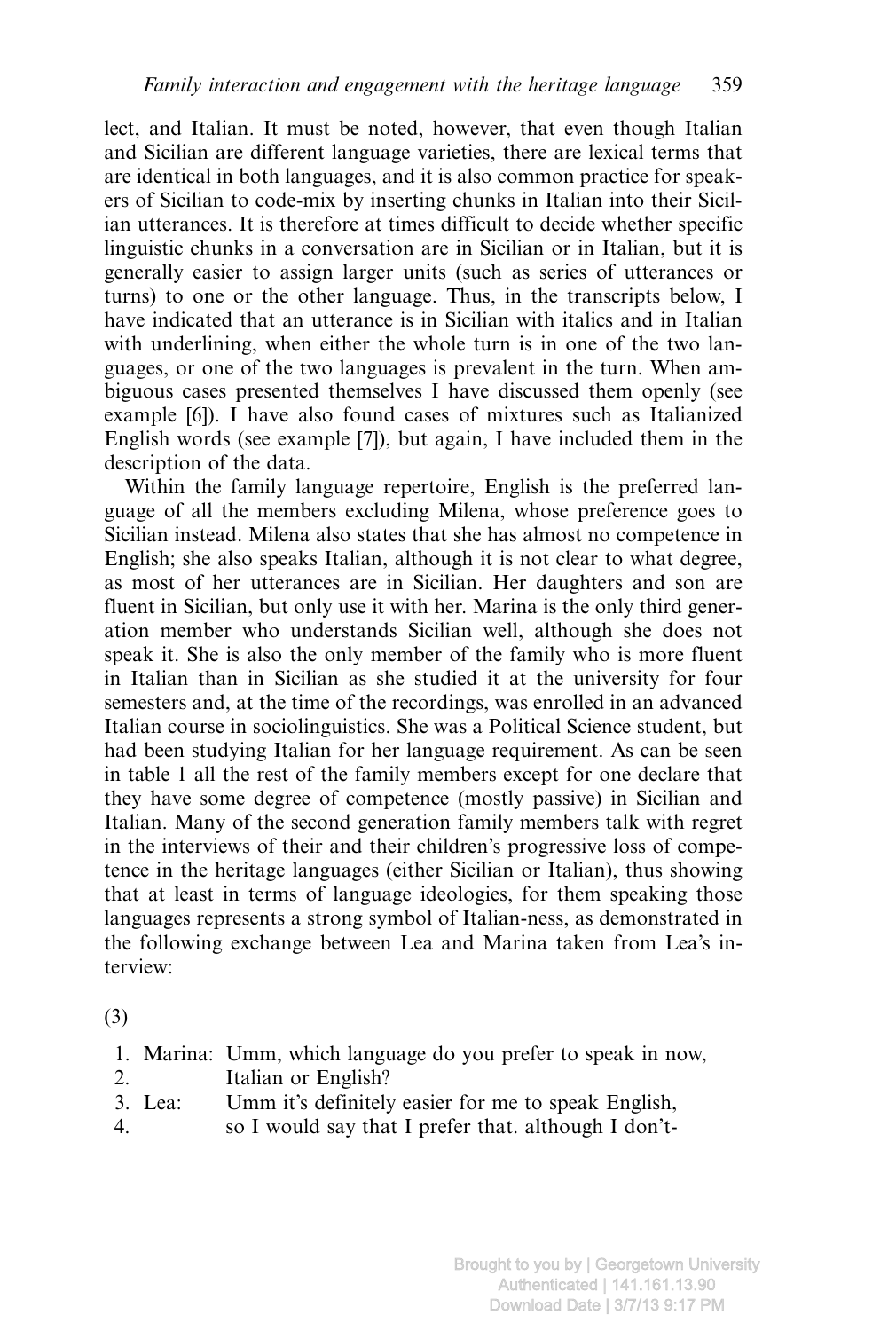Family interaction and engagement with the heritage language 359<br>lect, and Italian. It must be noted, however, that even though Italian<br>and Sicilian are different language varieties, there are lexical terms that<br>are identi Family interaction and engagement with the heritage language 359<br>lect, and Italian. It must be noted, however, that even though Italian<br>and Sicilian are different language varieties, there are lexical terms that<br>are identi Family interaction and engagement with the heritage language 359<br>lect, and Italian. It must be noted, however, that even though Italian<br>and Sicilian are different language varieties, there are lexical terms that<br>are identi Family interaction and engagement with the heritage language 359<br>lect, and Italian. It must be noted, however, that even though Italian<br>and Sicilian are different language varieties, there are lexical terms that<br>are identi Famuy interaction and engagement with the heritage language 359<br>lect, and Italian. It must be noted, however, that even though Italian<br>and Sicilian are different language varieties, there are lexical terms that<br>are identic lect, and Italian. It must be noted, however, that even though Italian and Sicilian are different language varieties, there are lexical terms that are identical in both languages, and it is also common practice for speaker ect, and Hanah. It must be hoted, however, that even though Hanah<br>and Sicilian are different language varieties, there are lexical terms that<br>are identical in both languages, and it is also common practice for speak-<br>ers o and siemal are uncrent language varieties, there are lexical terms that<br>are identical in both languages, and it is also common practice for speak-<br>ers of Sicilian to code-mix by inserting chunks in Italian into their Sicil are identical in both languages, and it is also common practice for speak-<br>ers of Sicilian to code-mix by inserting chunks in Italian into their Sicil-<br>ian utterances. It is therefore at times difficult to decide whether s Ers of sichian to code-linx by inserting chanks in rianan into their sich-<br>ian utterances. It is therefore at times difficult to decide whether specific<br>linguistic chunks in a conversation are in Sicilian or in Italian, bu an uterances. It is increased at times united to decide whether specific linguistic chunks in a conversation are in Sicilian or in Italian, but it is generally easier to assign larger units (such as series of uterances or miguistic chunks in a conversation are in siemant of in Italian, out it is<br>generally easier to assign larger units (such as series of utterances or<br>turns) to one or the other language. Thus, in the transcripts below, I<br>hav generally easter to assign larger units (such as series of utterances of<br>turns) to one or the other language. Thus, in the transcripts below, I<br>have indicated that an utterance is in Sicilian with italics and in Italian<br>wi turns) to one of the other language. Thus, in the transcripts below, I<br>have indicated that an utterance is in Sicilian with italics and in Italian<br>with underlining, when either the whole turn is in one of the two lan-<br>guag mave muted that an utera<br>with underlining, when eithe<br>guages, or one of the two lan<br>biguous cases presented the<br>example [6]). I have also for<br>English words (see example<br>description of the data.<br>Within the family languag In undernining, when either the whole turn is in one of the two lan-<br>ages, or one of the two languages is prevalent in the turn. When am-<br>guous cases presented themselves I have discussed them openly (see<br>ample [6]). I hav guages, or one or the two languages is prevalent in the turn. When anti-<br>biguous cases presented themselves I have discussed them openly (see<br>example [6]). I have also found cases of mixtures such as Italianized<br>English wo

biguous cases presented themserves T have discussed them openty (see<br>example [6]). I have also found cases of mixtures such as Italianized<br>English words (see example [7]), but again, I have included them in the<br>description English words (see example [7]), but again, I have included them in the description of the data.<br>
Within the family language repertoire, English is the preferred language of all the members excluding Milena, whose preferen English words (see example [7]), but again, I have included them in the description of the data.<br>
Within the family language repertoire, English is the preferred language of all the members excluding Milena, whose preferen description of the data.<br>Within the family language repertoire, English is the preferred language of all the members excluding Milena, whose preference goes to Sicilian instead. Milena also states that she has almost no co whim the ranniy language repertorie, English is the preferred ran-<br>guage of all the members excluding Milena, whose preference goes to<br>Sicilian instead. Milena also states that she has almost no competence in<br>English; she guage of an the members excluding Milena, whose preference goes to<br>Sicilian instead. Milena also states that she has almost no competence in<br>English; she also speaks Italian, although it is not clear to what degree,<br>as mos Sichian instead. Milena also states that she has almost no competence in<br>English; she also speaks Italian, although it is not clear to what degree,<br>as most of her utterances are in Sicilian. Her daughters and son are<br>fluen English, she also speaks rianal, atthough it is not clear to what degree, as most of her utterances are in Sicilian. Her daughters and son are fluent in Sicilian, but only use it with her. Marina is the only third generati Italian course in sociolinguistics. She was a Political Science student in Sicilian, but only use it with her. Marina is the only third generation member who understands Sicilian well, although she does not speak it. She i had been studied with the studied with the studied well, although she does not speak it. She is also the only member of the family who is more fluent in Italian than in Sicilian as she studied it at the university for four ation member who understands Schilan wen, antiough she does not speak it. She is also the only member of the family who is more fluent in Italian than in Sicilian as she studied it at the university for four semesters and, speak it. She is also the only inelliber of the falliny who is lifered then<br>in Italian than in Sicilian as she studied it at the university for four<br>semesters and, at the time of the recordings, was enrolled in an advanced Italian than in sichian as she studied it at the university for four<br>semesters and, at the time of the recordings, was enrolled in an advanced<br>Italian course in sociolinguistics. She was a Political Science student, but<br>ha semesters and, at the three of the recordings, was emoned in an advanced<br>Italian course in sociolinguistics. She was a Political Science student, but<br>had been studying Italian for her language requirement. As can be seen<br>i Tranan course in socioninguistics. Site was a 1 official science student, out<br>had been studying Italian for her language requirement. As can be seen<br>in table 1 all the rest of the family members except for one declare that The that at least in terms of language ideologies, for them speaking that at least in the interviews of the second generation family members talk with regret in the interviews of their and their children's progressive loss In table 1 an the rest of the rannly inembers except for one declare that<br>they have some degree of competence (mostly passive) in Sicilian and<br>Italian. Many of the second generation family members talk with regret<br>in the i they have some degree of competence (mostly passive) in Sicilian and Italian. Many of the second generation family members talk with regret in the interviews of their and their children's progressive loss of competence in terview: the following exchange between Lea and Marina taken from Lea's in-

(3)

|    | erview: | he following exchange between Lea and Marina taken from Lea's i                                             |
|----|---------|-------------------------------------------------------------------------------------------------------------|
| 3) |         |                                                                                                             |
| 2. |         | 1. Marina: Umm, which language do you prefer to speak in now,<br>Italian or English?                        |
| 4. | 3. Lea: | Umm it's definitely easier for me to speak English,<br>so I would say that I prefer that. although I don't- |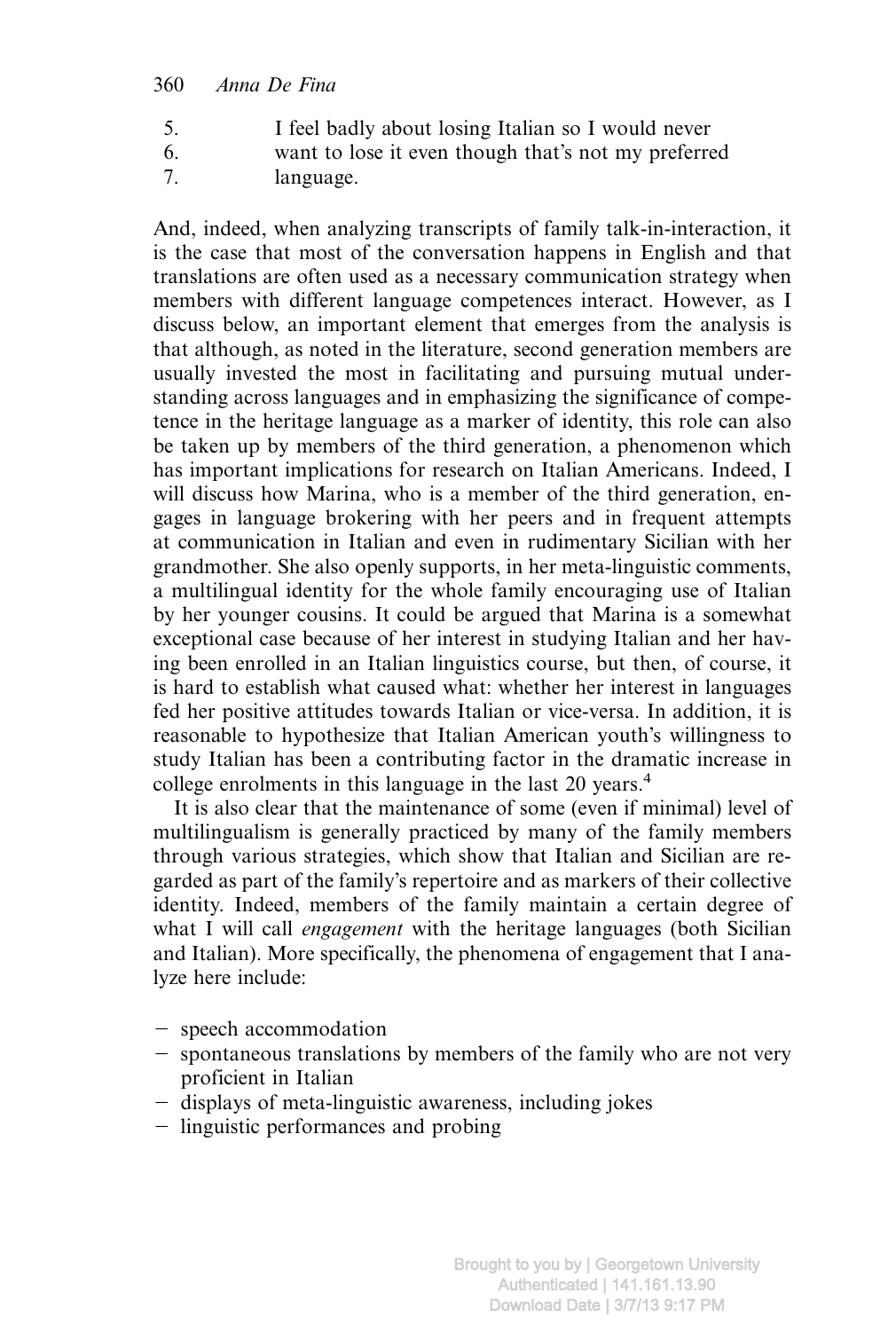- <sup>360</sup> *Anna De Fina*
- 5. I feel badly about losing Italian so I would never<br>5. I feel badly about losing Italian so I would never<br>6. I language 4. 6. Want of *Anna De Fina*<br>
5. I feel badly about losing Italian so I would never<br>
6. want to lose it even though that's not my preferred<br>
7. language.
- 7. language.

Soom And De Fina<br>
5. I feel badly about losing Italian so I would never<br>
6. want to lose it even though that's not my preferred<br>
7. language.<br>
And, indeed, when analyzing transcripts of family talk-in-interaction, it<br>
is t 5. I feel badly about losing Italian so I would never<br>6. want to lose it even though that's not my preferred<br>7. language.<br>And, indeed, when analyzing transcripts of family talk-in-interaction, it<br>is the case that most of t Free each discussed as a necessary communication, it<br>and, indeed, when analyzing transcripts of family talk-in-interaction, it<br>is the case that most of the conversation happens in English and that<br>translations are often us Transmission and the members with the members with different language.<br>And, indeed, when analyzing transcripts of family talk-in-interaction, it<br>is the case that most of the conversation happens in English and that<br>transla And, indeed, when analyzing transcripts of family talk-in-interaction, it<br>is the case that most of the conversation happens in English and that<br>translations are often used as a necessary communication strategy when<br>members And, indeed, when analyzing transcripts of family talk-in-interaction, it<br>is the case that most of the conversation happens in English and that<br>translations are often used as a necessary communication strategy when<br>members The most interest when analyzing transcripts of family talk in interaction, it<br>is the case that most of the conversation happens in English and that<br>translations are often used as a necessary communication strategy when<br>me is the case that most of the conversation happens in English and that<br>translations are often used as a necessary communication strategy when<br>members with different language competences interact. However, as I<br>discuss below transiations are often used as a necessary communication strategy when<br>members with different language competences interact. However, as I<br>discuss below, an important element that emerges from the analysis is<br>that although members with unferent language competences interact. However, as I<br>discuss below, an important element that emerges from the analysis is<br>that although, as noted in the literature, second generation members are<br>usually inve discuss below, an important element that emerges from the analysis is<br>that although, as noted in the literature, second generation members are<br>usually invested the most in facilitating and pursuing mutual under-<br>standing a mat annough, as noted in the interature, second generation inemocrs are<br>usually invested the most in facilitating and pursuing mutual under-<br>standing across languages and in emphasizing the significance of compe-<br>tence in distanding across languages and in emphasizing the significance of competence in the heritage language as a marker of identity, this role can also be taken up by members of the third generation, a phenomenon which has impo standing across languages and in emphasizing the significance of competence in the heritage language as a marker of identity, this role can also be taken up by members of the third generation, a phenomenon which has import be taken up by members of the third generation, a phenomenon which<br>has important implications for research on Italian Americans. Indeed, I<br>will discuss how Marina, who is a member of the third generation, en-<br>gages in lang be taken up by members of the three generation, a phenomenon which<br>has important implications for research on Italian Americans. Indeed, I<br>will discuss how Marina, who is a member of the third generation, en-<br>gages in lang here is a member of the third generation, en-<br>gages in language brokering with her peers and in frequent attempts<br>at communication in Italian and even in rudimentary Sicilian with her<br>grandmother. She also openly supports, win discuss now Marina, who is a member of the time generation, engages in language brokering with her peers and in frequent attempts at communication in Italian and even in rudimentary Sicilian with her grandmother. She a gages in language orokering with her peers and in riequent attempts<br>at communication in Italian and even in rudimentary Sicilian with her<br>grandmother. She also openly supports, in her meta-linguistic comments,<br>a multilingu at communication in Tianan and even in Tudimentary Sieman with her<br>grandmother. She also openly supports, in her meta-linguistic comments,<br>a multilingual identity for the whole family encouraging use of Italian<br>by her youn framamounci. She also openly supports, in her incta-inigalistic comments,<br>a multilingual identity for the whole family encouraging use of Italian<br>by her younger cousins. It could be argued that Marina is a somewhat<br>excepti a manimigual identity for the whole family encouraging use of rianal<br>by her younger cousins. It could be argued that Marina is a somewhat<br>exceptional case because of her interest in studying Italian and her hav-<br>ing been e by her younger cousins. It could be argued that Marina is a solite what<br>exceptional case because of her interest in studying Italian and her hav-<br>ing been enrolled in an Italian linguistics course, but then, of course, it<br> exceptional case oceaase of net interest in studying rianan and<br>ing been enrolled in an Italian linguistics course, but then, of<br>is hard to establish what caused what: whether her interest in<br>fed her positive attitudes tow It is also clear that the maintenance of some (even if minimal) level of altilian has been a contributing factor in the dramatic increase in llege enrolments in this language in the dramatic increase in llege enrolments in multilingualism is provided as part of the family's repertoire and as markers of their collective<br>and as part of the family members of the family members of the family members of<br>tudy Italian has been a contributing factor

the method is through various standard of vice-versa. In addition, it is<br>reasonable to hypothesize that Italian American youth's willingness to<br>study Italian has been a contributing factor in the dramatic increase in<br>colle reasonable to hypothesize that rianan American youth s winnightess to<br>study Italian has been a contributing factor in the dramatic increase in<br>college enrolments in this language in the last 20 years.<sup>4</sup><br>It is also clear t order a contributing factor in the dramatic increase in<br>college enrolments in this language in the last 20 years.<sup>4</sup><br>It is also clear that the maintenance of some (even if minimal) level of<br>multilingualism is generally pra the same of some even if minimal) level of<br>It is also clear that the maintenance of some (even if minimal) level of<br>multilingualism is generally practiced by many of the family members<br>through various strategies, which sho It is also clear that the maintenance of some (even it infinitially pever or<br>multilingualism is generally practiced by many of the family members<br>through various strategies, which show that Italian and Sicilian are re-<br>gar manimguansin is generally practiced by many of the family includes<br>through various strategies, which show that Italian and Sicilian are re-<br>garded as part of the family's repertoire and as markers of their collective<br>ident proficient in Italian 2 displays of meta-linguistic performance of engagement the lyze here include:<br>
- speech accommodation<br>
- spontaneous translations by members of the family who are<br>
proficient in Italian<br>
- displays o

- 
- 
- 
-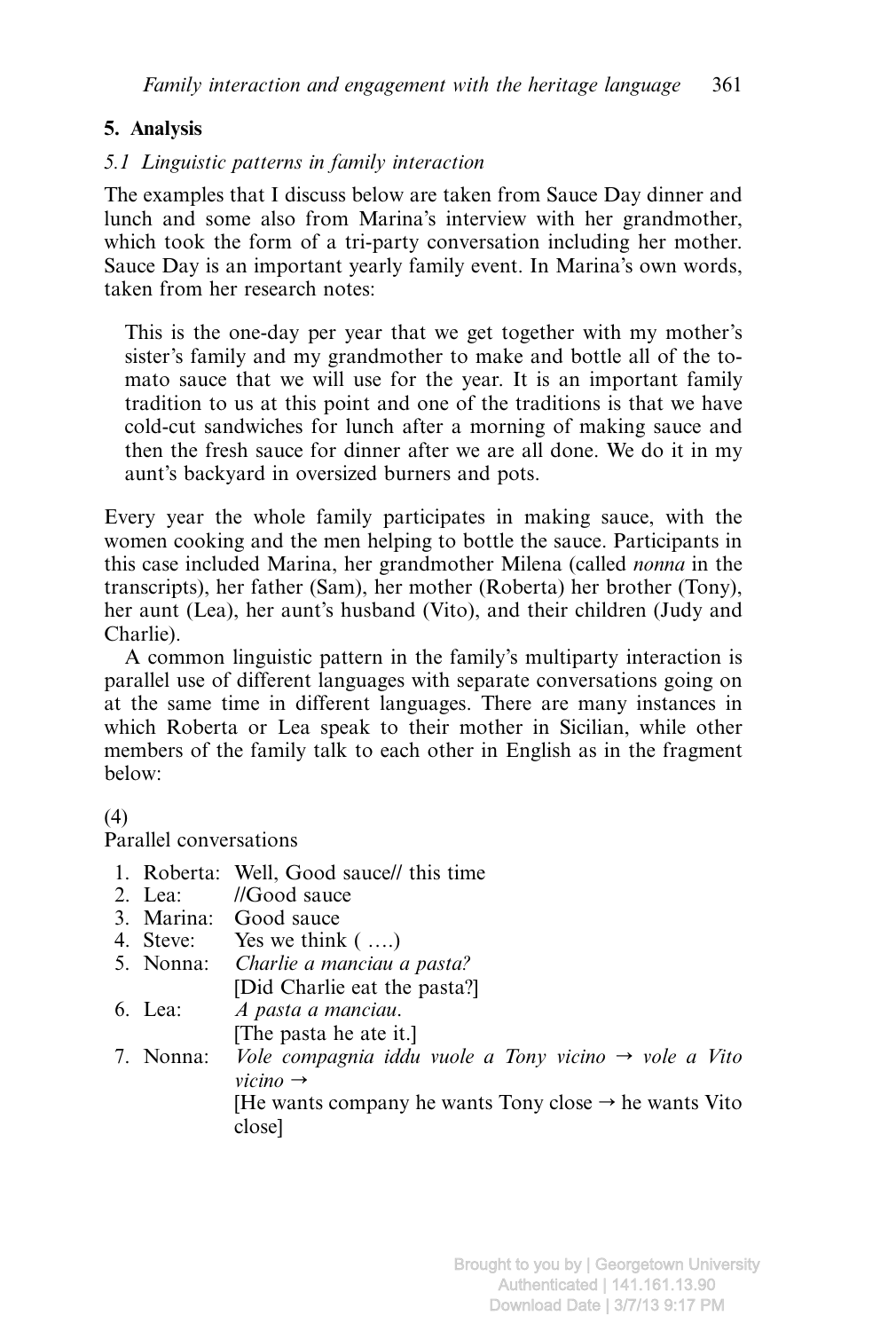# **5. Analysis**<br>**5. Analysis**<br>**5.1 Linguistic patt**

*Family interaction and engagement with the herits*<br>**5. Analysis**<br>5.1 *Linguistic patterns in family interaction*<br>The examples that I discuss below are taken from Sa Family interaction and engagement with the heritage language 361<br>5. **Analysis**<br>5. *I* Linguistic patterns in family interaction<br>The examples that I discuss below are taken from Sauce Day dinner and<br>lunch and some also from Family interaction and engagement with the heritage language 361<br>
5. Analysis<br>
5.1 Linguistic patterns in family interaction<br>
The examples that I discuss below are taken from Sauce Day dinner and<br>
lunch and some also from 5. Analysis<br>
5.1 Linguistic patterns in family interaction<br>
The examples that I discuss below are taken from Sauce Day dinner and<br>
lunch and some also from Marina's interview with her grandmother,<br>
which took the form of a 5. Analysis<br>
5.1 Linguistic patterns in family interaction<br>
The examples that I discuss below are taken from Sauce Day dinner and<br>
lunch and some also from Marina's interview with her grandmother,<br>
which took the form of a 5.1 Linguistic patterns in family inte<br>The examples that I discuss below a<br>lunch and some also from Marina<br>which took the form of a tri-party<br>Sauce Day is an important yearly fa<br>taken from her research notes:<br>This is the o is examples that I discuss below are taken from Sauce Day dinner and<br>nch and some also from Marina's interview with her grandmother,<br>nich took the form of a tri-party conversation including her mother.<br>uce Day is an import nich and some also from Marina's interview with her grandmother,<br>nich took the form of a tri-party conversation including her mother.<br>uce Day is an important yearly family event. In Marina's own words,<br>ken from her researc

inch took the form of a tri-party conversation including her mother.<br>
uce Day is an important yearly family event. In Marina's own words,<br>
ken from her research notes:<br>
This is the one-day per year that we get together wit This is the one-day per year that we get together with my mother's<br>then from her research notes:<br>This is the one-day per year that we get together with my mother's<br>sister's family and my grandmother to make and bottle all ken from her research notes:<br>This is the one-day per year that we get together with my mother's<br>sister's family and my grandmother to make and bottle all of the to-<br>mato sauce that we will use for the year. It is an import This is the one-day per year that we get together with my mother's sister's family and my grandmother to make and bottle all of the to-<br>mato sauce that we will use for the year. It is an important family<br>tradition to us at This is the one-day per year that we get together with my mother's<br>sister's family and my grandmother to make and bottle all of the to-<br>mato sauce that we will use for the year. It is an important family<br>tradition to us at mato sauce that we will use for the year. It is an important family<br>tradition to us at this point and one of the traditions is that we have<br>cold-cut sandwiches for lunch after a morning of making sauce and<br>then the fresh s

tradition to us at this point and one of the traditions is that we have<br>cold-cut sandwiches for lunch after a morning of making sauce and<br>then the fresh sauce for dinner after we are all done. We do it in my<br>aunt's backyar cold-cut sandwiches for lunch after a morning of making sauce and<br>then the fresh sauce for dinner after we are all done. We do it in my<br>aunt's backyard in oversized burners and pots.<br>Every year the whole family participate then the tresh sauce for dinner after we are all done. We do it in my<br>aunt's backyard in oversized burners and pots.<br>Every year the whole family participates in making sauce, with the<br>women cooking and the men helping to b aunt's backyard in oversized burners and pots.<br>Every year the whole family participates in making sauce, with the<br>women cooking and the men helping to bottle the sauce. Participants in<br>this case included Marina, her grandm Charlie). Figure 1.1 The whole ramily participates in making satice, with the omen cooking and the men helping to bottle the satice. Participants in is case included Marina, her grandmother Milena (called *nonna* in the innscripts), women cooking and the men neiping to bottle the sauce. Participants in<br>this case included Marina, her grandmother Milena (called *nonna* in the<br>transcripts), her father (Sam), her mother (Roberta) her brother (Tony),<br>her a

this case included Marina, her grandmother Milena (called *nonna* in the transcripts), her father (Sam), her mother (Roberta) her brother (Tony), her aunt (Lea), her aunt's husband (Vito), and their children (Judy and Char transcripts), her father (Sam), her mother (Koberta) her brother (Tony), her aunt (Lea), her aunt's husband (Vito), and their children (Judy and Charlie).<br>A common linguistic pattern in the family's multiparty interaction ner aunt (Lea), her aunt's husband (VIto), and their children (Judy and Charlie).<br>
A common linguistic pattern in the family's multiparty interaction is<br>
parallel use of different languages with separate conversations goin below: at the same time in differen<br>which Roberta or Lea speal<br>members of the family talk to<br>below:<br>(4)<br>Parallel conversations<br>1. Roberta: Well, Good san Fractional of Eda speak to their mother in hembers of the family talk to each other in Englis<br>
elow:<br>
1. Roberta: Well, Good sauce// this time<br>
2. Lea: //Good sauce<br>
3. Marina: Good sauce Framers of the rainity tark to each<br>
relow:<br>
4)<br>
Parallel conversations<br>
1. Roberta: Well, Good sauce// th<br>
2. Lea: //Good sauce<br>
3. Marina: Good sauce<br>
4. Steve: Yes we think (

# (4)

- 4. Marialel conversations<br>3. Marina: Well, Good sauce// t<br>3. Marina: Good sauce<br>3. Marina: Good sauce<br>4. Steve: Yes we think (....)<br>5. Nonna: Charlie a manciau a
- 
- 
- 
- 4)<br>
arallel conversations<br>
1. Roberta: Well, Good sauce// this ti<br>
2. Lea: //Good sauce<br>
3. Marina: Good sauce<br>
4. Steve: Yes we think ( ....)<br>
5. Nonna: *Charlie a manciau a pasta*<br>
[Did Charlie eat the pasta
- France Conversations<br>
1. Roberta: Well, Good sauce// this time<br>
2. Lea: //Good sauce<br>
3. Marina: Good sauce<br>
4. Steve: Yes we think (....)<br>
5. Nonna: *Charlie a manciau a pasta*?<br>
[Did Charlie eat the pasta?]<br>
6. Lea: *A n* Well, Good sauce// this time<br>//Good sauce<br>Good sauce<br>Yes we think ( ....)<br>*Charlie a manciau a pasta?*<br>[Did Charlie eat the pasta?]<br>*A pasta a manciau*.<br>IThe pasta he ate it 1 1. Roberta: Well, Good sauce// this<br>
2. Lea: //Good sauce<br>
3. Marina: Good sauce<br>
4. Steve: Yes we think (....)<br>
5. Nonna: *Charlie a manciau a pass*<br>
[Did Charlie eat the pass<br>
6. Lea: *A pasta a manciau*.<br>
[The pasta he
- 
- 2. Lea:  $\frac{1}{\text{Good}}$  sauce<br>
3. Marina: Good sauce<br>
4. Steve: Yes we think (....)<br>
5. Nonna: *Charlie a manciau a pasta?*<br>
[Did Charlie eat the pasta?]<br>
6. Lea: *A pasta a manciau*.<br>
[The pasta he ate it.]<br>
7. Nonna: *Vole* 7. Marina: Good sauce<br>
4. Steve: Yes we think (....)<br>
5. Nonna: *Charlie a manciau a pasta?*<br>
[Did Charlie eat the pasta?]<br>
6. Lea: *A pasta a manciau*.<br>
[The pasta he ate it.]<br>
7. Nonna: *Vole compagnia iddu vuole a Ton vicino*  $\rightarrow$ Charlie a manciau a pasta?<br>
[Did Charlie eat the pasta?]<br> *A pasta a manciau.*<br>
[The pasta he ate it.]<br> *Vole compagnia iddu vuole a Tony vicino*  $\rightarrow$  *vole a Vito*<br> *vicino*  $\rightarrow$ <br>
[He wants company he wants Tony close  $\$ close]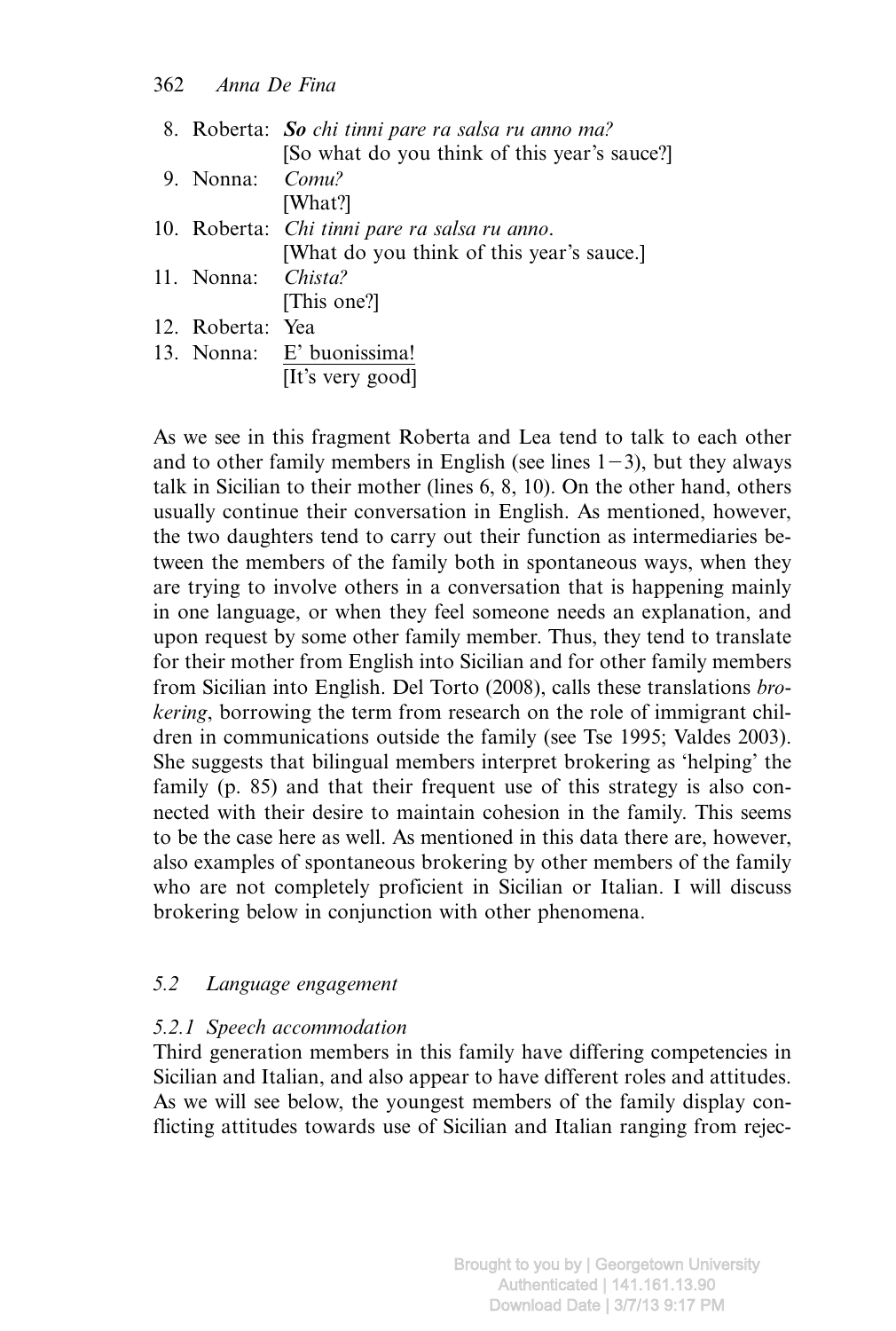| 362 | Anna De Fina     |                                                                                                                                                     |
|-----|------------------|-----------------------------------------------------------------------------------------------------------------------------------------------------|
|     |                  | 8. Roberta: So chi tinni pare ra salsa ru anno ma?                                                                                                  |
|     |                  | [So what do you think of this year's sauce?]                                                                                                        |
|     | 9. Nonna:        | Comu?                                                                                                                                               |
|     |                  | [What?]                                                                                                                                             |
|     |                  | 10. Roberta: <i>Chi tinni pare ra salsa ru anno</i> .                                                                                               |
|     |                  | [What do you think of this year's sauce.]                                                                                                           |
|     | 11. Nonna:       | Chista?                                                                                                                                             |
|     |                  | [This one?]                                                                                                                                         |
|     | 12. Roberta: Yea |                                                                                                                                                     |
|     | 13. Nonna:       | E' buonissima!                                                                                                                                      |
|     |                  | [It's very good]                                                                                                                                    |
|     |                  | As we see in this fragment Roberta and Lea tend to talk to each other<br>and to other family members in English (see lines $1-3$ ), but they always |
|     |                  | talk in Sicilian to their mother (lines $6, 8, 10$ ). On the other hand, others                                                                     |

12. Roberta: Yea<br>
13. Nonna:  $\underline{E'}$  buonissima!<br>
[It's very good]<br>
As we see in this fragment Roberta and Lea tend to talk to each other<br>
and to other family members in English (see lines 1–3), but they always<br>
talk in 13. Nonna:  $E'$  buonissima!<br>
[It's very good]<br>
As we see in this fragment Roberta and Lea tend to talk to each other<br>
and to other family members in English (see lines  $1-3$ ), but they always<br>
talk in Sicilian to their mo [It's very good]<br>As we see in this fragment Roberta and Lea tend to talk to each other<br>and to other family members in English (see lines  $1-3$ ), but they always<br>talk in Sicilian to their mother (lines 6, 8, 10). On the ot As we see in this fragment Roberta and Lea tend to talk to each other<br>and to other family members in English (see lines  $1-3$ ), but they always<br>talk in Sicilian to their mother (lines 6, 8, 10). On the other hand, others<br> As we see in this fragment Roberta and Lea tend to talk to each other<br>and to other family members in English (see lines  $1-3$ ), but they always<br>talk in Sicilian to their mother (lines 6, 8, 10). On the other hand, others<br> and to other family members in English (see lines  $1-3$ ), but they always<br>talk in Sicilian to their mother (lines 6, 8, 10). On the other hand, others<br>usually continue their conversation in English. As mentioned, however, talk in Sicilian to their mother (lines 6, 8, 10). On the other hand, others<br>usually continue their conversation in English. As mentioned, however,<br>the two daughters tend to carry out their function as intermediaries be-<br>t usually continue their conversation in English. As mentioned, however,<br>the two daughters tend to carry out their function as intermediaries be-<br>tween the members of the family both in spontaneous ways, when they<br>are trying the two daughters tend to carry out their function as intermediaries be-<br>tween the members of the family both in spontaneous ways, when they<br>are trying to involve others in a conversation that is happening mainly<br>in one la from the members of the family both in spontaneous ways, when they are trying to involve others in a conversation that is happening mainly in one language, or when they feel someone needs an explanation, and upon request b are trying to involve others in a conversation that is happening mainly<br>in one language, or when they feel someone needs an explanation, and<br>upon request by some other family member. Thus, they tend to translate<br>for their in one language, or when they feel someone needs an explanation, and<br>upon request by some other family member. Thus, they tend to translate<br>for their mother from English into Sicilian and for other family members<br>from Sic upon request by some other family member. Thus, they tend to translate<br>for their mother from English into Sicilian and for other family members<br>from Sicilian into English. Del Torto (2008), calls these translations *bro-<br>k* for their mother from English into Sicilian and for other family members<br>from Sicilian into English. Del Torto (2008), calls these translations *bro-<br>kering*, borrowing the term from research on the role of immigrant chilfrom Sicilian into English. Del Torto (2008), calls these translations *bro-*<br>kering, borrowing the term from research on the role of immigrant chil-<br>dren in communications outside the family (see Tse 1995; Valdes 2003).<br>S kering, borrowing the term from research on the role of immigrant chil-<br>dren in communications outside the family (see Tse 1995; Valdes 2003).<br>She suggests that bilingual members interpret brokering as 'helping' the<br>family dren in communications outside the family (see Tse 1995; Valdes 2003).<br>She suggests that bilingual members interpret brokering as 'helping' the<br>family (p. 85) and that their frequent use of this strategy is also con-<br>necte She suggests that bilingual members interpret brokering as 'helping' the family (p. 85) and that their frequent use of this strategy is also connected with their desire to maintain cohesion in the family. This seems to be family (p. 85) and that their frequent use of this strategy is<br>nected with their desire to maintain cohesion in the family.<br>to be the case here as well. As mentioned in this data there are<br>also examples of spontaneous brok *Figure 12.2 Language engagement*<br>
5.2 Language engagement<br>
5.2 Language engagement who are not completely proficient in<br>brokering below in conjunction with o<br>5.2.1 *Speech accommodation*<br>Third generation members in this fam<br>Sicilian and Italian, and also appear to

Frokering below in conjunction with other phenomena.<br>
5.2.1 *Speech accommodation*<br>
Third generation members in this family have differing competencies in<br>
Sicilian and Italian, and also appear to have different roles and S.2.1 Speech accommodation<br>
Sicilian and Italian, and also appear to have differing competencies in<br>
Sicilian and Italian, and also appear to have different roles and attitudes.<br>
As we will see below, the youngest members 5.2.1 Speech accommodation<br>Third generation members in this family have differing competencies in<br>Sicilian and Italian, and also appear to have different roles and attitudes.<br>As we will see below, the youngest members of t Fluit S.2.1 Speech accommodation<br>Third generation members in this family have differing competencies in<br>Sicilian and Italian, and also appear to have different roles and attitudes.<br>As we will see below, the youngest member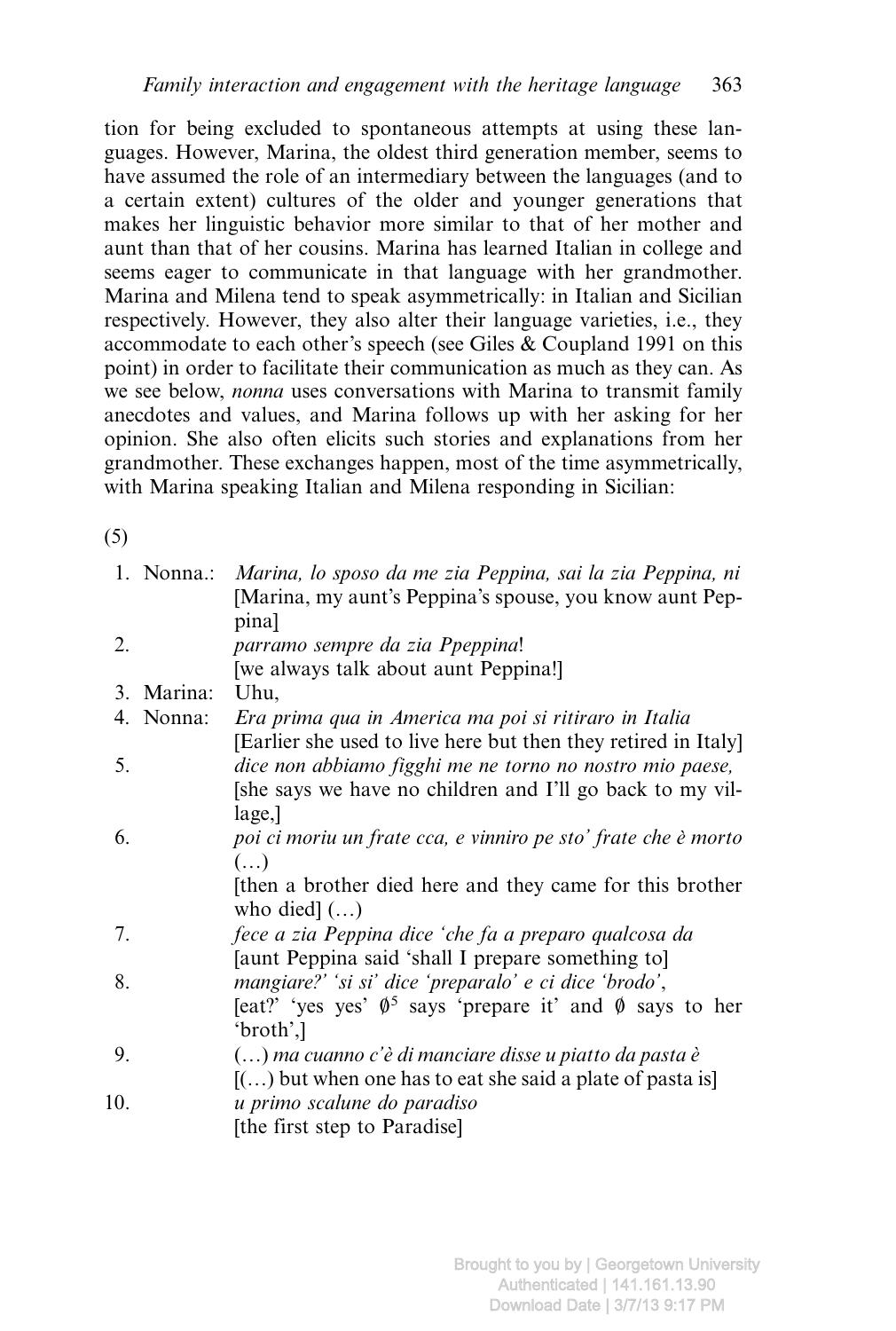Family interaction and engagement with the heritage language 363<br>tion for being excluded to spontaneous attempts at using these lan-<br>guages. However, Marina, the oldest third generation member, seems to<br>have assumed the ro Family interaction and engagement with the heritage language 363<br>tion for being excluded to spontaneous attempts at using these languages. However, Marina, the oldest third generation member, seems to<br>have assumed the role Family interaction and engagement with the heritage language 363<br>tion for being excluded to spontaneous attempts at using these lan-<br>guages. However, Marina, the oldest third generation member, seems to<br>have assumed the ro Family interaction and engagement with the heritage language 363<br>tion for being excluded to spontaneous attempts at using these languages. However, Marina, the oldest third generation member, seems to<br>have assumed the role Family interaction and engagement with the heritage language 363<br>tion for being excluded to spontaneous attempts at using these lan-<br>guages. However, Marina, the oldest third generation member, seems to<br>have assumed the ro tion for being excluded to spontaneous attempts at using these languages. However, Marina, the oldest third generation member, seems to have assumed the role of an intermediary between the languages (and to a certain exten For the set and the reader to spontaneous attempts at using these fan-<br>guages. However, Marina, the oldest third generation member, seems to<br>have assumed the role of an intermediary between the languages (and to<br>a certain guages. However, wiarma, the oldest time generation included, seems to have assumed the role of an intermediary between the languages (and to a certain extent) cultures of the older and younger generations that makes her respectively. However, they also alter their languages (and to a certain extent) cultures of the older and younger generations that makes her linguistic behavior more similar to that of her mother and aunt than that of her a certain extent) cultures of the older and younger generations that<br>makes her linguistic behavior more similar to that of her mother and<br>aunt than that of her cousins. Marina has learned Italian in college and<br>seems eager makes net imguistic behavior more similar to that of her mother and<br>aunt than that of her cousins. Marina has learned Italian in college and<br>seems eager to communicate in that language with her grandmother.<br>Marina and Mile ation than that of net cousins. Marina has teamed rianal in conege and<br>seems eager to communicate in that language with her grandmother.<br>Marina and Milena tend to speak asymmetrically: in Italian and Sicilian<br>respectively. seems eager to communicate in that language with her grandmother.<br>Marina and Milena tend to speak asymmetrically: in Italian and Sicilian<br>respectively. However, they also alter their language varieties, i.e., they<br>accommod Marina and Milena tend to speak asymmetricany. In Italian and Sicilian<br>respectively. However, they also alter their language varieties, i.e., they<br>accommodate to each other's speech (see Giles & Coupland 1991 on this<br>point respectively. However, they also after their language varieties, i.e., they accommodate to each other's speech (see Giles & Coupland 1991 on this point) in order to facilitate their communication as much as they can. As we point) in order to facilitate their communication as much as they can. As<br>we see below, *nonna* uses conversations with Marina to transmit family<br>anecdotes and values, and Marina follows up with her asking for her<br>opinion. inion. She also often elicits such stories and explanations from her<br>
randmother. These exchanges happen, most of the time asymmetrically,<br>
ith Marina speaking Italian and Milena responding in Sicilian:<br>
5)<br>
1. Nonna.: *Ma* 

(5)

| 1. Nonna.: | Marina, lo sposo da me zia Peppina, sai la zia Peppina, ni<br>[Marina, my aunt's Peppina's spouse, you know aunt Pep-                    |
|------------|------------------------------------------------------------------------------------------------------------------------------------------|
| 2.         | pina]<br>parramo sempre da zia Ppeppina!                                                                                                 |
|            | [we always talk about aunt Peppina!]                                                                                                     |
| 3. Marina: | Uhu,                                                                                                                                     |
| 4. Nonna:  | Era prima qua in America ma poi si ritiraro in Italia<br>[Earlier she used to live here but then they retired in Italy]                  |
| 5.         | dice non abbiamo figghi me ne torno no nostro mio paese,<br>[she says we have no children and I'll go back to my vil-                    |
|            | lage,                                                                                                                                    |
| 6.         | poi ci moriu un frate cca, e vinniro pe sto' frate che è morto<br>$\left( \ldots \right)$                                                |
|            | [then a brother died here and they came for this brother<br>who died $]$ $()$                                                            |
| 7.         | fece a zia Peppina dice 'che fa a preparo qualcosa da<br>[aunt Peppina said 'shall I prepare something to]                               |
| 8.         | mangiare?' 'si si' dice 'preparalo' e ci dice 'brodo',<br>[eat?' 'yes yes' $\phi^5$ says 'prepare it' and $\phi$ says to her<br>'broth', |
| 9.         | () ma cuanno c'è di manciare disse u piatto da pasta è                                                                                   |
| 10.        | $[$ ) but when one has to eat she said a plate of pasta is<br>u primo scalune do paradiso<br>[the first step to Paradise]                |

Brought to you by | Georgetown University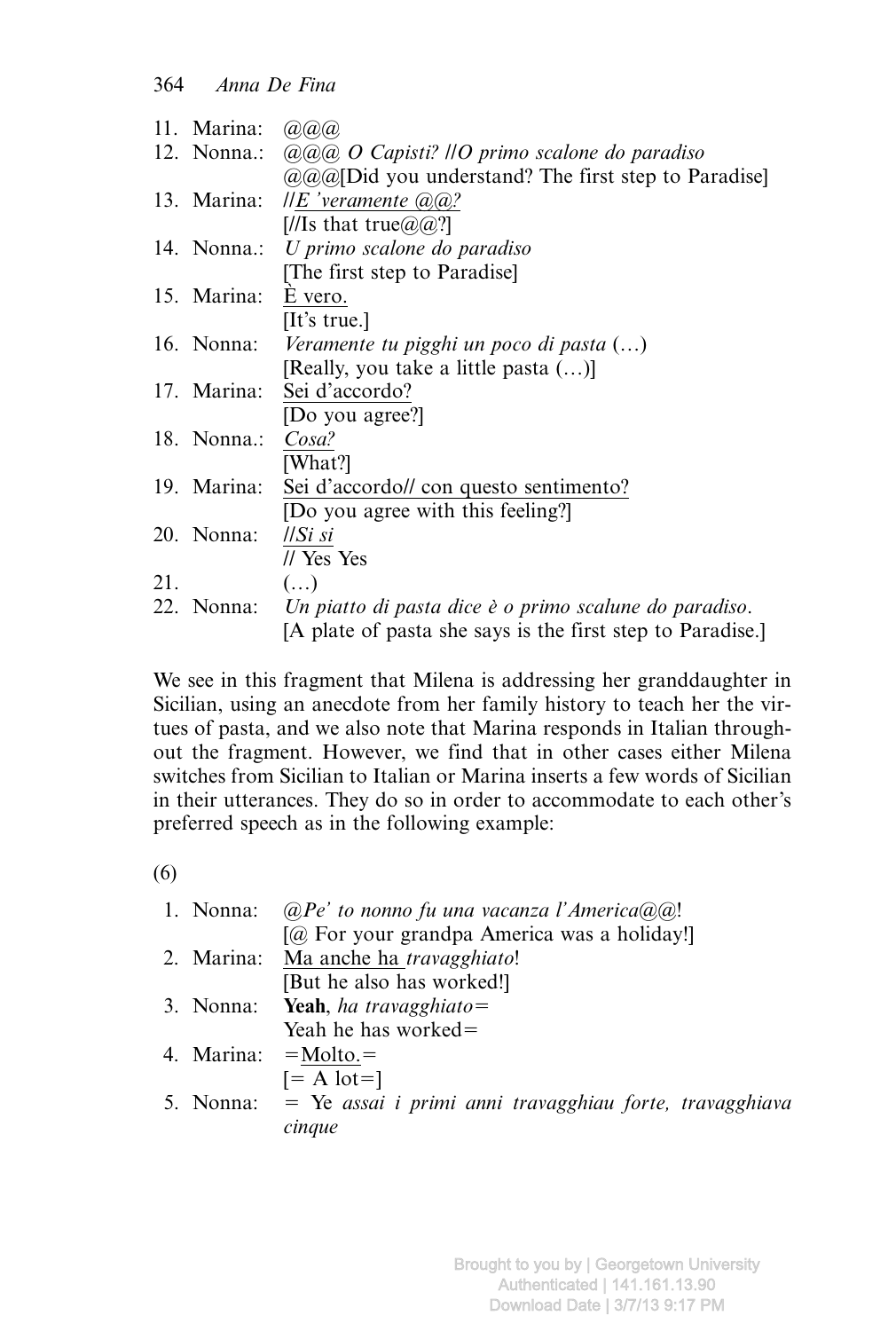|     | 364 Anna De Fina |                                                                                                                                 |
|-----|------------------|---------------------------------------------------------------------------------------------------------------------------------|
|     | 11. Marina:      | (a)a                                                                                                                            |
|     | 12. Nonna.:      | $(a/a)a$ O Capisti?   O primo scalone do paradiso                                                                               |
|     | 13. Marina:      | @@@[Did you understand? The first step to Paradise]<br>$I/E$ 'veramente $\omega/\omega$ ?                                       |
|     |                  | [//Is that true $(a\hat{a})$ ?]<br>14. Nonna.: U primo scalone do paradiso                                                      |
|     | 15. Marina:      | [The first step to Paradise]<br>E vero.<br>[It's true.]                                                                         |
|     | 16. Nonna:       | Veramente tu pigghi un poco di pasta ()                                                                                         |
|     | 17. Marina:      | [Really, you take a little pasta $()$ ]<br>Sei d'accordo?                                                                       |
|     | 18. Nonna.:      | [Do you agree?]<br>Cosa?                                                                                                        |
|     | 19. Marina:      | [What?]<br>Sei d'accordo// con questo sentimento?                                                                               |
|     | 20. Nonna:       | [Do you agree with this feeling?]<br>  Si si<br>// Yes Yes                                                                      |
| 21. |                  | $(\ldots)$                                                                                                                      |
|     |                  | 22. Nonna: Un piatto di pasta dice è o primo scalune do paradiso.<br>[A plate of pasta she says is the first step to Paradise.] |
|     |                  | We see in this fragment that Milena is addressing her granddaughter in                                                          |

We see in this fragment that Milena is addressing her granddaughter in Sicilian, using an anecdote from her family history to teach her the vir-Since  $\begin{array}{ll} \text{(...)}\\ 22. \text{ Nonna:} & \text{(in piatto di pasta dice è o primo scalune do paradiso.}\\ \text{[A plate of pasta she says is the first step to Paradise.]} \end{array}$ <br>We see in this fragment that Milena is addressing her granddaughter in Sicilian, using an anecdote from her family history to teach her the 21. Nonna: *Un piatto di pasta dice è o primo scalune do paradiso*.<br>
[A plate of pasta she says is the first step to Paradise.]<br>
We see in this fragment that Milena is addressing her granddaughter in<br>
Sicilian, using an a Example 10 plants are the fragment that Milena is addressing her granddaughter in Sicilian, using an anecdote from her family history to teach her the virtues of pasta, and we also note that Marina responds in Italian thr Example 1 For passes in that Milena is addressing her granddaughter in Sicilian, using an anecdote from her family history to teach her the virtues of pasta, and we also note that Marina responds in Italian throughout the We see in this fragment that Milena is addressing her granddaughter in Sicilian, using an anecdote from her family history to teach her the virtues of pasta, and we also note that Marina responds in Italian throughout the We see in this riagnment that Milena is addressing<br>Sicilian, using an anecdote from her family history<br>tues of pasta, and we also note that Marina respon<br>out the fragment. However, we find that in othe<br>switches from Sicili witches from Sicilian to Italian or Marina inserts a few words of a<br>
1. their utterances. They do so in order to accommodate to each<br>
referred speech as in the following example:<br>
5)<br>
1. Nonna: @*Pe' to nonno fu una vacanz* 

(6)

|    |           | n their utterances. They do so in order to accommodate to each other's<br>preferred speech as in the following example: |
|----|-----------|-------------------------------------------------------------------------------------------------------------------------|
| 6) |           |                                                                                                                         |
|    | 1. Nonna: | $(a)$ Pe' to nonno fu una vacanza l'America $(a)$ $(a)$ !                                                               |
|    |           | [@ For your grandpa America was a holiday!]                                                                             |
|    |           | 2. Marina: Ma anche ha <i>travagghiato</i> !                                                                            |
|    |           | [But he also has worked!]                                                                                               |
|    | 3. Nonna: | <b>Yeah</b> , ha travagghiato=                                                                                          |
|    |           | Yeah he has worked=                                                                                                     |
|    |           | 4. Marina: $=Molto =$                                                                                                   |
|    |           | $=$ A lot=                                                                                                              |
|    |           | 5. Nonna: = Ye assai i primi anni travagghiau forte, travagghiava                                                       |
|    |           | cinque                                                                                                                  |
|    |           |                                                                                                                         |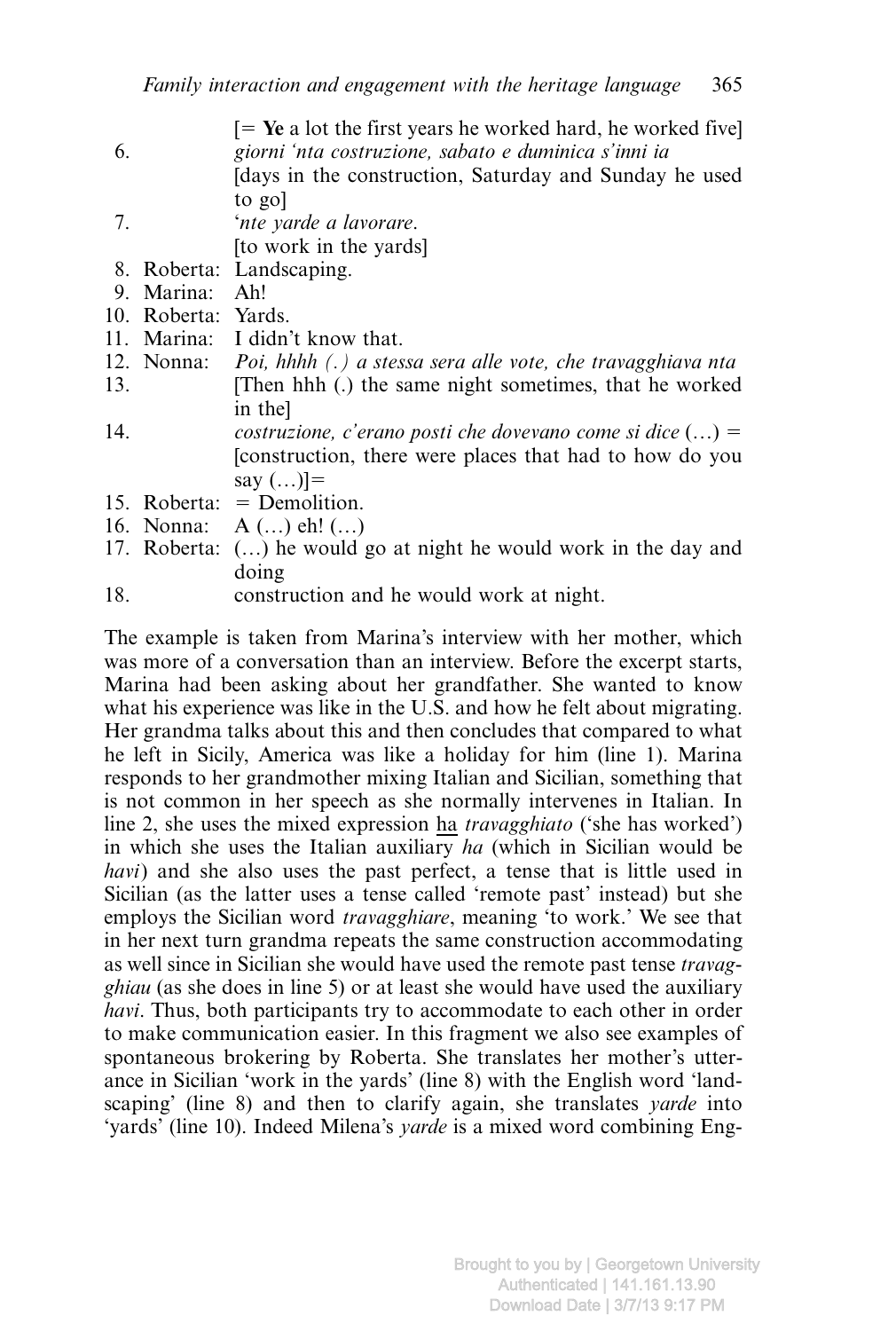|     |                     | Family interaction and engagement with the heritage language<br>365                                                                                                                                                 |
|-----|---------------------|---------------------------------------------------------------------------------------------------------------------------------------------------------------------------------------------------------------------|
| 6.  |                     | $\mathbf{r} = \mathbf{v}$ a lot the first years he worked hard, he worked five<br>giorni 'nta costruzione, sabato e duminica s'inni ia<br>[days in the construction, Saturday and Sunday he used<br>to go]          |
| 7.  |                     | 'nte yarde a lavorare.                                                                                                                                                                                              |
|     |                     | [to work in the yards]                                                                                                                                                                                              |
|     |                     | 8. Roberta: Landscaping.                                                                                                                                                                                            |
|     | 9. Marina:          | Ah!                                                                                                                                                                                                                 |
|     | 10. Roberta: Yards. |                                                                                                                                                                                                                     |
|     |                     | 11. Marina: I didn't know that.                                                                                                                                                                                     |
|     | 12. Nonna:          | Poi, hhhh (.) a stessa sera alle vote, che travagghiava nta                                                                                                                                                         |
| 13. |                     | [Then hhh (.) the same night sometimes, that he worked<br>in the]                                                                                                                                                   |
| 14. |                     | costruzione, c'erano posti che dovevano come si dice $() =$<br>(construction, there were places that had to how do you<br>say $()$ =                                                                                |
|     |                     | 15. Roberta: $=$ Demolition.                                                                                                                                                                                        |
|     | 16. Nonna:          | $A$ () eh! ()                                                                                                                                                                                                       |
|     |                     | 17. Roberta: () he would go at night he would work in the day and<br>doing                                                                                                                                          |
| 18. |                     | construction and he would work at night.                                                                                                                                                                            |
|     |                     | The example is taken from Marina's interview with her mother, which<br>was more of a conversation than an interview. Before the excerpt starts,<br>Marina had been asking about her grandfather. She wanted to know |

16. Nonna: A (...) eh! (...)<br>
17. Roberta: (...) he would go at night he would work in the day and<br>
18. construction and he would work at night.<br>
18. construction and he would work at night.<br>
18. The example is taken from 17. Roberta: (...) he would go at night he would work in the day and<br>doing<br>18. construction and he would work at night.<br>The example is taken from Marina's interview with her mother, which<br>was more of a conversation than an doing<br>construction and he would work at night.<br>The example is taken from Marina's interview with her mother, which<br>was more of a conversation than an interview. Before the excerpt starts,<br>Marina had been asking about her g 18. Construction and he would work at night.<br>The example is taken from Marina's interview with her mother, which<br>was more of a conversation than an interview. Before the excerpt starts,<br>Marina had been asking about her gra The example is taken from Marina's interview with her mother, which<br>was more of a conversation than an interview. Before the excerpt starts,<br>Marina had been asking about her grandfather. She wanted to know<br>what his experie The example is taken from Marina's interview with her mother, which<br>was more of a conversation than an interview. Before the excerpt starts,<br>Marina had been asking about her grandfather. She wanted to know<br>what his experie was more of a conversation than an interview. Before the excerpt starts,<br>Marina had been asking about her grandfather. She wanted to know<br>what his experience was like in the U.S. and how he felt about migrating.<br>Her grand Marina nad been asking about her grandiather. She wanted to know<br>what his experience was like in the U.S. and how he felt about migrating.<br>Her grandma talks about this and then concludes that compared to what<br>he left in S what his experience was like in the U.S. and how he felt about migrating.<br>Her grandma talks about this and then concludes that compared to what<br>he left in Sicily, America was like a holiday for him (line 1). Marina<br>respond *havi*) and she also uses the past perfect, a tense that compared to what the left in Sicily, America was like a holiday for him (line 1). Marina responds to her grandmother mixing Italian and Sicilian, something that is n The left in Sicily, America was like a holiday for him (line 1). Marina responds to her grandmother mixing Italian and Sicilian, something that is not common in her speech as she normally intervenes in Italian. In line 2, responds to her grandmother mixing Italian and Sicilian, something that<br>is not common in her speech as she normally intervenes in Italian. In<br>line 2, she uses the mixed expression <u>ha</u> *travagghiato* ('she has worked')<br>in is not common in her speech as she normally intervenes in Italian. In line 2, she uses the mixed expression <u>ha</u> *travagghiato* ('she has worked') in which she uses the Italian auxiliary *ha* (which in Sicilian would be in which she uses the mixed expression  $\underline{n}a$  *travagghiato* ('she has worked')<br>in which she uses the Italian auxiliary ha (which in Sicilian would be<br>havi) and she also uses the past perfect, a tense that is little use *ghiau* (as the dottor in Scruan and the past perfect, a tense that is little used in Sicilian (as the latter uses a tense called 'remote past' instead) but she employs the Sicilian word *travagghiare*, meaning 'to work.' *havi*) and she also uses the past perfect, a tense that is little used in Sicilian (as the latter uses a tense called 'remote past' instead) but she employs the Sicilian word *travagghiare*, meaning 'to work.' We see that Sicilian (as the latter uses a tense called 'remote past' instead) but she employs the Sicilian word *travagghiare*, meaning 'to work.' We see that in her next turn grandma repeats the same construction accommodating as w employs the Sicilian word *travagghiare*, meaning to work. We see that<br>in her next turn grandma repeats the same construction accommodating<br>as well since in Sicilian she would have used the remote past tense *travag-*<br>ghia in her next turn grandma repeats the same construction accommodating<br>as well since in Sicilian she would have used the remote past tense *travag-*<br>*ghiau* (as she does in line 5) or at least she would have used the auxili as well since in Sicilian she would have used the remote past tense *travag-*<br>*haul* (as she does in line 5) or at least she would have used the auxiliary<br>*havi*. Thus, both participants try to accommodate to each other in gniau (as she does in line 5) or at least she would have used the auxiliary havi. Thus, both participants try to accommodate to each other in order to make communication easier. In this fragment we also see examples of spo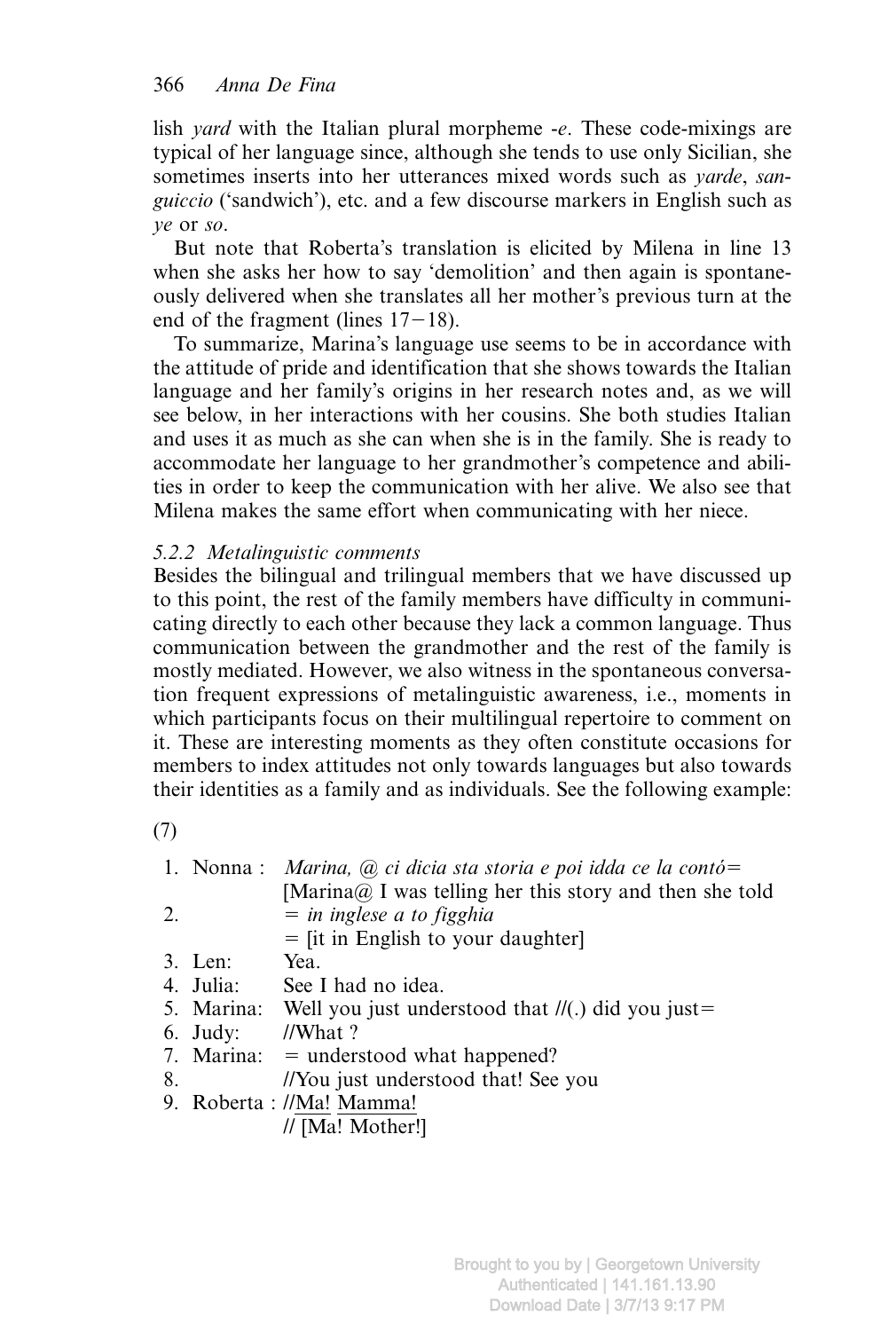<sup>366</sup> *Anna De Fina Anna De Fina*<br>lish *yard* with the Italian plural morpheme *-e*. These code-mixings are<br>typical of her language since, although she tends to use only Sicilian, she<br>sometimes inserts into her utterances mixed words such as Anna De Fina<br>
lish yard with the Italian plural morpheme -e. These code-mixings are<br>
typical of her language since, although she tends to use only Sicilian, she<br>
sometimes inserts into her utterances mixed words such as *y* 366 Anna De Fina<br>lish yard with the Italian plural morpheme -e. These code-mixings are<br>typical of her language since, although she tends to use only Sicilian, she<br>sometimes inserts into her utterances mixed words such as *guiccio* (*Anna De Fina*<br> *guish yard* with the Italian plural morpheme -*e*. These code-mixings are<br> *guyoical* of her language since, although she tends to use only Sicilian, she<br>
sometimes inserts into her utterances m *yard* with the Italian plural morpheme -*e*. These code-mixings are typical of her language since, although she tends to use only Sicilian, she sometimes inserts into her utterances mixed words such as *yarde*, *sanguicci* when the France sheet as a stypical of her language since, although she tends to use only Sicilian, she<br>sometimes inserts into her utterances mixed words such as *yarde*, *sanguiccio* ('sandwich'), etc. and a few discours

by pical of the fanguage since, antiough she tends to use only sichian, she<br>sometimes inserts into her utterances mixed words such as *yarde*, *sanguiccio* ('sandwich'), etc. and a few discourse markers in English such as sometimes inserts into her utterances mixed words such as *yarde*, *sanguiccio* ('sandwich'), etc. and a few discourse markers in English such as *ye* or *so*.<br>But note that Roberta's translation is elicited by Milena in The summarize, Marina's language use seems to be in accordance with<br>a summarize, Marina's translation is elicited by Milena in line 13<br>then she asks her how to say 'demolition' and then again is spontane-<br>sly delivered wh be of so.<br>But note that Roberta's translation is elicited by Milena in line 13<br>when she asks her how to say 'demolition' and then again is spontane-<br>ously delivered when she translates all her mother's previous turn at th

But note that Roberta's transfation is encired by Mileria in line 15<br>when she asks her how to say 'demolition' and then again is spontane-<br>ously delivered when she translates all her mother's previous turn at the<br>end of t when she asks her how to say demontion and then again is spondanc-<br>ously delivered when she translates all her mother's previous turn at the<br>end of the fragment (lines  $17-18$ ).<br>To summarize, Marina's language use seems t busy denverted when she translates an her mother s previous turn at the<br>end of the fragment (lines  $17-18$ ).<br>To summarize, Marina's language use seems to be in accordance with<br>the attitude of pride and identification that the attitude of pride and identification that she shows towards the Italian language and her family's origins in her research notes and, as we will see below, in her interactions with her cousins. She both studies Italian To summarize, warma's anguage use seems to be in accordance with<br>the attitude of pride and identification that she shows towards the Italian<br>language and her family's origins in her research notes and, as we will<br>see below In a tinduct of price and definited to that site shows towards the rianan language and her family's origins in her research notes and, as we will see below, in her interactions with her cousins. She both studies Italian an see below, in her interactions with he<br>and uses it as much as she can when s<br>accommodate her language to her gra<br>ties in order to keep the communicati<br>Milena makes the same effort when c<br>5.2.2 *Metalinguistic comments*<br>Bes and uses it as much as she can when she is in the family. She is ready to<br>accommodate her language to her grandmother's competence and abili-<br>ties in order to keep the communication with her alive. We also see that<br>Milena

accommodate her language to her grandmother's competence and abili-<br>ties in order to keep the communication with her alive. We also see that<br>Milena makes the same effort when communicating with her niece.<br>5.2.2 Metalinguis ties in order to keep the communication with her alive. We also see that<br>Milena makes the same effort when communicating with her niece.<br>5.2.2 Metalinguistic comments<br>Besides the bilingual and trilingual members that we ha Milena makes the same effort when communicating with her niece.<br>5.2.2 Metalinguistic comments<br>Besides the bilingual and trilingual members that we have discussed up<br>to this point, the rest of the family members have diffic 5.2.2 *Metalinguistic comments*<br>Besides the bilingual and trilingual members that we have discussed up<br>to this point, the rest of the family members have difficulty in communi-<br>cating directly to each other because they la Besides the bilingual and trilingual members that we have discussed up<br>to this point, the rest of the family members have difficulty in communi-<br>cating directly to each other because they lack a common language. Thus<br>commu Besides the binngual and trinngual members that we have discussed up<br>to this point, the rest of the family members have difficulty in communi-<br>cating directly to each other because they lack a common language. Thus<br>communi to this point, the rest of the rainity inembers have difficulty in communi-<br>cating directly to each other because they lack a common language. Thus<br>communication between the grandmother and the rest of the family is<br>mostly cating unectly to each other because they fack a common fanguage. Thus<br>communication between the grandmother and the rest of the family is<br>mostly mediated. However, we also witness in the spontaneous conversa-<br>tion frequen communication between the grandhother and the rest of the rainity is<br>mostly mediated. However, we also witness in the spontaneous conversa-<br>tion frequent expressions of metalinguistic awareness, i.e., moments in<br>which part 1. These are interesting moments as they often constitute occasions for<br>nembers to index attitudes not only towards languages but also towards<br>heir identities as a family and as individuals. See the following example:<br>7)<br>

(7)

|     |            | members to index attitudes not only towards languages but also towards<br>their identities as a family and as individuals. See the following example: |
|-----|------------|-------------------------------------------------------------------------------------------------------------------------------------------------------|
| (7) |            |                                                                                                                                                       |
|     |            | 1. Nonna : Marina, $\omega$ ci dicia sta storia e poi idda ce la contó=                                                                               |
|     |            | [Marina@ I was telling her this story and then she told                                                                                               |
| 2.  |            | $=$ in inglese a to figghia                                                                                                                           |
|     |            | $=$ [it in English to your daughter]                                                                                                                  |
|     | $3.$ Len:  | Yea.                                                                                                                                                  |
|     | 4. Julia:  | See I had no idea.                                                                                                                                    |
|     |            | 5. Marina: Well you just understood that $\mathcal{U}(\cdot)$ did you just =                                                                          |
|     | $6.$ Judy: | //What ?                                                                                                                                              |
|     |            | 7. Marina: $=$ understood what happened?                                                                                                              |
| 8.  |            | //You just understood that! See you                                                                                                                   |
|     |            | 9. Roberta : //Ma! Mamma!                                                                                                                             |
|     |            | // [Ma! Mother!]                                                                                                                                      |
|     |            |                                                                                                                                                       |
|     |            |                                                                                                                                                       |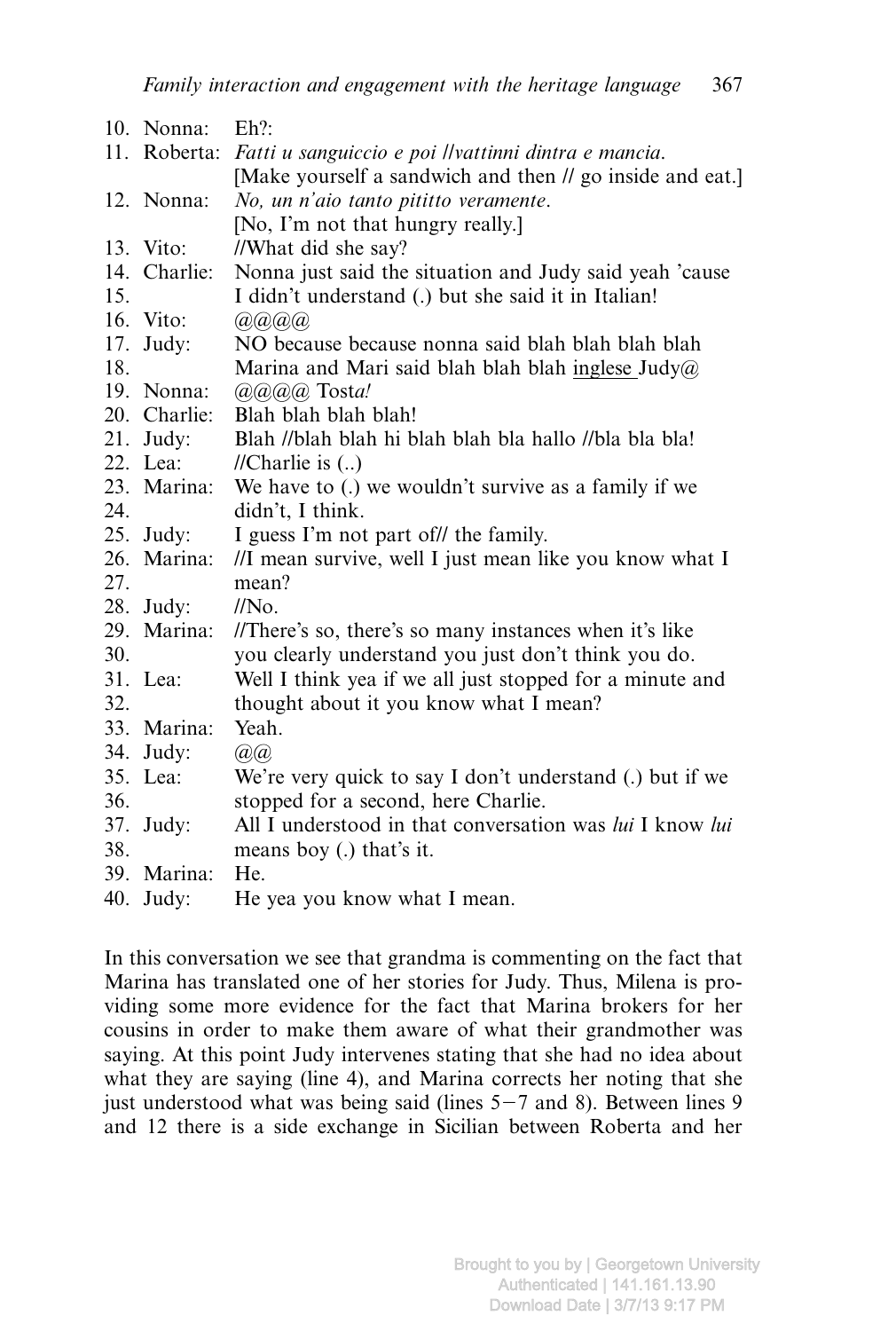|     |              | 367<br>Family interaction and engagement with the heritage language                                                            |
|-----|--------------|--------------------------------------------------------------------------------------------------------------------------------|
|     | 10. Nonna:   | $Eh$ ?:                                                                                                                        |
|     |              | 11. Roberta: Fatti u sanguiccio e poi llvattinni dintra e mancia.<br>[Make yourself a sandwich and then // go inside and eat.] |
|     | 12. Nonna:   | No, un n'aio tanto pititto veramente.                                                                                          |
|     | 13. Vito:    | [No, I'm not that hungry really.]<br>//What did she say?                                                                       |
|     | 14. Charlie: | Nonna just said the situation and Judy said yeah 'cause                                                                        |
| 15. |              | I didn't understand (.) but she said it in Italian!                                                                            |
|     | 16. Vito:    | $(a)\overline{a}\overline{a}\overline{a}$                                                                                      |
|     | 17. Judy:    | NO because because nonna said blah blah blah blah                                                                              |
| 18. | 19. Nonna:   | Marina and Mari said blah blah blah inglese Judy $\omega$                                                                      |
|     | 20. Charlie: | $(a)$ $(a)$ $(a)$ Tosta!<br>Blah blah blah blah!                                                                               |
|     | $21.$ Judy:  | Blah //blah blah hi blah blah bla hallo //bla bla bla!                                                                         |
|     | 22. Lea:     | //Charlie is $(.)$                                                                                                             |
|     |              | 23. Marina: We have to (.) we wouldn't survive as a family if we                                                               |
| 24. |              | didn't, I think.                                                                                                               |
|     | 25. Judy:    | I guess I'm not part of// the family.                                                                                          |
| 27. | 26. Marina:  | //I mean survive, well I just mean like you know what I<br>mean?                                                               |
|     | 28. Judy:    | //No.                                                                                                                          |
|     | 29. Marina:  | //There's so, there's so many instances when it's like                                                                         |
| 30. |              | you clearly understand you just don't think you do.                                                                            |
|     | 31. Lea:     | Well I think yea if we all just stopped for a minute and                                                                       |
| 32. |              | thought about it you know what I mean?                                                                                         |
|     | 33. Marina:  | Yeah.                                                                                                                          |
|     | 34. Judy:    | (a)                                                                                                                            |
|     | 35. Lea:     | We're very quick to say I don't understand (.) but if we<br>stopped for a second, here Charlie.                                |
| 36. | 37. Judy:    | All I understood in that conversation was lui I know lui                                                                       |
| 38. |              | means boy (.) that's it.                                                                                                       |
|     | 39. Marina:  | He.                                                                                                                            |
|     | 40. Judy:    | He yea you know what I mean.                                                                                                   |
|     |              |                                                                                                                                |

In this conversation we see that grandma is commenting on the fact that<br>Marina has translated one of her stories for Judy. Thus, Milena is providing some more evidence for the fact that Marina brokers for her 39. Marina: He.<br>40. Judy: He yea you know what I mean.<br>In this conversation we see that grandma is commenting on the fact that<br>Marina has translated one of her stories for Judy. Thus, Milena is pro-<br>viding some more eviden 40. Judy: He yea you know what I mean.<br>
In this conversation we see that grandma is commenting on the fact that<br>
Marina has translated one of her stories for Judy. Thus, Milena is pro-<br>
viding some more evidence for the fa In this conversation we see that grandma is commenting on the fact that Marina has translated one of her stories for Judy. Thus, Milena is providing some more evidence for the fact that Marina brokers for her cousins in o In this conversation we see that grandma is commenting on the fact that<br>Marina has translated one of her stories for Judy. Thus, Milena is pro-<br>viding some more evidence for the fact that Marina brokers for her<br>cousins in In this conversation we see that grandina is commenting on the ract that<br>Marina has translated one of her stories for Judy. Thus, Milena is pro-<br>viding some more evidence for the fact that Marina brokers for her<br>cousins i widing some more evidence for the fact that Marina brokers for her cousins in order to make them aware of what their grandmother was saying. At this point Judy intervenes stating that she had no idea about what they are s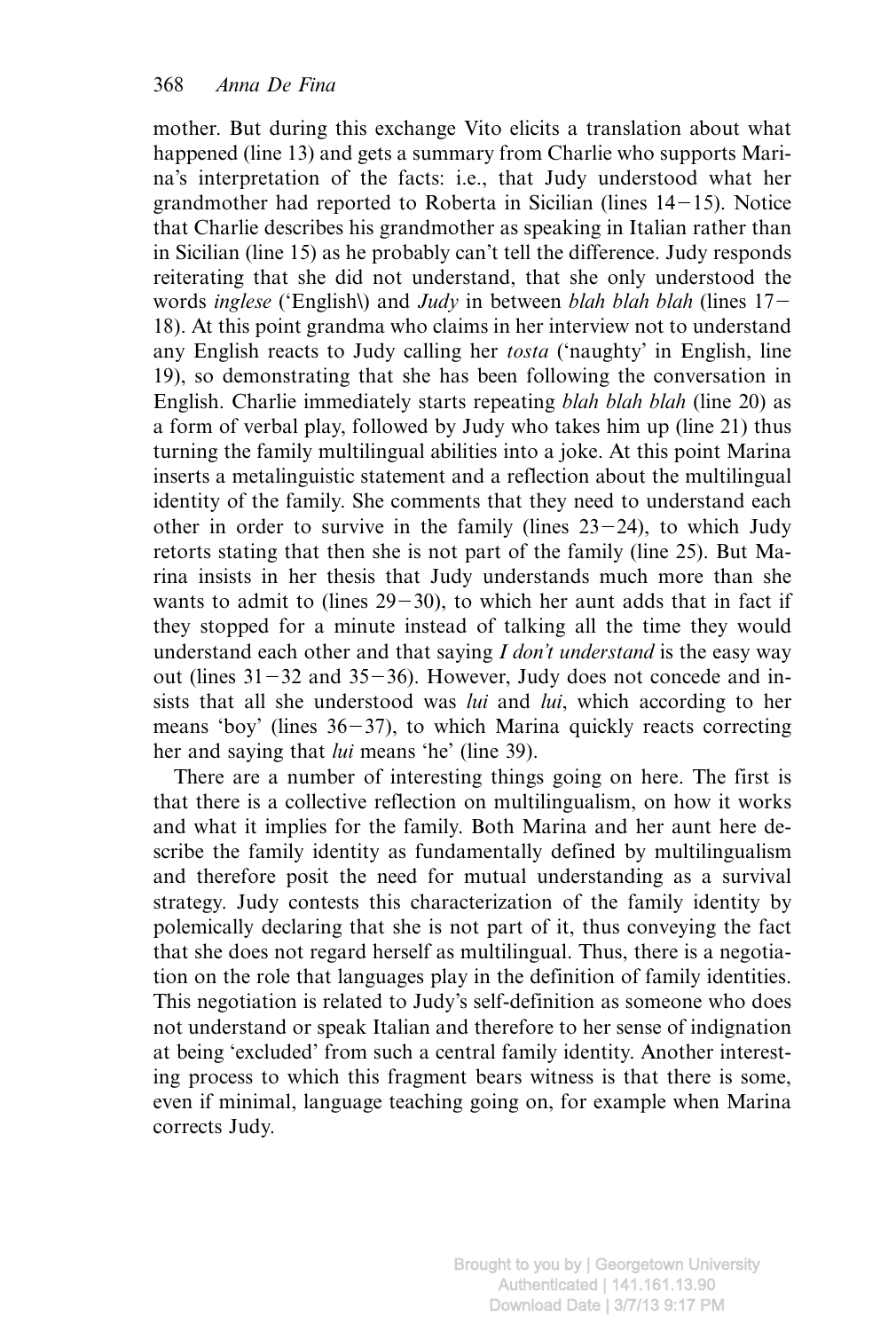<sup>368</sup> *Anna De Fina Anna De Fina*<br>mother. But during this exchange Vito elicits a translation about what<br>happened (line 13) and gets a summary from Charlie who supports Mari-<br>na's interpretation of the facts: i.e., that, Judy understood what *Anna De Fina*<br>mother. But during this exchange Vito elicits a translation about what<br>happened (line 13) and gets a summary from Charlie who supports Mari-<br>na's interpretation of the facts: i.e., that Judy understood what 368 Anna De Fina<br>mother. But during this exchange Vito elicits a translation about what<br>happened (line 13) and gets a summary from Charlie who supports Mari-<br>na's interpretation of the facts: i.e., that Judy understood wha 368 Anna De Fina<br>mother. But during this exchange Vito elicits a translation about what<br>happened (line 13) and gets a summary from Charlie who supports Mari-<br>na's interpretation of the facts: i.e., that Judy understood wh mother. But during this exchange Vito elicits a translation about what<br>happened (line 13) and gets a summary from Charlie who supports Mari-<br>na's interpretation of the facts: i.e., that Judy understood what her<br>grandmothe mother. But during this exchange Vito elicits a translation about what<br>happened (line 13) and gets a summary from Charlie who supports Mari-<br>na's interpretation of the facts: i.e., that Judy understood what her<br>grandmother happened (line 13) and gets a summary from Charlie who supports Mari-<br>na's interpretation of the facts: i.e., that Judy understood what her<br>grandmother had reported to Roberta in Sicilian (lines 14–15). Notice<br>that Charli ma's interpretation of the facts: i.e., that Judy understood what her<br>grandmother had reported to Roberta in Sicilian (lines 14–15). Notice<br>that Charlie describes his grandmother as speaking in Italian rather than<br>in Sicil grandmother had reported to Roberta in Sicilian (lines  $14-15$ ). Notice<br>that Charlie describes his grandmother as speaking in Italian rather than<br>in Sicilian (line 15) as he probably can't tell the difference. Judy respon that Charlie describes his grandmother as speaking in Italian rather than<br>in Sicilian (line 15) as he probably can't tell the difference. Judy responds<br>reiterating that she did not understand, that she only understood the<br> in Sicilian (line 15) as he probably can't tell the difference. Judy responds<br>reiterating that she did not understand, that she only understood the<br>words *inglese* ('English)) and *Judy* in between *blah blah blah* (lines reiterating that she did not understand, that she only understood the<br>words *inglese* ('English) and *Judy* in between *blah blah blah* (lines 17–<br>18). At this point grandma who claims in her interview not to understand<br>an words *inglese* ('English') and *Judy* in between *blah blah (lines* 17–18). At this point grandma who claims in her interview not to understand any English reacts to Judy calling her *tosta* ('naughty' in English, line 1 18). At this point grandma who claims in her interview not to understand<br>any English reacts to Judy calling her *tosta* ('naughty' in English, line<br>19), so demonstrating that she has been following the conversation in<br>Engl any English reacts to Judy calling her *tosta* ('naughty' in English, line 19), so demonstrating that she has been following the conversation in English. Charlie immediately starts repeating *blah blah blah* (line 20) as 19), so demonstrating that she has been following the conversation in English. Charlie immediately starts repeating *blah blah blah* (line 20) as a form of verbal play, followed by Judy who takes him up (line 21) thus tur English. Charlie immediately starts repeating *blah blah blah* (line 20) as a form of verbal play, followed by Judy who takes him up (line 21) thus turning the family multilingual abilities into a joke. At this point Mari a form of verbal play, followed by Judy who takes him up (line 21) thus<br>turning the family multilingual abilities into a joke. At this point Marina<br>inserts a metalinguistic statement and a reflection about the multilingua turning the family multilingual abilities into a joke. At this point Marina<br>inserts a metalinguistic statement and a reflection about the multilingual<br>identity of the family. She comments that they need to understand each inserts a metalinguistic statement and a reflection about the multilingual<br>identity of the family. She comments that they need to understand each<br>other in order to survive in the family (lines 23–24), to which Judy<br>retort identity of the family. She comments that they need to understand each<br>other in order to survive in the family (lines  $23-24$ ), to which Judy<br>retorts stating that then she is not part of the family (line 25). But Ma-<br>rina other in order to survive in the family (lines  $23-24$ ), to which Judy<br>retorts stating that then she is not part of the family (line 25). But Ma-<br>rina insists in her thesis that Judy understands much more than she<br>wants t other in order to survive in the family (lines  $23-24$ ), to which Judy<br>retorts stating that then she is not part of the family (line 25). But Ma-<br>rina insists in her thesis that Judy understands much more than she<br>wants t wants to admit to (lines  $29-30$ ), to which her aunt adds that in fact if they stopped for a minute instead of talking all the time they would understand each other and that saying *I don't understand* is the easy way out wants to admit to (lines 29–30), to which her aunt adds that in fact if<br>they stopped for a minute instead of talking all the time they would<br>understand each other and that saying *I don't understand* is the easy way<br>out ( they stopped for a minute instead of talking a<br>understand each other and that saying *I don't une*<br>out (lines  $31-32$  and  $35-36$ ). However, Judy do<br>sists that all she understood was *lui* and *lui*, v<br>means 'boy' (lines derstand each other and that saying *I don't understand* is the easy way<br>
it (lines  $31-32$  and  $35-36$ ). However, Judy does not concede and in-<br>
its that all she understood was *lui* and *lui*, which according to her<br>
ea out (lines  $31-32$  and  $35-36$ ). However, Judy does not concede and insists that all she understood was *lui* and *lui*, which according to her means 'boy' (lines  $36-37$ ), to which Marina quickly reacts correcting her an

sists that all she understood was *lui* and *lui*, which according to her means 'boy' (lines  $36-37$ ), to which Marina quickly reacts correcting her and saying that *lui* means 'he' (line 39). There are a number of intere means 'boy' (lines 36-37), to which Marina quickly reacts correcting<br>her and saying that *lui* means 'he' (line 39).<br>There are a number of interesting things going on here. The first is<br>that there is a collective reflecti her and saying that *lui* means 'he' (line 39).<br>There are a number of interesting things going on here. The first is<br>that there is a collective reflection on multilingualism, on how it works<br>and what it implies for the fam There are a number of interesting things going on here. The first is<br>that there is a collective reflection on multilingualism, on how it works<br>and what it implies for the family. Both Marina and her aunt here de-<br>scribe th that there is a collective reflection on multilingualism, on how it works<br>and what it implies for the family. Both Marina and her aunt here de-<br>scribe the family identity as fundamentally defined by multilingualism<br>and the and what it implies for the family. Both Marina and her aunt here describe the family identity as fundamentally defined by multilingualism<br>and therefore posit the need for mutual understanding as a survival<br>strategy. Judy scribe the family identity as fundamentally defined by multilingualism<br>and therefore posit the need for mutual understanding as a survival<br>strategy. Judy contests this characterization of the family identity by<br>polemically and therefore posit the need for mutual understanding as a survival<br>strategy. Judy contests this characterization of the family identity by<br>polemically declaring that she is not part of it, thus conveying the fact<br>that she strategy. Judy contests this characterization of the family identity by<br>polemically declaring that she is not part of it, thus conveying the fact<br>that she does not regard herself as multilingual. Thus, there is a negotia-<br> polemically declaring that she is not part of it, thus conveying the fact<br>that she does not regard herself as multilingual. Thus, there is a negotia-<br>tion on the role that languages play in the definition of family identit I that she does not regard herself as multilingual. Thus, there is a negotiation on the role that languages play in the definition of family identities.<br>This negotiation is related to Judy's self-definition as someone who tion on the role that languages play in the definition of family identities.<br>This negotiation is related to Judy's self-definition as someone who does<br>not understand or speak Italian and therefore to her sense of indignati This negotiation is<br>not understand or s<br>at being 'excluded'<br>ing process to whic<br>even if minimal, lan<br>corrects Judy.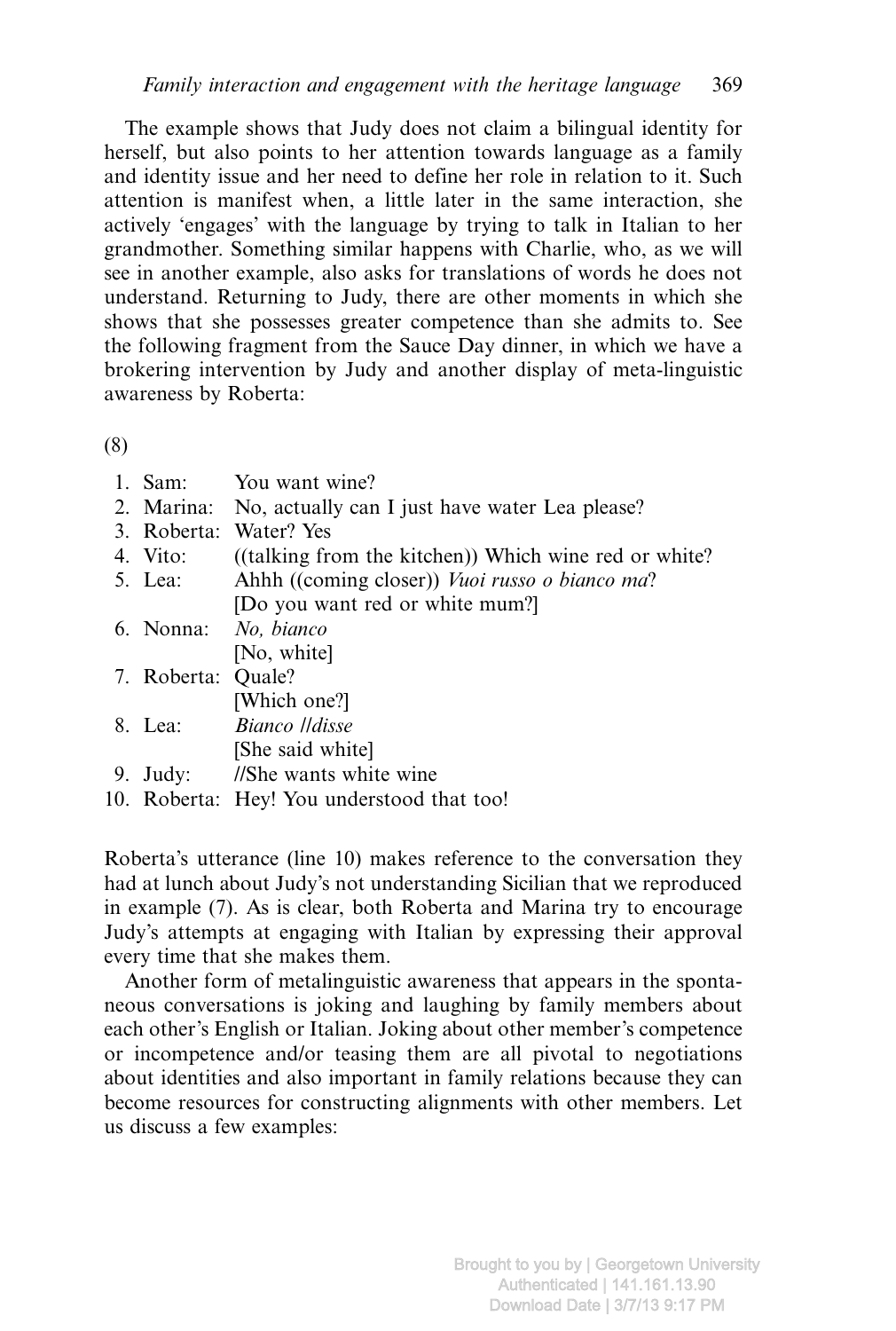Family interaction and engagement with the heritage language 369<br>The example shows that Judy does not claim a bilingual identity for<br>herself, but also points to her attention towards language as a family<br>and identity issue Family interaction and engagement with the heritage language 369<br>The example shows that Judy does not claim a bilingual identity for<br>herself, but also points to her attention towards language as a family<br>and identity issue Family interaction and engagement with the heritage language 369<br>The example shows that Judy does not claim a bilingual identity for<br>herself, but also points to her attention towards language as a family<br>and identity issue Family interaction and engagement with the heritage language 369<br>The example shows that Judy does not claim a bilingual identity for<br>herself, but also points to her attention towards language as a family<br>and identity issue Famuy interaction and engagement with the heritage language 509<br>The example shows that Judy does not claim a bilingual identity for<br>herself, but also points to her attention towards language as a family<br>and identity issue The example shows that Judy does not claim a bilingual identity for herself, but also points to her attention towards language as a family and identity issue and her need to define her role in relation to it. Such attentio The example shows that stay does not claim a omigual identity for<br>herself, but also points to her attention towards language as a family<br>and identity issue and her need to define her role in relation to it. Such<br>attention netsen, out also points to her attention towards language as a rainity<br>and identity issue and her need to define her role in relation to it. Such<br>attention is manifest when, a little later in the same interaction, she<br>acti attention is manifest when, a little later in the same interaction, she actively 'engages' with the language by trying to talk in Italian to her grandmother. Something similar happens with Charlie, who, as we will see in a attention is mannest when, a ntite latter in the same interaction, she<br>actively 'engages' with the language by trying to talk in Italian to her<br>grandmother. Something similar happens with Charlie, who, as we will<br>see in an actively engages with the tanguage by trying to tark in fundati to her grandmother. Something similar happens with Charlie, who, as we will see in another example, also asks for translations of words he does not understand grammomer. Someting sh<br>see in another example, also<br>understand. Returning to J<br>shows that she possesses g<br>the following fragment from<br>brokering intervention by J<br>awareness by Roberta: the following fragment from the Sauce Day dinner, in which we have a brokering intervention by Judy and another display of meta-linguistic awareness by Roberta:

(8)

| 1. Sam:            | You want wine?                                            |
|--------------------|-----------------------------------------------------------|
|                    | 2. Marina: No, actually can I just have water Lea please? |
|                    | 3. Roberta: Water? Yes                                    |
| 4. Vito:           | ((talking from the kitchen)) Which wine red or white?     |
| 5. Lea:            | Ahhh ((coming closer)) Vuoi russo o bianco ma?            |
|                    | [Do you want red or white mum?]                           |
| 6. Nonna:          | No, bianco                                                |
|                    | [No, white]                                               |
| 7. Roberta: Quale? |                                                           |
|                    | [Which one?]                                              |
| 8. Lea:            | Bianco Ildisse                                            |
|                    | [She said white]                                          |
| $9. \text{Judy:}$  | //She wants white wine                                    |
|                    | 10. Roberta: Hey! You understood that too!                |

[She said white]<br>
9. Judy: //She wants white wine<br>
10. Roberta: Hey! You understood that too!<br>
Roberta's utterance (line 10) makes reference to the conversation they<br>
had at lunch about Judy's not understanding Sicilian th 9. Judy: //She wants white wine<br>10. Roberta: Hey! You understood that too!<br>Roberta's utterance (line 10) makes reference to the conversation they<br>had at lunch about Judy's not understanding Sicilian that we reproduced<br>in e Roberta's utterance (line 10) makes reference to the conversation they had at lunch about Judy's not understanding Sicilian that we reproduced in example (7). As is clear, both Roberta and Marina try to encourage Judy's at Roberta's utterance (line 10) makes in<br>had at lunch about Judy's not underst<br>in example (7). As is clear, both Rob<br>Judy's attempts at engaging with Ita<br>every time that she makes them.<br>Another form of metalinguistic awa berta's utterance (line 10) makes reference to the conversation they<br>d at lunch about Judy's not understanding Sicilian that we reproduced<br>example (7). As is clear, both Roberta and Marina try to encourage<br>dy's attempts at neover a statemet (the To) makes reference to the conversation they<br>had at lunch about Judy's not understanding Sicilian that we reproduced<br>in example (7). As is clear, both Roberta and Marina try to encourage<br>Judy's attem

in example (7). As is clear, both Roberta and Marina try to encourage<br>Judy's attempts at engaging with Italian by expressing their approval<br>every time that she makes them.<br>Another form of metalinguistic awareness that appe In example (7). To is easily compresent and Marina if y to encourage<br>Judy's attempts at engaging with Italian by expressing their approval<br>every time that she makes them.<br>Another form of metalinguistic awareness that appe about identifies a tend also important in family by captures and approvant every time that she makes them.<br>Another form of metalinguistic awareness that appears in the spontaneous conversations is joking and laughing by fa Another form of metalinguistic awareness that appears in the sponta-<br>neous conversations is joking and laughing by family members about<br>each other's English or Italian. Joking about other member's competence<br>or incompetenc neous conversations is joking and laughing by family members about<br>each other's English or Italian. Joking about other member's competence<br>or incompetence and/or teasing them are all pivotal to negotiations<br>about identitie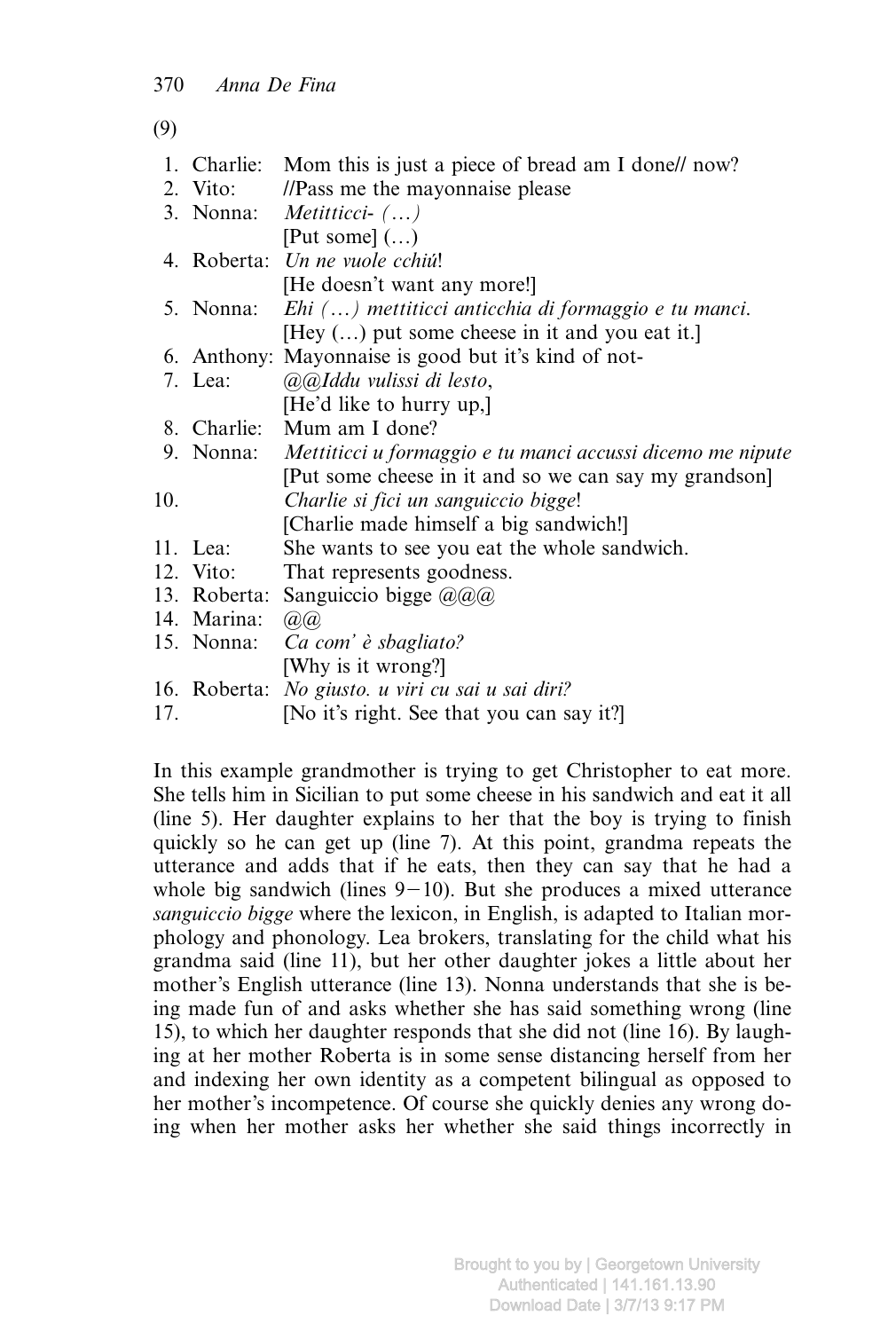(9)

- 2. The *Anna De Fina*<br>
1. Charlie: Mom this is just a piece of bread am I done// now?<br>
2. Vito: //Pass me the mayonnaise please<br>
3. Nonna: *Metitticci*-(c) 2. *Anna De Fina*<br>
2. Vito: *Mom this is just a piece of bread am I de*<br>
2. Vito: *//Pass me the mayonnaise please*<br>
3. Nonna: *Metitticci*- (...)<br>
[Put some] (...) 3. *Anna De Fina*<br>3. Charlie: Mom this is just a piece of<br>3. Nonna: *Metitticci-* (...)<br><sup>1</sup> [Put some] (...)<br>4 Roberta: *In ne vuole cchiú* 1. Charlie: Mom this is just a piece of bread am I done// now?<br>
2. Vito: //Pass me the mayonnaise please<br>
3. Nonna: *Metitticci*- $(...)$ <br>
[Put some]  $(...)$ <br>
4. Roberta: *Un ne vuole cchiú*!<br>
[He doesn't want any more!] 4. Charlie: Mom this is just a piece<br>
2. Vito: //Pass me the mayonna<br>
3. Nonna: *Metitticci*- (...)<br>
[Put some] (...)<br>
4. Roberta: *Un ne vuole cchiu*́!<br>
[He doesn't want any n<br>
5. Nonna: *Fhi* (...) mettitics anti-
- 
- 
- 
- -
- Mom this is just a piece of bread<br>  $d$ <br>  $H$  as me the mayonnaise please<br>  $M$ etitticci (...)<br>
[Put some] (...)<br>  $Un$  ne vuole cchiú!<br>
[He doesn't want any more!]<br>  $Ehi$  (...) mettiticci anticchia di for<br>  $H$  Hev (...) put so 1. Charle. Molt this is just a piece of oread and 1 done/1 now:<br>
2. Vito: //Pass me the mayonnaise please<br>
3. Nonna: *Metitticci* (...)<br>
[Put some] (...)<br>
4. Roberta: *Un ne vuole cchiú*!<br>
[He doesn't want any more!]<br>
5. N *H* ass inc the mayomalse prease<br> *Metitticci* (...)<br>
[Put some] (...)<br> *Un ne vuole cchiú!*<br>
[He doesn't want any more!]<br> *Ehi (...)* mettiticci anticchia di formaggio e tu manci<br>
[Hey (...) put some cheese in it and you
- 
- 6. Noberta: *Un ne vuole cchiú!*<br>
[Put some] (...)<br>
4. Roberta: *Un ne vuole cchiú!*<br>
[He doesn't want any more!]<br>
5. Nonna: *Ehi (...) mettiticci anticchia di formaggia*<br>
[Hey (...) put some cheese in it and you<br>
6. Anth 4. Roberta: *Un ne vuole cchiú!*<br>
[He doesn't want any more!]<br>
5. Nonna: *Ehi (...) mettitice anticchia*<br>
[Hey (...) put some cheese in<br>
6. Anthony: Mayonnaise is good but it's l<br>
7. Lea: @@Iddu vulissi di lesto,<br>
[He'd li En the value centa:<br>
[He doesn't want any more!]<br> *Ehi (...)* mettiticci anticchia<br>
[Hey (...) put some cheese in<br>
Mayonnaise is good but it's  $@QIddu$  vulssi di lesto,<br>
[He'd like to hurry up,]<br>
Mum am I done?<br> *Mettiticci* 5. Nonna: *Ehi (...)* mettiticci antice<br>
[Hey (...) put some chees<br>
6. Anthony: Mayonnaise is good but<br>
7. Lea: @@Iddu vulissi di lesto,<br>
[He'd like to hurry up,]<br>
8. Charlie: Mum am I done?<br>
9. Nonna: *Mettiticci u forma*
- 
- 9. Nonna: *Em* (...) *metutica uniterial at jornaggio e tu manci*.<br>
[Hey (...) put some cheese in it and you eat it.]<br>
6. Anthony: Mayonnaise is good but it's kind of not-<br>
7. Lea: @@Iddu vulissi di lesto,<br>
[He'd like to [Hey (...) put some cheese in it and you eat it.]<br>
Mayonnaise is good but it's kind of not-<br>  $@@Iddu$  vulissi di lesto,<br>
[He'd like to hurry up,]<br>
Mum am I done?<br> *Mettiticci u formaggio e tu manci accussi dicemo me nipute* 11 Lea: *Carlie si fici un sanguiccio bigge*!<br>
10. **Charlie** si fici un sanguiccio bigge!<br>
10. **Charlie** si fici un sanguiccio bigge!<br>
11 Lea: She wants to see you gat the whole sanguing the same of the single signal singl (@@Iddu vulissi di lesto,<br>
[He'd like to hurry up,]<br>
Mum am I done?<br>
Mettiticci u formaggio e tu manci accussi dicemo me nipute<br>
[Put some cheese in it and so we can say my grandson]<br>
Charlie si fici un sanguiccio bigge!<br> 11. S. Charlie: Mum am I done?<br>
9. Nonna: *Mettiticci u formaggio e tu manci accussi dicemo me*<br>
[Put some cheese in it and so we can say my grand<br>
10. *Charlie si fici un sanguiccio bigge*!<br>
[Charlie made himself a big s 9. Nonna: *Mettiticci u formaggio e tu mana*<br>
[Put some cheese in it and so w<br>
10. *Charlie si fici un sanguiccio bigg*<br>
[Charlie made himself a big san<br>
11. Lea: She wants to see you eat the w.<br>
12. Vito: That represents 9. Nonna. *Metutica a formaggio e ta manci accussi a*<br>
[Put some cheese in it and so we can say 1<br>
10. *Charlie si fici un sanguiccio bigge*!<br>
[Charlie made himself a big sandwich!]<br>
11. Lea: She wants to see you eat the
	-
- 
- 
- 
- 14. Marina: @@
- 16. Charlie st Jict in sanguiccion<br>
[Charlie made himself a big<br>
11. Lea: She wants to see you eat the<br>
12. Vito: That represents goodness.<br>
13. Roberta: Sanguiccio bigge @@@<br>
14. Marina: @@<br>
15. Nonna: *Ca com' è sbagliat* Formalie in the minister and She wants to see you es<br>That represents goodne<br>Sanguiccio bigge @@@<br>@@<br>*Ca com' è sbagliato?*<br>[Why is it wrong?]<br>*No giusto. u viri cu sai i*<br>INo it's right See that y 11. Lea: She wants to see you eat the whole sand<br>12. Vito: That represents goodness.<br>13. Roberta: Sanguiccio bigge @@@<br>14. Marina: @@<br>15. Nonna: *Ca com'* è sbagliato?<br>[Why is it wrong?]<br>16. Roberta: *No giusto. u viri cu* 17. [No it's right. See that you can say it?]
- 
- 

15. Nonna: *Ca com' è sbagliato?*<br>
[Why is it wrong?]<br>
16. Roberta: *No giusto. u viri cu sai u sai diri?*<br>
17. [No it's right. See that you can say it?]<br>
In this example grandmother is trying to get Christopher to eat mo [Why is it wrong?]<br>
16. Roberta: *No giusto. u viri cu sai u sai diri?*<br>
17. [No it's right. See that you can say it?]<br>
15. In this example grandmother is trying to get Christopher to eat more.<br>
She tells him in Sicilian t 16. Roberta: *No giusto. u viri cu sai u sai diri?*<br>17. [No it's right. See that you can say it?]<br>17. [No it's right. See that you can say it?]<br>17. In this example grandmother is trying to get Christopher to eat more.<br>She 17. [No it's right. See that you can say it?]<br>In this example grandmother is trying to get Christopher to eat more.<br>She tells him in Sicilian to put some cheese in his sandwich and eat it all<br>(line 5). Her daughter explai In this example grandmother is trying to get Christopher to eat more.<br>She tells him in Sicilian to put some cheese in his sandwich and eat it all<br>(line 5). Her daughter explains to her that the boy is trying to finish<br>qui In this example grandmother is trying to get Christopher to eat more.<br>She tells him in Sicilian to put some cheese in his sandwich and eat it all<br>(line 5). Her daughter explains to her that the boy is trying to finish<br>qui *sample* grandmother is trying to get Christopher to eat more.<br>
She tells him in Sicilian to put some cheese in his sandwich and eat it all<br>
(line 5). Her daughter explains to her that the boy is trying to finish<br>
quickly She tens film in sicman to put some cheese in ins sandwich and eat it and<br>(line 5). Her daughter explains to her that the boy is trying to finish<br>quickly so he can get up (line 7). At this point, grandma repeats the<br>utter (line 3). The daughter explains to her that the boy is trying to finish<br>quickly so he can get up (line 7). At this point, grandma repeats the<br>utterance and adds that if he eats, then they can say that he had a<br>whole big s quickly so the can get up (line 7). At this point, grandina repeats the utterance and adds that if he eats, then they can say that he had a whole big sandwich (lines  $9-10$ ). But she produces a mixed utterance *sanguiccio* utterance and adds that if he eats, then they can say that he had a<br>whole big sandwich (lines  $9-10$ ). But she produces a mixed utterance<br>sanguiccio bigge where the lexicon, in English, is adapted to Italian mor-<br>phology whole big salumolar (lines  $9-10$ ). But she produces a filixed utterance<br>sanguiccio bigge where the lexicon, in English, is adapted to Italian mor-<br>phology and phonology. Lea brokers, translating for the child what his<br>gr sanguiccio bigge where the lexicon, in English, is adapted to rianan morphology and phonology. Lea brokers, translating for the child what his grandma said (line 11), but her other daughter jokes a little about her mother' photogy and photology. Lea brokers, translating for the child what his<br>grandma said (line 11), but her other daughter jokes a little about her<br>mother's English utterance (line 13). Nonna understands that she is be-<br>ing mad grandma said (line 11), but her other daughter jokes a little about her mother's English utterance (line 13). Nonna understands that she is being made fun of and asks whether she has said something wrong (line 15), to whic informer s English utterance (line 15). Nonina understands that she is be-<br>ing made fun of and asks whether she has said something wrong (line<br>15), to which her daughter responds that she did not (line 16). By laugh-<br>ing a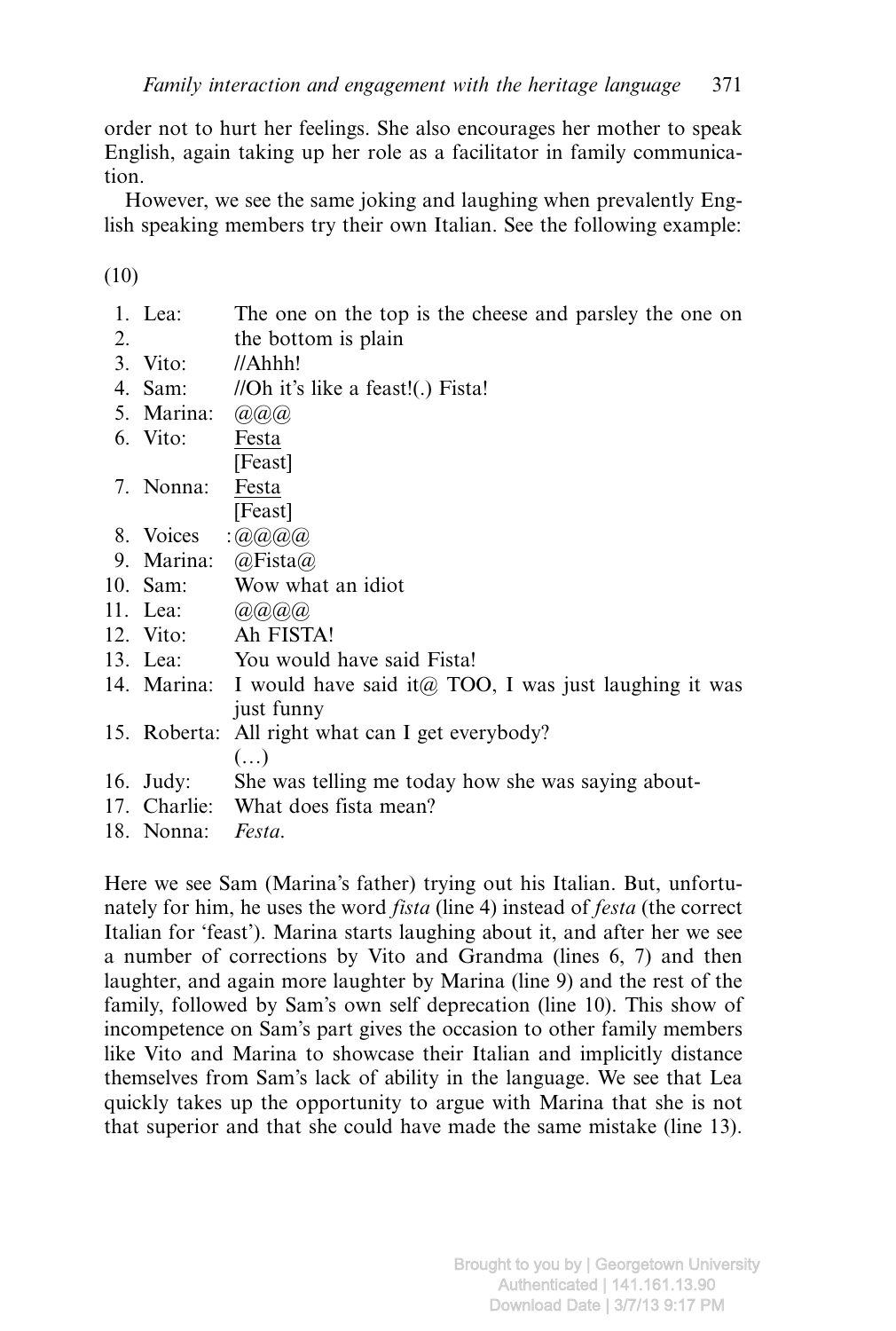Family interaction and engagement with the heritage language 371<br>order not to hurt her feelings. She also encourages her mother to speak<br>English, again taking up her role as a facilitator in family communica-Enaily interaction and engagement with the heritage language 371<br>
order not to hurt her feelings. She also encourages her mother to speak<br>
English, again taking up her role as a facilitator in family communica-<br>
tion.<br>
How tion. Family interaction and engagement with the heritage language 371<br>der not to hurt her feelings. She also encourages her mother to speak<br>nglish, again taking up her role as a facilitator in family communica-<br>n.<br>However, we s Famuy interaction and engagement with the heritage language 571<br>
order not to hurt her feelings. She also encourages her mother to speak<br>
English, again taking up her role as a facilitator in family communica-<br>
tion.<br>
Howe

| (10) |                                                                                 |                                                                |  |  |  |  |
|------|---------------------------------------------------------------------------------|----------------------------------------------------------------|--|--|--|--|
|      | $1.$ Lea:                                                                       | The one on the top is the cheese and parsley the one on        |  |  |  |  |
| 2.   |                                                                                 | the bottom is plain                                            |  |  |  |  |
|      | 3. Vito:                                                                        | $\mathcal{U}$ Ahhh!                                            |  |  |  |  |
|      | 4. Sam:                                                                         | //Oh it's like a feast!(.) Fista!                              |  |  |  |  |
|      | 5. Marina:                                                                      | @@@                                                            |  |  |  |  |
|      | 6. Vito:                                                                        | Festa                                                          |  |  |  |  |
|      |                                                                                 | [Feast]                                                        |  |  |  |  |
|      | 7. Nonna:                                                                       | Festa                                                          |  |  |  |  |
|      |                                                                                 | [Feast]                                                        |  |  |  |  |
|      | 8. Voices                                                                       | : (a)(a)(a)(a)                                                 |  |  |  |  |
|      | 9. Marina:                                                                      | @Fista@                                                        |  |  |  |  |
|      | 10. Sam:                                                                        | Wow what an idiot                                              |  |  |  |  |
|      | 11. Lea:                                                                        | (a)a(a)                                                        |  |  |  |  |
|      | 12. Vito:                                                                       | Ah FISTA!                                                      |  |  |  |  |
|      | 13. Lea:                                                                        | You would have said Fista!                                     |  |  |  |  |
|      | 14. Marina: I would have said it@ TOO, I was just laughing it was<br>just funny |                                                                |  |  |  |  |
|      |                                                                                 | 15. Roberta: All right what can I get everybody?<br>$(\ldots)$ |  |  |  |  |
|      | 16. Judy:                                                                       | She was telling me today how she was saying about-             |  |  |  |  |
|      | 17. Charlie:                                                                    | What does fista mean?                                          |  |  |  |  |
|      | 18. Nonna:                                                                      | Festa.                                                         |  |  |  |  |

16. Judy: She was telling me today how she was saying about-<br>17. Charlie: What does fista mean?<br>18. Nonna: *Festa*.<br>Here we see Sam (Marina's father) trying out his Italian. But, unfortu-<br>nately for him, he uses the word 17. Charlie: What does fista mean?<br>
18. Nonna: *Festa*.<br>
Here we see Sam (Marina's father) trying out his Italian. But, unfortu-<br>
nately for him, he uses the word *fista* (line 4) instead of *festa* (the correct<br>
Italian 18. Nonna: *Festa.*<br>Here we see Sam (Marina's father) trying out his Italian. But, unfortu-<br>nately for him, he uses the word *fista* (line 4) instead of *festa* (the correct<br>Italian for 'feast'). Marina starts laughing ab Here we see Sam (Marina's father) trying out his Italian. But, unfortu-<br>nately for him, he uses the word *fista* (line 4) instead of *festa* (the correct<br>Italian for 'feast'). Marina starts laughing about it, and after he Here we see Sam (Marina's father) trying out his Italian. But, unfortunately for him, he uses the word *fista* (line 4) instead of *festa* (the correct Italian for 'feast'). Marina starts laughing about it, and after her w rece we see sam (warma's rather) trying out ins runnan. But, amorta<br>nately for him, he uses the word *fista* (line 4) instead of *festa* (the correct<br>Italian for 'feast'). Marina starts laughing about it, and after her we Italian for 'feast'). Marina starts laughing about it, and after her we see<br>a number of corrections by Vito and Grandma (lines 6, 7) and then<br>laughter, and again more laughter by Marina (line 9) and the rest of the<br>family, Transm For Feast J. Marina starts haghing about R, and after her we see<br>a number of corrections by Vito and Grandma (lines 6, 7) and then<br>laughter, and again more laughter by Marina (line 9) and the rest of the<br>family, fol de namber of corrections by vice and Standama (intes 6, 7) and then<br>laughter, and again more laughter by Marina (line 9) and the rest of the<br>family, followed by Sam's own self deprecation (line 10). This show of<br>incompete that superior, and again more targiner by Marina (line 9) and the rest of the family, followed by Sam's own self deprecation (line 10). This show of incompetence on Sam's part gives the occasion to other family members lik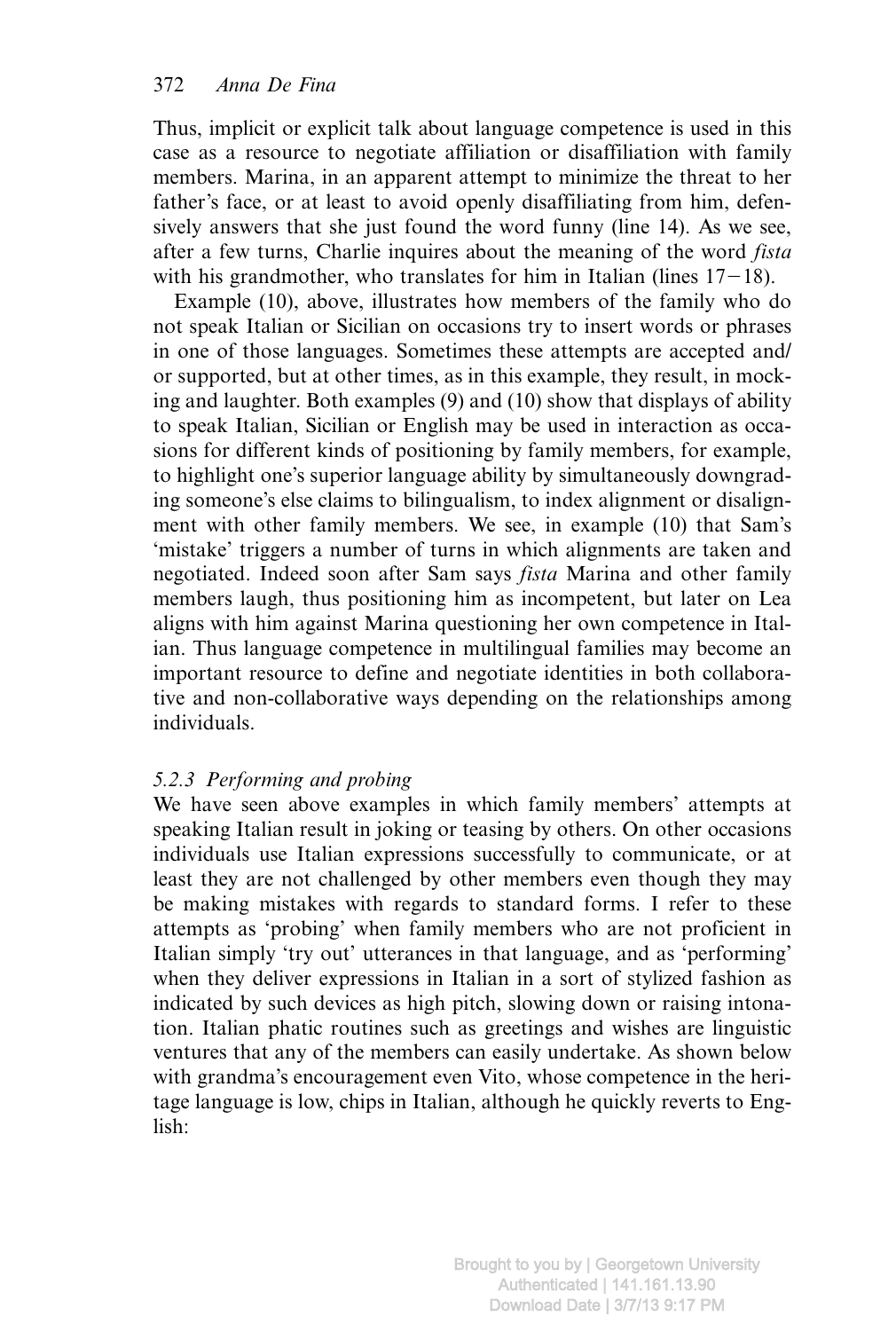<sup>372</sup> *Anna De Fina Anna De Fina*<br>Thus, implicit or explicit talk about language competence is used in this<br>case as a resource to negotiate affiliation or disaffiliation with family<br>members. Marina, in an apparent attempt to minimize the thr Anna De Fina<br>Thus, implicit or explicit talk about language competence is used in this<br>case as a resource to negotiate affiliation or disaffiliation with family<br>members. Marina, in an apparent attempt to minimize the threa 372 Anna De Fina<br>Thus, implicit or explicit talk about language competence is used in this<br>case as a resource to negotiate affiliation or disaffiliation with family<br>members. Marina, in an apparent attempt to minimize the t case as a resource to negotiate affiliation or disaffiliation with family members. Marina, in an apparent attempt to minimize the threat to her father's face, or at least to avoid openly disaffiliating from him, defensivel Thus, implicit or explicit talk about language competence is used in this case as a resource to negotiate affiliation or disaffiliation with family members. Marina, in an apparent attempt to minimize the threat to her fat Thus, implicit or explicit talk about language competence is used in this case as a resource to negotiate affiliation or disaffiliation with family members. Marina, in an apparent attempt to minimize the threat to her fat Thus, implied of enplote and about anguage completation is access as a resource to negotiate affiliation or disaffiliation with family members. Marina, in an apparent attempt to minimize the threat to her father's face, o Example (10), above, illustrates how members are accepted and/<br>the family answers that she just found the word funny (line 14). As we see,<br>ter a few turns, Charlie inquires about the meaning of the word *fista*<br>th his gra Father's face, or at least to avoid openly disaffiliating from him, defensively answers that she just found the word funny (line 14). As we see, after a few turns, Charlie inquires about the meaning of the word *fista* wi

sively answers that she just found the word funny (line 14). As we see, after a few turns, Charlie inquires about the meaning of the word *fista* with his grandmother, who translates for him in Italian (lines  $17-18$ ). Ex after a few turns, Charlie inquires about the meaning of the word *fista* with his grandmother, who translates for him in Italian (lines  $17-18$ ).<br>Example (10), above, illustrates how members of the family who do not spea with his grandmother, who translates for him in Italian (lines  $17-18$ ).<br>Example (10), above, illustrates how members of the family who do<br>not speak Italian or Sicilian on occasions try to insert words or phrases<br>in one o with his grandmother, who translates for him in Italian (lines  $17-18$ ).<br>Example (10), above, illustrates how members of the family who do<br>not speak Italian or Sicilian on occasions try to insert words or phrases<br>in one o since the side of this consists. Sometimes from the side of phrases<br>in one of those languages. Sometimes these attempts are accepted and/<br>or supported, but at other times, as in this example, they result, in mock-<br>ing and The one of those languages. Sometimes these attempts are accepted and/<br>or supported, but at other times, as in this example, they result, in mock-<br>ing and laughter. Both examples (9) and (10) show that displays of ability<br> ing someonet that someoned in this example, they result, in mock-<br>ing and laughter. Both examples (9) and (10) show that displays of ability<br>to speak Italian, Sicilian or English may be used in interaction as occa-<br>sions f ing and laughter. Both examples (9) and (10) show that displays of ability<br>to speak Italian, Sicilian or English may be used in interaction as occa-<br>sions for different kinds of positioning by family members, for example,<br> to speak Italian, Sicilian or English may be used in interaction as occasions for different kinds of positioning by family members, for example, to highlight one's superior language ability by simultaneously downgrading so negotial complete that is a series of the highlight one's superior language ability by simultaneously downgrad-<br>ting someone's else claims to bilingualism, to index alignment or disalign-<br>ment with other family members. We to highlight one's superior language ability by simultaneously downgrad-<br>ing someone's else claims to bilingualism, to index alignment or disalign-<br>ment with other family members. We see, in example (10) that Sam's<br>"mistak ing someone's else claims to bilingualism, to index alignment or disalignment with other family members. We see, in example (10) that Sam's 'mistake' triggers a number of turns in which alignments are taken and negotiated. ing the two that is the tanguary. We see, in example (10) that Sam's<br>
"mistake' triggers a number of turns in which alignments are taken and<br>
negotiated. Indeed soon after Sam says *fista* Marina and other family<br>
members 'mistake' triggers a number of turns in which alignments are taken and negotiated. Indeed soon after Sam says *fista* Marina and other family members laugh, thus positioning him as incompetent, but later on Lea aligns wit negotiated. Indeed soon after Sam says *fista* Marina and other family members laugh, thus positioning him as incompetent, but later on Lea aligns with him against Marina questioning her own competence in Italian. Thus lan individuals. *Find and nego*<br> *Find and nego*<br> *Find and non-collaborative ways dependidividuals.*<br> *5.2.3 Performing and probing*<br> **We have seen above examples in whispacking Italian result in joking or tags:** important resource to define and negotiate identities in both collaborative and non-collaborative ways depending on the relationships among<br>individuals.<br>5.2.3 Performing and probing<br>We have seen above examples in which fam

individuals.<br>S.2.3 Performing and probing<br>We have seen above examples in which family members' attempts at<br>speaking Italian result in joking or teasing by others. On other occasions<br>individuals use Italian expressions succ individuals.<br>
5.2.3 *Performing and probing*<br>
We have seen above examples in which family members' attempts at<br>
speaking Italian result in joking or teasing by others. On other occasions<br>
individuals use Italian expression 5.2.3 Performing and probing<br>We have seen above examples in which family members' attempts at<br>speaking Italian result in joking or teasing by others. On other occasions<br>individuals use Italian expressions successfully to c 5.2.3 Performing and probing<br>We have seen above examples in which family members' attempts at<br>speaking Italian result in joking or teasing by others. On other occasions<br>individuals use Italian expressions successfully to c We have seen above examples in which family members' attempts at<br>speaking Italian result in joking or teasing by others. On other occasions<br>individuals use Italian expressions successfully to communicate, or at<br>least they speaking Italian result in joking or teasing by others. On other occasions<br>individuals use Italian expressions successfully to communicate, or at<br>least they are not challenged by other members even though they may<br>be makin matrix and the matrix of the members of states of the communicate, or at least they are not challenged by other members even though they may be making mistakes with regards to standard forms. I refer to these attempts as ' least they are not challenged by other members even though they may<br>be making mistakes with regards to standard forms. I refer to these<br>attempts as 'probing' when family members who are not proficient in<br>Italian simply 'tr the making mistakes with regards to standard forms. I refer to these<br>attempts as 'probing' when family members who are not proficient in<br>Italian simply 'try out' utterances in that language, and as 'performing'<br>when they d attempts as 'probing' when family members who are not proficient in<br>Italian simply 'try out' utterances in that language, and as 'performing'<br>when they deliver expressions in Italian in a sort of stylized fashion as<br>indica Italian simply 'try out' utterances in that language, and as 'performing' when they deliver expressions in Italian in a sort of stylized fashion as indicated by such devices as high pitch, slowing down or raising intonatio when they deliver expressions in Italian in a sort of stylized fashion as lish: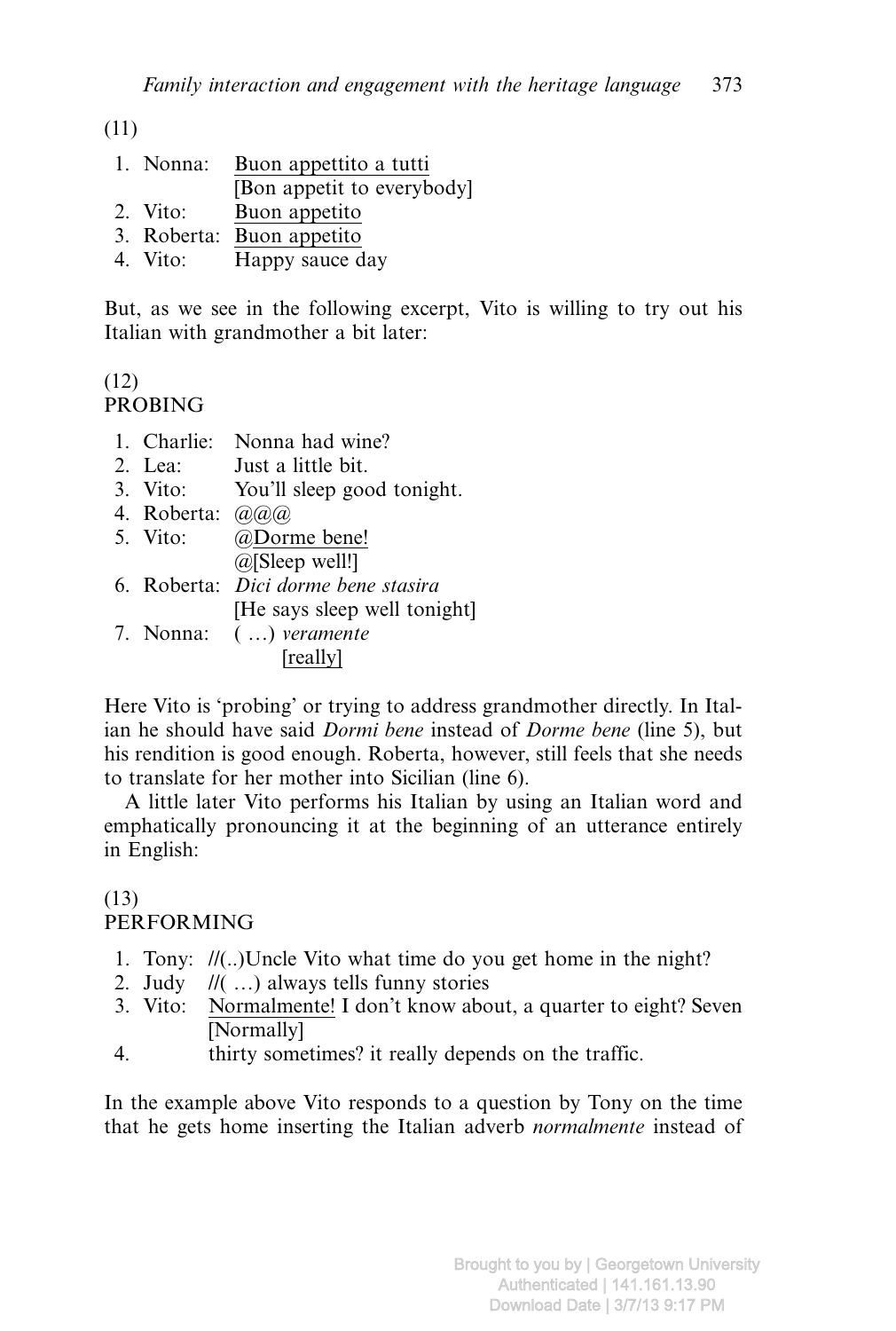(11)

|                                                                                                                  |           | 373<br>Family interaction and engagement with the heritage language |  |  |  |  |  |
|------------------------------------------------------------------------------------------------------------------|-----------|---------------------------------------------------------------------|--|--|--|--|--|
| (11)                                                                                                             |           |                                                                     |  |  |  |  |  |
|                                                                                                                  | 1. Nonna: | Buon appettito a tutti<br>[Bon appetit to everybody]                |  |  |  |  |  |
|                                                                                                                  | 2. Vito:  | Buon appetito                                                       |  |  |  |  |  |
|                                                                                                                  |           | 3. Roberta: Buon appetito                                           |  |  |  |  |  |
|                                                                                                                  | 4. Vito:  | Happy sauce day                                                     |  |  |  |  |  |
| But, as we see in the following excerpt, Vito is willing to try out his<br>Italian with grandmother a bit later: |           |                                                                     |  |  |  |  |  |

4. Vito: Happy sauce day<br>But, as we see in the following excerpt, Vito is willing to try out his<br>Italian with grandmother a bit later: Aut, as we see in the following excerp<br>
stalian with grandmother a bit later:<br>
12)<br>
ROBING<br>
1. Charlie: Nonna had wine?<br>
2. Lea: Just a little bit.<br>
3. Vito: You'll sleep good tonight

(12) PROBING

| 1. Charlie: | Nonna had wine? |  |
|-------------|-----------------|--|
|             |                 |  |

- 
- talian with grandmother a bit late<br>
12)<br>
ROBING<br>
1. Charlie: Nonna had wine?<br>
2. Lea: Just a little bit.<br>
3. Vito: You'll sleep good to:<br>
4. Roberta: @@@ 12)<br>
ROBING<br>
1. Charlie: Nonna had wine?<br>
2. Lea: Just a little bit.<br>
3. Vito: You'll sleep good tonight.<br>
4. Roberta: @@@<br>
5. Vito: @Dorme bene!
- 4. Roberta: @@@
- **FROBING**<br>
1. Charlie: Nonna had wine?<br>
2. Lea: Just a little bit.<br>
3. Vito: You'll sleep good to<br>
4. Roberta: @@@<br>
5. Vito: @Dorme bene!<br>
@[Sleep well!]<br>
6. Roberta: *Dici dorme bene stas* 2. Lea: Just a little bit.<br>
3. Vito: You'll sleep good tonight.<br>
4. Roberta:  $@@@$ <br>
5. Vito:  $@$ Dorme bene!<br>  $@$ [Sleep well!]<br>
6. Roberta: *Dici dorme bene stasira*<br>
[He says sleep well tonight] 1. Charle. Isolia had which<br>
2. Lea: Just a little bit.<br>
3. Vito: You'll sleep good tonight.<br>
4. Roberta: *@@@*<br>
5. Vito: *@Dorme bene!*<br> *@[Sleep well!]*<br>
6. Roberta: *Dici dorme bene stasira*<br>
[He says sleep well tonight Fraction State<br>
Tou'll sleep good tonight.<br>
Calle State<br>
Calle State<br>
Calle State<br>
Calle State<br>
Calle State<br>
Calle State<br>
Calle State<br>
Calle State<br>
Calle State<br>
Calle State<br>
Calle State<br>
Calle State<br>
Calle State<br>
Calle Sta 7. Nonna: ( …) *veramente*
	- [really]

Figure Weillingthe Controlling (Figure 1)<br>
Here Stass sleep well tonight]<br>
T. Nonna: (...) veramente<br>
[really]<br>
Here Vito is 'probing' or trying to address grandmother directly. In Ital-<br>
ian he should have said *Dormi be* IF Says sleep well tonight]<br> *IF* Equilibran he should have said *Dormi bene* instead of *Dorme bene* (line 5), but<br>
his rendition is good enough. Roberta, however, still feels that she needs<br>
to translate for her mother i 7. Nonna: (...) veramente<br>
[really]<br>
Here Vito is 'probing' or trying to address grandmother directly. In Ital-<br>
ian he should have said *Dormi bene* instead of *Dorme bene* (line 5), but<br>
his rendition is good enough. Ro Figure 1. Thomas. (...) veramente<br>
[really]<br>
Here Vito is 'probing' or trying to address grandmoth<br>
ian he should have said *Dormi bene* instead of *Dorm*<br>
his rendition is good enough. Roberta, however, still to<br>
transla examples are Vito is 'probing' or trying to address grandmother directly. In Ital-<br>a he should have said *Dormi bene* instead of *Dorme bene* (line 5), but<br>s rendition is good enough. Roberta, however, still feels that she Here Vito is 'probing' or trying to address grandmother directly. In Italian he should have said *Dormi bene* instead of *Dorme bene* (line 5), but his rendition is good enough. Roberta, however, still feels that she needs Free vito is provided in<br>
ian he should his<br>
to translate for<br>
A little later<br>
emphatically pr<br>
in English:<br>
(13)

mphatically pronouncing it at the beginning of an utterance entirely<br>
1. Tony: 1. Tony: 1. Tony: 1. Tony: 1. Tony: 1. Tony: 1. Tony: 1. Tony: 1. Tony: 1. Tony: 1. Tony: 1. Tony: 1. Tony: 1. Tony: 1. Tony: 1. Tony: 1. Tony:

# (13) PERFORMING

- 
- 
- 13)<br>
2. Judy *//(...)* Uncle Vito what time do you get h<br>
2. Judy *//(...)* always tells funny stories<br>
3. Vito: <u>Normalmente!</u> I don't know about, a quere 3. ERFORMING<br>3. Judy *//(...)* Uncle Vito what time do you get home in the night?<br>3. Judy *//(...)* always tells funny stories<br>3. Vito: <u>Normalmente!</u> I don't know about, a quarter to eight? Seven<br>[Normally]<br>4. thirty some [Normally] ERFORMING<br>
1. Tony:  $\mathcal{U}(\ldots)$  Uncle Vito what time do you get home in the nigh<br>
2. Judy  $\mathcal{U}(\ldots)$  always tells funny stories<br>
3. Vito: <u>Normalmente!</u> I don't know about, a quarter to eight?<br>
[Normally]<br>
4. thirty so 1. 1993 2. Judy  $\frac{1}{2}$  (...) always tells funny stories<br>
1. Normalmente<sup>1</sup> I don't know about, a quarter to eight? Seven<br>
1. In the example above Vito responds to a question by Tony on the time<br>
1. In the example above
	-

2. Judy  $M(x)$  always tells funny stories<br>3. Vito: <u>Normalmente!</u> I don't know about, a quarter to eight? Seven [Normally]<br>4. thirty sometimes? it really depends on the traffic.<br>In the example above Vito responds to a ques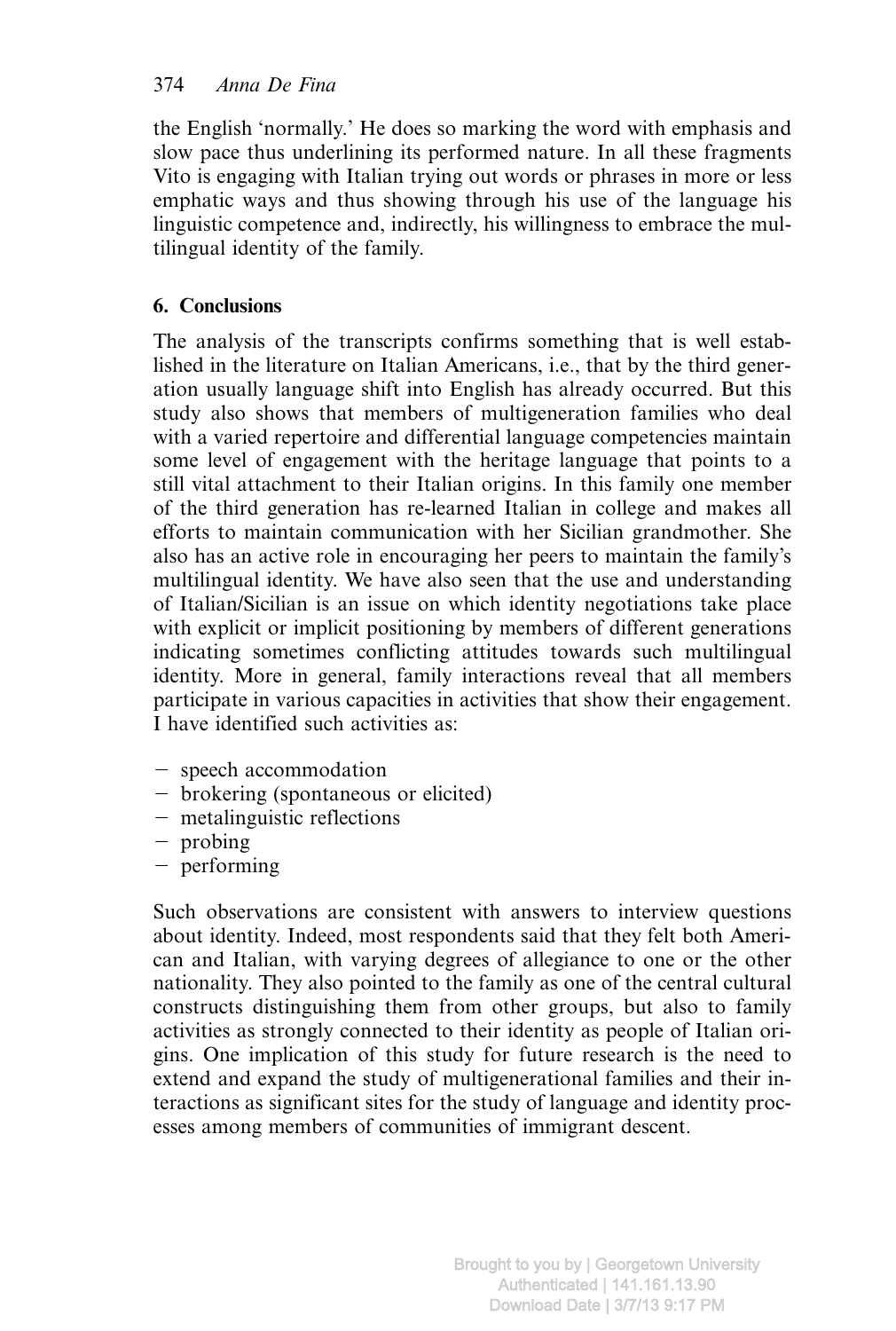<sup>374</sup> *Anna De Fina* 374 Anna De Fina<br>the English 'normally.' He does so marking the word with emphasis and<br>slow pace thus underlining its performed nature. In all these fragments<br>Vito is engaging with Italian trying out words or phrases in mo 374 Anna De Fina<br>the English 'normally.' He does so marking the word with emphasis and<br>slow pace thus underlining its performed nature. In all these fragments<br>Vito is engaging with Italian trying out words or phrases in mo 374 Anna De Fina<br>the English 'normally.' He does so marking the word with emphasis and<br>slow pace thus underlining its performed nature. In all these fragments<br>Vito is engaging with Italian trying out words or phrases in mo 374 Anna De Fina<br>the English 'normally.' He does so marking the word with emphasis and<br>slow pace thus underlining its performed nature. In all these fragments<br>Vito is engaging with Italian trying out words or phrases in mo 3/4 Anna De Fina<br>the English 'normally.' He does so marking the word with emphasis and<br>slow pace thus underlining its performed nature. In all these fragments<br>Vito is engaging with Italian trying out words or phrases in mo the English 'normally.' He does so n<br>slow pace thus underlining its perfc<br>Vito is engaging with Italian trying e<br>emphatic ways and thus showing t<br>linguistic competence and, indirectly<br>tilingual identity of the family. Vito is engaging with Italian trying out words or phrases in more or less<br>emphatic ways and thus showing through his use of the language his<br>linguistic competence and, indirectly, his willingness to embrace the mul-<br>tiling

Emphatic ways and thus showing through his use of the fanguage his<br>
linguistic competence and, indirectly, his willingness to embrace the mul-<br>
tilingual identity of the family.<br> **6. Conclusions**<br>
The analysis of the trans Imguistic competence and, indirectly, his willingness to embrace the multilingual identity of the family.<br> **6. Conclusions**<br>
The analysis of the transcripts confirms something that is well estab-<br>
lished in the literature **6. Conclusions**<br> **6. Conclusions**<br>
The analysis of the transcripts confirms something that is well estab-<br>
lished in the literature on Italian Americans, i.e., that by the third gener-<br>
ation usually language shift into E **6. Conclusions**<br>The analysis of the transcripts confirms something that is well estab-<br>lished in the literature on Italian Americans, i.e., that by the third gener-<br>ation usually language shift into English has already oc **6. Conclusions**<br>The analysis of the transcripts confirms something that is well estab-<br>lished in the literature on Italian Americans, i.e., that by the third gener-<br>ation usually language shift into English has already oc The analysis of the transcripts confirms something that is well established in the literature on Italian Americans, i.e., that by the third generation usually language shift into English has already occurred. But this stud The analysis of the transcripts commiss solitening that is well established in the literature on Italian Americans, i.e., that by the third generation usually language shift into English has already occurred. But this stud ished in the interature on rianan Americans, i.e., that by the find gener-<br>ation usually language shift into English has already occurred. But this<br>study also shows that members of multigeneration families who deal<br>with a ation usually anguage sint into English has already occurred. But this<br>study also shows that members of multigeneration families who deal<br>with a varied repertoire and differential language competencies maintain<br>some level study also shows that helmoers of multigeneration famines who dear<br>with a varied repertoire and differential language competencies maintain<br>some level of engagement with the heritage language that points to a<br>still vital a with a varied repertone and dimerential language competencies manitality<br>some level of engagement with the heritage language that points to a<br>still vital attachment to their Italian origins. In this family one member<br>of th some lever of engagement with the heritage language that points to a<br>still vital attachment to their Italian origins. In this family one member<br>of the third generation has re-learned Italian in college and makes all<br>effort Stin vital attachment to their Italian origins. In this family one included<br>of the third generation has re-learned Italian in college and makes all<br>efforts to maintain communication with her Sicilian grandmother. She<br>also of the time generation has re-learned italian in conege and makes an<br>efforts to maintain communication with her Sicilian grandmother. She<br>also has an active role in encouraging her peers to maintain the family's<br>multilingu enotis to manham communication with her sicman grandmother. She<br>also has an active role in encouraging her peers to maintain the family's<br>multilingual identity. We have also seen that the use and understanding<br>of Italian/S also has an active fole in encouraging her peers to maintain the family s<br>multilingual identity. We have also seen that the use and understanding<br>of Italian/Sicilian is an issue on which identity negotiations take place<br>wi I have identified such a since on which identified such a since on which identified with explicit or implicit positioning by membindicating sometimes conflicting attitudes identify. More in general, family interaction part

- 
- 
- 
- 
- 

- speech accommodation<br>
- brokering (spontaneous or elicited)<br>
- metalinguistic reflections<br>
- probing<br>
Such observations are consistent with answers to interview questions<br>
about identity. Indeed, most respondents said th - brokering (spontaneous or encited)<br>
- metalinguistic reflections<br>
- probing<br>
Such observations are consistent with answers to interview questions<br>
about identity. Indeed, most respondents said that they felt both Ameri-<br> - metalnguistic reflections<br>
- probing<br>
- performing<br>
Such observations are consistent with answers to interview questions<br>
about identity. Indeed, most respondents said that they felt both Ameri-<br>
can and Italian, with va - proomg<br>
- performing<br>
Such observations are consistent with answers to interview questions<br>
about identity. Indeed, most respondents said that they felt both Ameri-<br>
can and Italian, with varying degrees of allegiance to - performing<br>Such observations are consistent with answers to interview questions<br>about identity. Indeed, most respondents said that they felt both Ameri-<br>can and Italian, with varying degrees of allegiance to one or the o Such observations are consistent with answers to interview questions<br>about identity. Indeed, most respondents said that they felt both Ameri-<br>can and Italian, with varying degrees of allegiance to one or the other<br>national Such observations are consistent with answers to interview questions<br>about identity. Indeed, most respondents said that they felt both Ameri-<br>can and Italian, with varying degrees of allegiance to one or the other<br>national about dentity. Indeed, most respondents said that they left both Ameri-<br>can and Italian, with varying degrees of allegiance to one or the other<br>nationality. They also pointed to the family as one of the central cultural<br>co can and rianan, with varying degrees of anegiance to one of the other<br>mationality. They also pointed to the family as one of the central cultural<br>constructs distinguishing them from other groups, but also to family<br>activit mationality. They also pointed to the rainity as one of the central econstructs distinguishing them from other groups, but also to activities as strongly connected to their identity as people of Italia gins. One implicatio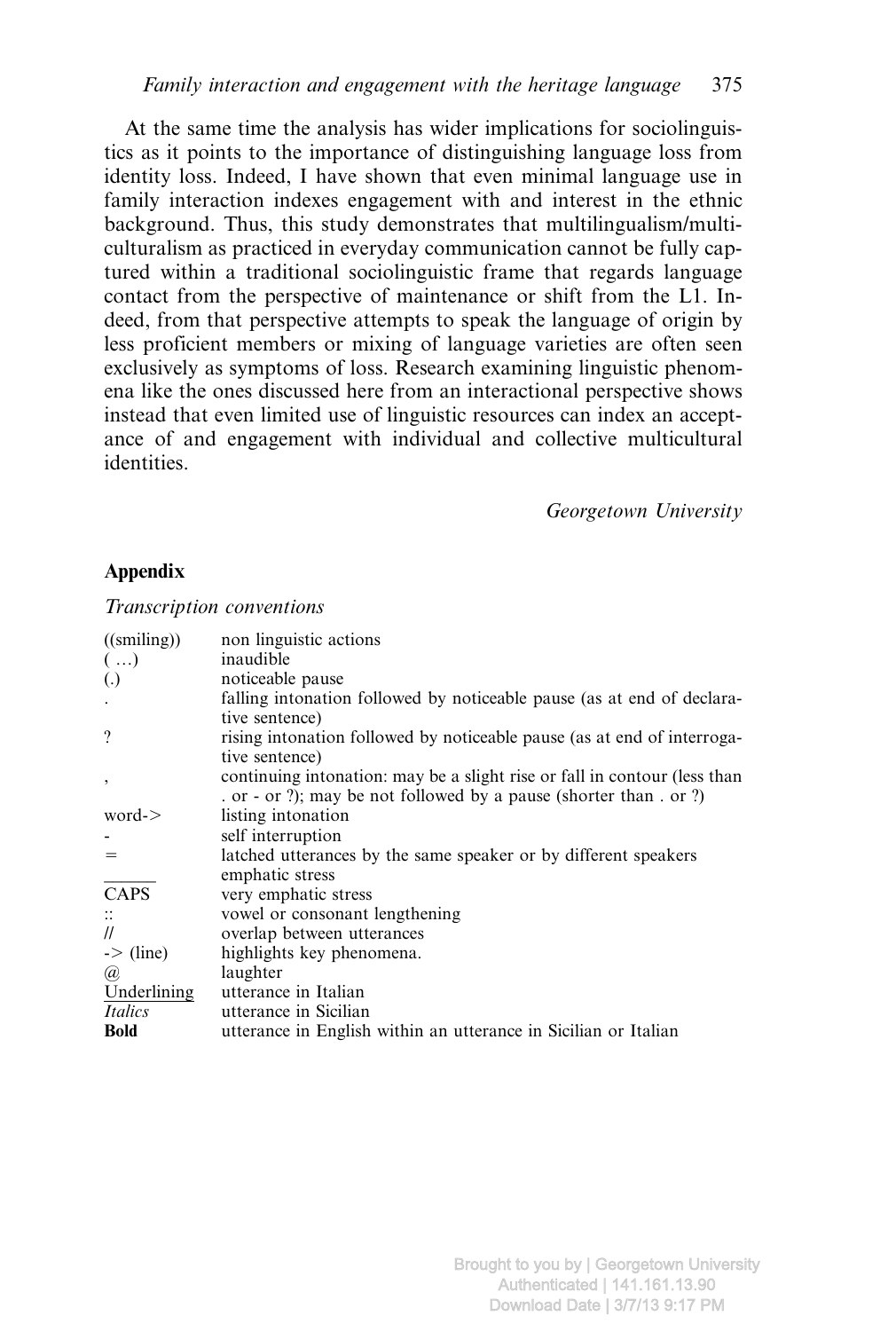Family interaction and engagement with the heritage language 375<br>At the same time the analysis has wider implications for sociolinguis-<br>s as it points to the importance of distinguishing language loss from<br>entity loss. Ind Family interaction and engagement with the heritage language 375<br>At the same time the analysis has wider implications for sociolinguis-<br>tics as it points to the importance of distinguishing language loss from<br>identity loss Family interaction and engagement with the heritage language 375<br>At the same time the analysis has wider implications for sociolinguis-<br>tics as it points to the importance of distinguishing language loss from<br>identity loss Family interaction and engagement with the heritage language 375<br>At the same time the analysis has wider implications for sociolinguis-<br>tics as it points to the importance of distinguishing language loss from<br>identity loss Famuy interaction and engagement with the heritage language 575<br>At the same time the analysis has wider implications for sociolinguis-<br>tics as it points to the importance of distinguishing language loss from<br>identity loss. At the same time the analysis has wider implications for sociolinguis-<br>tics as it points to the importance of distinguishing language loss from<br>identity loss. Indeed, I have shown that even minimal language use in<br>family i At the same time the anarysis has where impineations for sociolinguis-<br>tics as it points to the importance of distinguishing language loss from<br>identity loss. Indeed, I have shown that even minimal language use in<br>family i identity loss. Indeed, I have shown that even minimal language use in family interaction indexes engagement with and interest in the ethnic background. Thus, this study demonstrates that multilingualism/multiculturalism as deentity loss. Indeed, T have shown that even filmmal language use in<br>family interaction indexes engagement with and interest in the ethnic<br>background. Thus, this study demonstrates that multilingualism/multi-<br>culturalism ranny interaction intexts engagement with and interest in the ethne<br>background. Thus, this study demonstrates that multilingualism/multi-<br>culturalism as practiced in everyday communication cannot be fully cap-<br>tured within tured within a traditional sociolinguistic frame that regards language contact from the perspective of maintenance or shift from the L1. Indeed, from that perspective attempts to speak the language of origin by less profic less proficient members or mixing of language varieties are often seen Find that the perspective of maintenance or shift from the L1. Indeed, from that perspective attempts to speak the language of origin by less proficient members or mixing of language varieties are often seen exclusively as contact from the perspective of manuculation of sint from the ET. medeed, from that perspective attempts to speak the language of origin by less proficient members or mixing of language varieties are often seen exclusively identities. *Georgetown University*<br>*Georgetown University* 

### **Appendix**

# *Appendix<br>
Transcription conventions*<br>
((smiling)) and linguistic actions<br>
(constitution insurible **Appendix**<br>
Transcription conventions<br>
((smiling)) non linguistic actions<br>
(...) inaudible<br>
() noticeable pause ( …) inaudible **Appendix**<br>
Transcription conventions<br>
((smiling)) non linguistic actions<br>
(...) inaudible<br>
(.) noticeable pause<br>
falling intonation follows<br>
tive sentence) Transcription conventions<br>
((smiling)) non linguistic actions<br>
(...) inaudible<br>
(.) inciceable pause<br>
(.) intonation followed by noticeable pause (as at end of declara-<br>
tive sentence)<br>  $\frac{1}{2}$  ising intonation followed Transcription conventions<br>
((smiling)) non linguistic actions<br>
(...) inaudible<br>
(.) incideable pause<br>
(.) incideable pause<br>
falling intonation followed by noticeable pause (as at end of declara-<br>
tive sentence)<br>
?<br>
Trising ((smiling)) non linguistic actions<br>
(...) inaudible<br>
(...) incideable pause<br>
falling intonation followed by noticeable pause (as at end of declara-<br>
tive sentence)<br>  $\frac{1}{2}$ <br>  $\frac{1}{2}$ <br>  $\frac{1}{2}$ <br>  $\frac{1}{2}$ <br>  $\frac{1}{2}$ <br> falling intonation followed by noticeable pause (as at end of declara-<br>tive sentence)<br>rising intonation followed by noticeable pause (as at end of interroga-<br>tive sentence)<br>continuing intonation: may be a slight rise or fa (...)<br>
inaudible<br>
continuing intonation followed by noticeable pause (as at end of declara-<br>
tive sentence)<br>
rising intonation followed by noticeable pause (as at end of interroga-<br>
tive sentence)<br>
continuing intonation: . or - or ?); may be not followed by a pause (shorter than . or ?) listing intonation self interruption Figure 1<br>  $\frac{1}{2}$ <br>  $\frac{1}{2}$ <br>  $\frac{1}{2}$ <br>  $\frac{1}{2}$ <br>  $\frac{1}{2}$ <br>  $\frac{1}{2}$ <br>  $\frac{1}{2}$ <br>  $\frac{1}{2}$ <br>  $\frac{1}{2}$ <br>  $\frac{1}{2}$ <br>  $\frac{1}{2}$ <br>  $\frac{1}{2}$ <br>  $\frac{1}{2}$ <br>  $\frac{1}{2}$ <br>  $\frac{1}{2}$ <br>  $\frac{1}{2}$ <br>  $\frac{1}{2}$ <br>  $\frac{1}{2}$ <br>  $\frac{1}{2}$ <br>  $\frac$ tive sentence)<br>
sentence)<br>
sentence<br>
continuing intonation: may be a slight rise or fall in contour (less than<br>
. or - or ?); may be not followed by a pause (shorter than . or ?)<br>
word->
listing intonation<br>
self interrupti  $\text{continning intonation: may}$ ,  $\text{or - or ?}; \text{ may be not follow}$ <br>  $\text{word-> } \text{listing intonation}$ <br>  $\text{self interruption}$ <br>  $\text{intraness by the sa}$ <br>  $\overrightarrow{CAPS}$  very emphatic stress<br>  $\therefore$ <br>  $\therefore$  vowel or consonant lengthe<br>  $\text{over} \text{or } \text{over}$  with a series of the series of the series of the : or - or 7); may be not followed by a pat<br>
word->
listing intonation<br>
=
altehed utterances by the same speaker or<br>
emphatic stress<br>
very emphatic stress<br>
::
vowel or consonant lengthening<br>  $\frac{1}{2}$ <br>  $\frac{1}{2}$ <br>  $\frac{1}{2}$ <br> word->
Isting intonation<br>
Self interruption<br>
=
atched utterances by the same spe<br>
emphatic stress<br>
very emphatic stress<br>
very emphatic stress<br>
wowel or consonant lengthening<br>  $\frac{1}{\sqrt{2}}$ <br>  $\rightarrow$  (line) highlights key pheno self interruption<br>
= latched utterances by the same s<br>
emphatic stress<br>
were prophatic stress<br>
...<br>
...<br>
wowel or consonant lengthening<br>  $\frac{d}{dx}$ <br>  $\rightarrow$  > (line) highlights key phenomena.<br>  $\frac{d}{dx}$ <br>
Linderlining<br>
utteranc @ laughter<br>Underlining utterance in Italian CAPS<br>  $\frac{1}{10}$  emphatic stress<br>  $\therefore$ <br>  $\therefore$  vowel or consonant lengthening<br>  $\frac{1}{10}$  overlap between utterances<br>  $\frac{1}{10}$  bighlights key phenomena.<br>  $\frac{1}{10}$  line is linear to Italian<br>  $\frac{1}{10}$  interance in Sic CAPS very emphatic stress<br> *II* wowel or consonant lengthenin<br> *II* overlap between utterances<br>  $\frac{a}{a}$  laughter<br>
<u>Underlining</u> utterance in Italian<br> *Italics* utterance in Sicilian<br> **Bold** utterance in English within an **Bold** utterance in English within an utterance in English within an utterance in Sicilian or Italian or Italian utterance in English within an utterance in Sicilian or Italian utterance in English within an utterance in S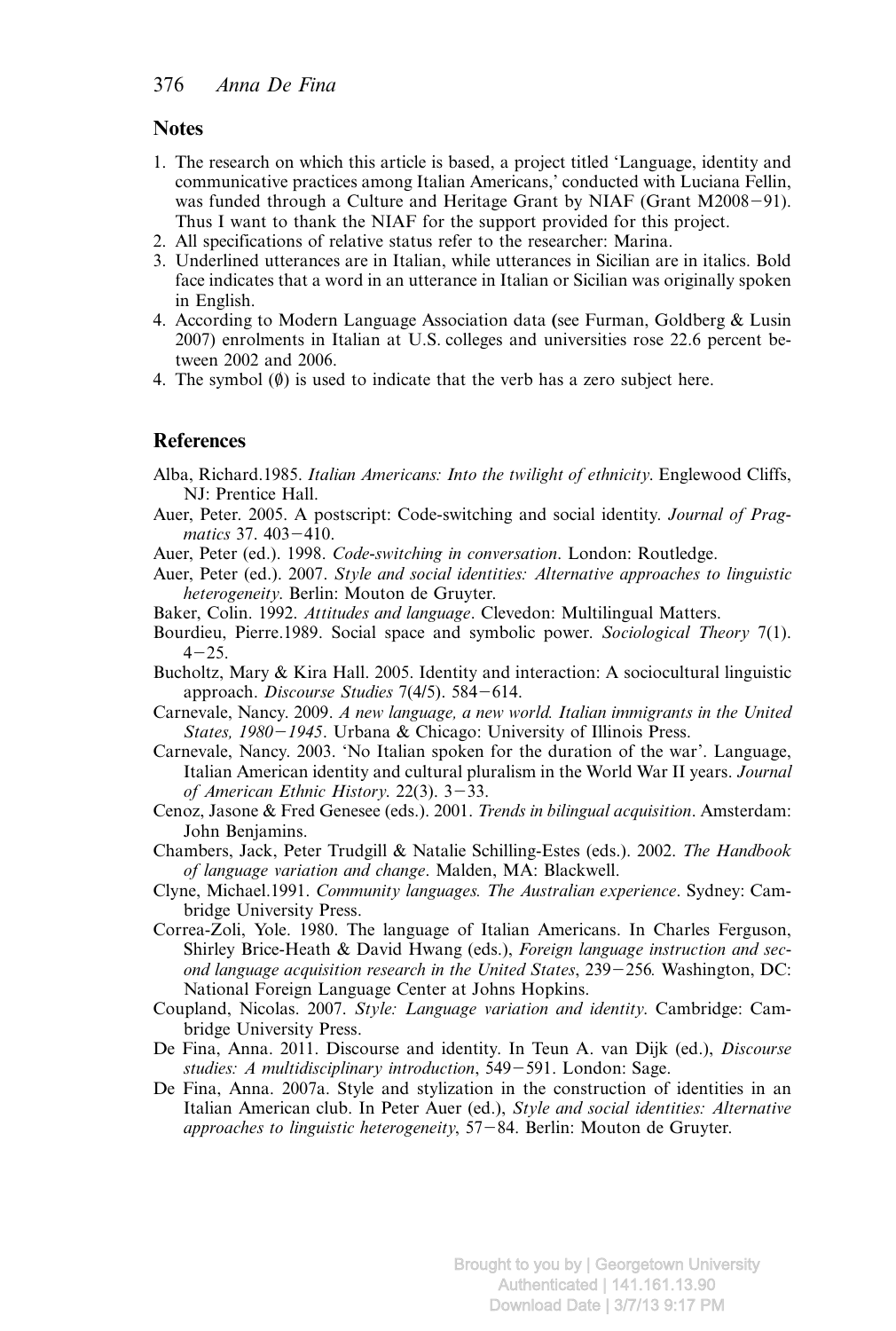# **Notes**

- 216 *Anna De Fina*<br>
21. The research on which this article is based, a project titled 'Language, identity and<br>
21. The research on which this article is based, a project titled 'Language, identity and<br>
21. The research on *Anna De Fina*<br> **communicative practices among Italian Americans,' conducted with Luciana Fellin,**<br>
was funded through a Culture and Heritage Grant by NIAF (Grant M2008–91).<br>
Thus I want to thank the NIAF for the support p man *De Fina*<br>
thes<br>
The research on which this article is based, a project titled 'Language, identity and<br>
communicative practices among Italian Americans,' conducted with Luciana Fellin,<br>
was funded through a Culture and **Solution:**<br>The research on which this article is based, a project titled 'Language, identity a<br>communicative practices among Italian Americans,' conducted with Luciana Fell<br>Was I want to thank the NIAF for the support pro **Notes**<br>
2. The research on which this article is based, a project titled 'Language, ic<br>
communicative practices among Italian Americans,' conducted with Luci<br>
1. Was I want to thank the NIAF for the support provided for t 1. The research on which this article is based, a project titled 'Language, identity and<br>communicative practices among Italian Americans,' conducted with Luciana Fellin,<br>was funded through a Culture and Heritage Grant by N The research on which this article is based, a project titled Language, identity and<br>communicative practices among Italian Americans,' conducted with Luciana Fellin,<br>was funded through a Culture and Heritage Grant by NIAF
- 
- communicative practices among Italian Americans,' conducted with Luciana Fellin,<br>was funded through a Culture and Heritage Grant by NIAF (Grant M2008-91).<br>Thus I want to thank the NIAF for the support provided for this pro was funded through a Culture and Herliage Grant by NIAF (Grant M2006-91).<br>Thus I want to thank the NIAF for the support provided for this project.<br>2. All specifications of relative status refer to the researcher: Marina.<br>3 Thus I want to thank the NIAF for the support provided for this project.<br>All specifications of relative status refer to the researcher: Marina.<br>Underlined utterances are in Italian, while utterances in Sicilian are in ita All specifications of relative<br>Underlined utterances are if<br>ace indicates that a word in<br>in English.<br>According to Modern Lang<br>2007) enrolments in Italiar<br>tween 2002 and 2006.<br>The symbol  $(\emptyset)$  is used to i
- 4. According to Modern Language Association data (see Furman, Goldberg & Lusin 2007) enrolments in Italian at U.S. colleges and universities rose 22.6 percent between 2002 and 2006.<br>4. The symbol (Φ) is used to indicate t
- 

# **References**

- tween 2002 and 2006.<br>
4. The symbol ( $\emptyset$ ) is used to indicate that the verb has a zero subject here.<br> **References**<br>
Alba, Richard.1985. *Italian Americans: Into the twilight of ethnicity*. Englewood Cliffs,<br>
NJ: Prentice he symbol (0) is used t<br> **erences**<br>
a, Richard 1985. *Italian*<br>
NJ: Prentice Hall.<br>
r, Peter. 2005. A postsc<br>
matics 37 403-410 **References**<br>Alba, Richard.1985. *Italian Americans: Into the twilight of ethnicity*. Englewood Cliffs,<br>NJ: Prentice Hall.<br>*Auer, Peter. 2005.* A postscript: Code-switching and social identity. *Journal of Prag-*<br>*Auer Pet* **ierences**<br> **a**, Richard.1985. *Italian Al*<br> *NJ*: Prentice Hall.<br> **r**, Peter. 2005. A postscrip<br> *matics* 37. 403–410.<br> **r**, Peter (ed.). 1998. *Code*<br> **r** Peter (ed.). 2007. *Style* **References**<br>Alba, Richard.1985. *Italian Americans: Into the twilight of ethnicity*. Englewood C<br>NJ: Prentice Hall.<br>Auer, Peter. 2005. A postscript: Code-switching and social identity. *Journal of I*<br>matics 37. 403–410.<br>A Alba, Richard.1985. *Italian Americans: Into the twilight of ethnicity*. Englewood Cliffs,<br>NJ: Prentice Hall.<br>Auer, Peter. 2005. A postscript: Code-switching and social identity. *Journal of Prag-<br>matics* 37. 403–410.<br>Auer
- *h*, Kichard. 1985. *Hallah Americans: Into the twit*<br>
NJ: Prentice Hall.<br> *r*, Peter. 2005. A postscript: Code-switching an<br> *matics* 37. 403–410.<br> *r*, Peter (ed.). 2007. *Style and social identities:*<br> *heterogeneity.* NJ: Prentice Hall.<br>Auer, Peter. 2005. A postscript: Code-switching and social identity. Journal of P<br>matics 37. 403–410.<br>Auer, Peter (ed.). 1998. *Code-switching in conversation*. London: Routledge.<br>Auer, Peter (ed.). 2007
- 
- Auer, Peter. 2005. A postscript: Code-switching and social identity. Journal of Pragmatics 37. 403–410.<br>
Auer, Peter (ed.). 1998. *Code-switching in conversation*. London: Routledge.<br>
Auer, Peter (ed.). 2007. *Style and so* Auer, Peter (ed.). 1998. Code-switching in conversation. London: Rottleage.<br>
Auer, Peter (ed.). 2007. Style and social identities: Alternative approaches to linguistic<br>
heterogeneity. Berlin: Mouton de Gruyter.<br>
Baker, Col
- 
- $4 25$ .
- r, Feter (ed.). 2007. *Siyle and social dentities: Altertogeneity*. Berlin: Mouton de Gruyter.<br>er, Colin. 1992. *Attitudes and language*. Clevedon:<br>rdieu, Pierre. 1989. Social space and symbolic po<br>4–25.<br>approach. *Discour States, 1980*<br> *States, Pierre.1989. Social space and symbolic power. Sociological Theca-25.*<br> *A*-25.<br> *States, Mary & Kira Hall. 2005. Identity and interaction: A sociocultural lapproach. <i>Discourse Studies* 7(4/5). 584
- Referring Serian: Motion de Gruyter.<br>
Baker, Colin. 1992. *Attitudes and language*. Clevedon: Multilingual Matters.<br>
Bucholtz, Pierre.1989. Social space and symbolic power. *Sociological Theory 7(1)*.<br>
4–25.<br>
Bucholtz, Mar
- Bourdieu, Pierre.1989. Social space and symbonic power. Sociological Theory  $7(1)$ .<br>4-25.<br>Bucholtz, Mary & Kira Hall. 2005. Identity and interaction: A sociocultural linguistic<br>approach. *Discourse Studies* 7(4/5). 584-61 4–25.<br>
holtz, Mary & Kira Hall. 2005. Identity and interaction: A sociocultural linguistic<br>
approach. *Discourse Studies* 7(4/5). 584–614.<br>
mevale, Nancy. 2009. *A new language, a new world. Italian immigrants in the Unite nontz*, wary & Kira Hall. 2005. Identity and in<br>approach. *Discourse Studies* 7(4/5). 584–614.<br>nevale, Nancy. 2009. *A new language*, *a new wo<br>States, 1980–1945*. Urbana & Chicago: Unive<br>nevale, Nancy. 2003. 'No Italian approach. *Discourse Studies* ((4/3). 384–614.<br>Carnevale, Nancy. 2009. *A new language*, *a new world. Italian immigrants in the United*<br>*States, 1980–1945*. Urbana & Chicago: University of Illinois Press.<br>Carnevale, Nancy Revale, Nancy. 2009. A<br>States, 1980–1945. U<br>nevale, Nancy. 2003. '<br>Italian American ident<br>of American Ethnic H<br>oz, Jasone & Fred Ger<br>John Benjamins.<br>mbers, Jack, Peter Tr States, 1980–1945. Orbana & Chicago: Oniversity of Illinois Press.<br>Carnevale, Nancy. 2003. 'No Italian spoken for the duration of the war'. Language,<br>Italian American identity and cultural pluralism in the World War II yea Italian American identity and cultural pluralism in the World War II years. *Journal* of *American Ethnic History*. 22(3). 3–33.<br>Cenoz, Jasone & Fred Genesee (eds.). 2001. *Trends in bilingual acquisition*. Amsterdam: John
- Transaction Internation and Control of *American Ethnic History*. 22(3). 3–33.<br>Cenoz, Jasone & Fred Genesee (eds.). 2001. *Trends in bilingual acquisition*. Amsterdam:<br>John Benjamins.<br>Chambers, Jack, Peter Trudgill & Natal or American Ethnic History.<br>
20. Jasone & Fred Genesee (et<br>
John Benjamins.<br>
mbers, Jack, Peter Trudgill &<br>
of language variation and cha<br>
e. Michael.1991. Community<br>
bridge University Pres.<br>
rea-Zoli, Yole. 1980. The lar<br>
- 
- 
- Cenoz, Jasone & Fred Genesee (eas.). 2001. *Trenas in buinguat acquisition*. Amsterdam:<br>
John Benjamins.<br>
Chambers, Jack, Peter Trudgill & Natalie Schilling-Estes (eds.). 2002. *The Handbook*<br> *of language variation and ch* Chambers, Jack, Peter Trudgill & Natalie Schilling-Estes (eds.). 2002. *The Handbook*<br> *of language variation and change*. Malden, MA: Blackwell.<br>
Clyne, Michael.1991. *Community languages. The Australian experience*. Sydn *ond language variation and change.* Malden, MA: Blackwell.<br>*of language variation and change.* Malden, MA: Blackwell.<br>*i*e, Michael.1991. *Community languages. The Australian experience*. Sydney: Cam-<br>bridge University Pr of *unguage variation and change*. Walden, MA: Blackwell.<br>
he, Michael.1991. *Community languages. The Australian experidge University Press.*<br>
rea-Zoli, Yole. 1980. The language of Italian Americans.<br>
Shirley Brice-Heath Cyne, Michael.1991. *Community languages. The Australian experience*. Sydney: Cam-<br>
bridge University Press.<br>
Correa-Zoli, Yole. 1980. The language of Italian Americans. In Charles Ferguson,<br>
Shirley Brice-Heath & David Hw bridge University Press.<br>
rea-Zoli, Yole. 1980. The lar<br>
Shirley Brice-Heath & David<br> *ond language acquisition resea*<br>
National Foreign Language (<br>
pland, Nicolas. 2007. *Style:*<br>
bridge University Press.<br>
Fina, Anna. 201 Correa-Zon, Yole. 1980. The language of Italian Americans. In Charles Ferguson,<br>Shirley Brice-Heath & David Hwang (eds.), *Foreign language instruction and sec-*<br>*ond language acquisition research in the United States*, 23 *shirley Brice-Fieath & David Hwang (eds.), Foreign language instructional language acquisition research in the United States, 239–256. Washin National Foreign Language Center at Johns Hopkins. pland, Nicolas. 2007. Style:*
- 
- 
- ona language acquisition research in the United States, 259–256. Washington, DC:<br>
National Foreign Language Center at Johns Hopkins.<br>
Coupland, Nicolas. 2007. Style: Language variation and identity. Cambridge: Cam-<br>
bridg Italian Alternative Center at Johns Hopkins.<br>
Italian Alternative Constrainers Compiled Christian channel identity. Cambridge: Cam-<br>
Italian Amar. 2011. Discourse and identity. In Teun A. van Dijk (ed.), *Discourse*<br> *stud* pland, Nicolas. 2007. *Style: Language variation and taentity*. Cambridge: Ca<br>bridge University Press.<br>Fina, Anna. 2011. Discourse and identity. In Teun A. van Dijk (ed.), *Discou.*<br>*studies: A multidisciplinary introducti*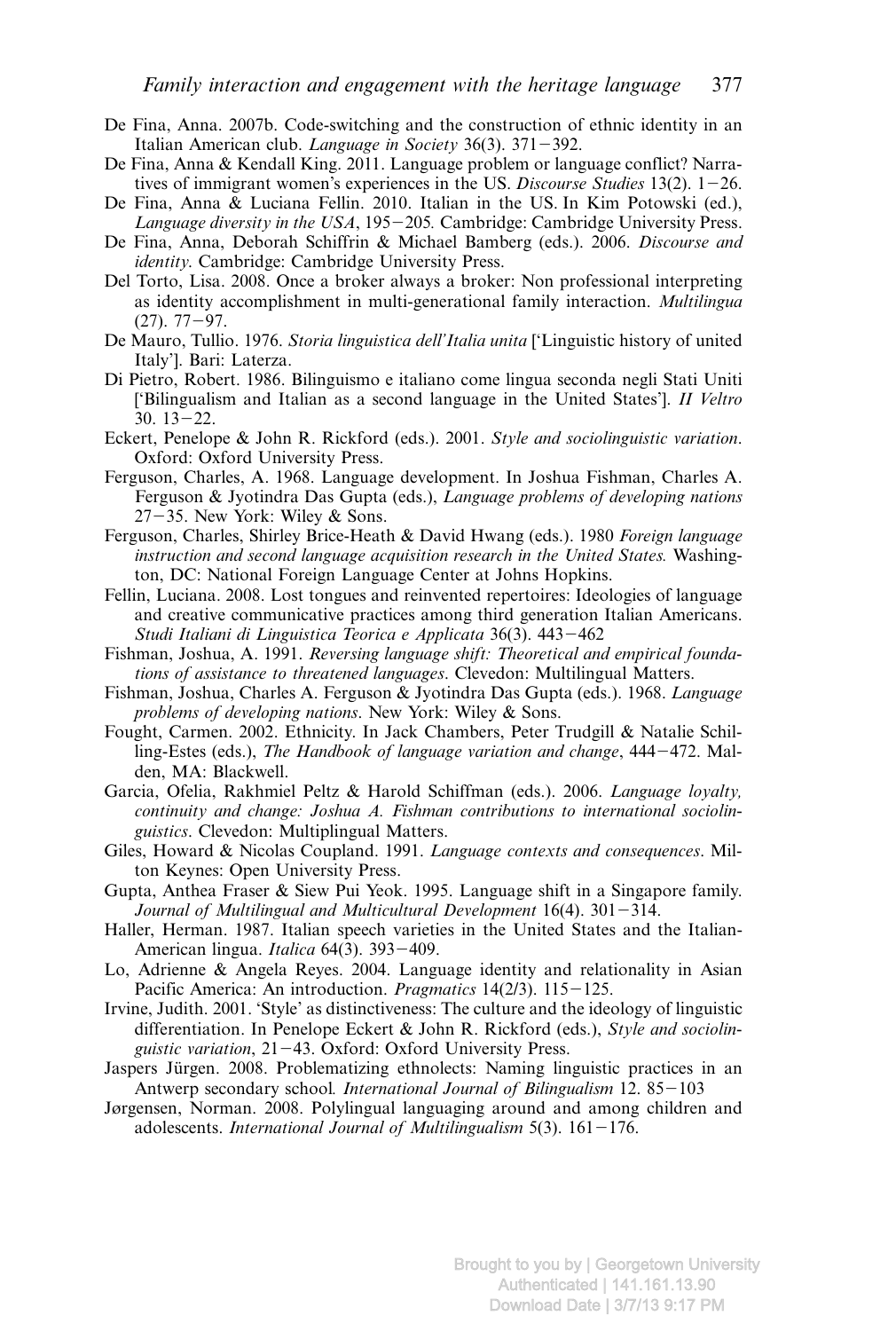- *Family interaction and engagement with the heritage language* <sup>377</sup> Family interaction and engagement with the heritage language 377<br>De Fina, Anna. 2007b. Code-switching and the construction of ethnic identity in an<br>Italian American club. *Language in Society* 36(3). 371–392.<br>De Fina Anna *Family interaction and engagement with the heritage las*<br>Fina, Anna. 2007b. Code-switching and the construction of ethn<br>Italian American club. *Language in Society* 36(3). 371–392.<br>Fina, Anna & Kendall King. 2011. Languag
- Family interaction and engagement with the heritage language 377<br>De Fina, Anna. 2007b. Code-switching and the construction of ethnic identity in an<br>Italian American club. *Language in Society* 36(3). 371–392.<br>De Fina, Ann Family interaction and engagement with the heritage language 377<br>Fina, Anna. 2007b. Code-switching and the construction of ethnic identity in an<br>Italian American club. *Language in Society* 36(3). 371–392.<br>Fina, Anna & Ken Family interaction and engagement with the heritage language 511<br>De Fina, Anna. 2007b. Code-switching and the construction of ethnic identity in an<br>Italian American club. *Language in Society* 36(3). 371–392.<br>De Fina, Ann Fina, Anna. 2007b. Code-switching and the construction of ethnic identity in an Italian American club. *Language in Society* 36(3). 371–392.<br>Fina, Anna & Kendall King. 2011. Language problem or language conflict? Narrative De Fina, Anna, 2007b. Code-switching and the construction of ethnic identity in an<br>Italian American club. *Language in Society* 36(3). 371–392.<br>De Fina, Anna & Kendall King. 2011. Language problem or language conflict? Nar *Italian American club. Language in Society 36(3). 3/1*-<br>
Fina, Anna & Kendall King. 2011. Language problem o<br>
tives of immigrant women's experiences in the US. *Dise*<br>
Fina, Anna & Luciana Fellin. 2010. Italian in the U<br>
- 
- 
- De Fina, Anna & Kendall King. 2011. Language problem or language conflict? Narratives of immigrant women's experiences in the US. Discourse Studies 13(2).  $1-26$ .<br>De Fina, Anna & Luciana Fellin. 2010. Italian in the US. I tives of immigrant women's experiences in the US. *Discourse Studies* 13(2). 1–26.<br>Fina, Anna & Luciana Fellin. 2010. Italian in the US. In Kim Potowski (ed.),<br>*Language diversity in the USA*, 195–205. Cambridge: Cambridge Fina, Anna & Lt<br>*Language diversity*<br>Fina, Anna, Debo<br>*identity*. Cambrid;<br>Torto, Lisa. 2008<br>as identity accom<br>(27). 77–97.<br>Mauro, Tullio. 197<br>Italy'] Rari: Late Language aiversity in the USA, 195–205. Cambridge: Cambridge University Press.<br>
De Fina, Anna, Deborah Schiffrin & Michael Bamberg (eds.). 2006. *Discourse and*<br> *identity*. Cambridge: Cambridge University Press.<br>
Del Tort Fina, Anna, Deboran Sch<br> *identity*. Cambridge: Caml<br>
Torto, Lisa. 2008. Once a<br>
as identity accomplishmer<br>
(27). 77–97.<br>
Mauro, Tullio. 1976. *Storia*<br>
Italy<sup>7</sup>]. Bari: Laterza.<br>
Pietro, Robert. 1986. Biling<br>
['Bilinguali *dentity.* Cambridge: Cambridge University Press.<br>
Del Torto, Lisa. 2008. Once a broker always a broker: Non professional interpreting<br>
as identity accomplishment in multi-generational family interaction. *Multilingua*<br>
(
- 
- Forto, Lisa. 2008. Once a broker always a broker: Non professional interpreting<br>as identity accomplishment in multi-generational family interaction. *Multilingua*<br>(27). 77–97.<br>Mauro, Tullio. 1976. *Storia linguistica dell'* as identity accord<br>
(27). 77–97.<br>
Mauro, Tullio. 19<br>
Italy']. Bari: Lat<br>
<sup>2</sup>ietro, Robert. 1<br>
['Bilingualism are<br>
are, Penelope &<br>
Oxford: Oxford (21). 11–91.<br>
De Mauro, Tullio. 1976. *Storia linguistica dell'Italia unita* ['Linguistic history of united<br>
Italy']. Bari: Laterza.<br>
Di Pietro, Robert. 1986. Bilinguismo e italiano come lingua seconda negli Stati Uniti<br>
[ Fraction Pietro, Robert. 1986. Bilinguismo e italiano come lingua seconda negli Stati Uniti<br>
['Bilingualism and Italian as a second language in the United States']. *II Veltro*<br>
30. 13–22.<br>
Eckert, Penelope & John R. Rickf
- 
- Tetro, Robert. 1986. Bilinguismo e italiano come lingua seconda negli Stati Uniti<br>
['Bilingualism and Italian as a second language in the United States']. *II Veltro*<br>
30. 13–22.<br>
ert, Penelope & John R. Rickford (eds.). 2 ['Bilingualism and Italian as a second language in the United States']. *II Veltro* 30. 13–22.<br>
Eckert, Penelope & John R. Rickford (eds.). 2001. *Style and sociolinguistic variation*.<br>
Oxford: Oxford University Press.<br>
F 30. 13–22.<br>
Eckert, Penelope & John R. Rickford (eds.). 2001. *Style and sociolinguistic variation*.<br>
Oxford: Oxford University Press.<br>
Ferguson, Charles, A. 1968. Language development. In Joshua Fishman, Charles A.<br>
Fergu *iert, Penelope & John K. Kickford (eds.). 2001. Style and sociolinguistic variation.*<br> *Oxford: Oxford University Press.*<br> *iguson, Charles, A. 1968. Language development. In Joshua Fishman, Charles A.*<br> *Ferguson & Jyoti*
- ton, DC: National Foreign Language Center at Johns Hopkins. Ferguson, Charles, A. 1968. Language development. In Joshua Fishman, Charles A.<br>Ferguson & Jyotindra Das Gupta (eds.), *Language problems of developing nations*<br> $27-35$ . New York: Wiley & Sons.<br>Ferguson, Charles, Shirley
- Ferguson & Jyotinara Das Gupta (eds.), *Language problems of developing nations*<br>27–35. New York: Wiley & Sons.<br>uson, Charles, Shirley Brice-Heath & David Hwang (eds.). 1980 *Foreign language<br>instruction and second languag Z*/–35. New York: Wiley & Sons.<br> *Studion, Charles, Shirley Brice-Heath & David Hwang (eds.). 1980 <i>Foreign*<br> *Instruction and second language acquisition research in the United States.*<br> *No. DC: National Foreign Languag* Ferguson, Charles, Shirley Brice-Heath & David Hwang (eds.). 1980 *Foreign language*<br> *instruction and second language acquisition research in the United States.* Washing-<br>
ton, DC: National Foreign Language Center at John *the threatend language acquisition research in the United States.* Washing<br>ton, DC: National Foreign Language Center at Johns Hopkins.<br>in, Luciana. 2008. Lost tongues and reinvented repertoires: Ideologies of languag<br>and Fellin, Luciana. 2008. Lost tongues and reinvented repertoires: Ideologies of language<br>and creative communicative practices among third generation Italian Americans.<br>*Studi Italiani di Linguistica Teorica e Applicata* 36(3 and creative communicative practices among third generation Italian Americans.<br> *Studi Italiani di Linguistica Teorica e Applicata* 36(3). 443–462<br>
Fishman, Joshua, A. 1991. *Reversing languages hift: Theoretical and empir*
- 
- 
- and creative communicative practices among third generation Italian Americans.<br>
Studi Italiani di Linguistica Teorica e Applicata 36(3). 443–462<br>
Fishman, Joshua, A. 1991. Reversing languages hift: Theoretical and empirica Stuat Italiani at *Linguistica Teorica e Applicata 36*(3). 443–462<br>man, Joshua, A. 1991. *Reversing language shift: Theoretical and empirical founda-<br>tions of assistance to threatened languages. Clevedon: Multilingual Matt* man, Josnua, A. 1991. *Re*<br>tions of assistance to threa<br>man, Joshua, Charles A. I<br>problems of developing nat<br>ght, Carmen. 2002. Ethni<br>ling-Estes (eds.), *The Han*<br>cia, MA: Blackwell.<br>continuity and change: Jo Triman, Joshua, Charles A. Ferguson & Jyotindra Das Gupta (eds.). 1968. *Language*<br>Fishman, Joshua, Charles A. Ferguson & Jyotindra Das Gupta (eds.). 1968. *Language*<br>problems of developing nations. New York: Wiley & Sons.
- *continuity and Change A. Ferguson & Jyoundra Das Gupta (eds.). 1968. Language*<br>*problems of developing nations.* New York: Wiley & Sons.<br>ght, Carmen. 2002. Ethnicity. In Jack Chambers, Peter Trudgill & Natalie Schil-<br>ling *guistics*. The *guistics* of *aeveloping nations*. New York: Wile ght, Carmen. 2002. Ethnicity. In Jack Chambe ling-Estes (eds.), *The Handbook of language valgen*, MA: Blackwell.<br>cia, Ofelia, Rakhmiel Peltz & Harold Schi Fought, Carmen. 2002. Ethnicity. In Jack Chambers, Peter Trudgill & Natale Schilling-Estes (eds.), *The Handbook of language variation and change*, 444–472. Malden, MA: Blackwell.<br>Garcia, Ofelia, Rakhmiel Peltz & Harold Sc den, MA: Blackwell.<br>
Garcia, Ofelia, Rakhmiel Peltz & Harold Schiffman (eds.). 2006. *Language loyalty,*<br> *continuity and change: Joshua A. Fishman contributions to international sociolinguistics*. Clevedon: Multiplingual Garcia, Ofelia, Rakhmiel Peltz & Harold Schiffman (eds.). 2006. *Language loyalty,*<br> *continuity and change: Joshua A. Fishman contributions to international sociolinguistics*. Clevedon: Multiplingual Matters.<br>
Giles, Howa Cia, Olena, Rakhmer Pettz & Harold Schifman (eds.). 2006. *Language to*<br> *Continuity and change: Joshua A. Fishman contributions to international socialistics.* Clevedon: Multiplingual Matters.<br> *S.*, Howard & Nicolas Coup
- France Continuity and change: Josma A. Fishman contributions to international sociolinguistics. Clevedon: Multiplingual Matters.<br>
Giles, Howard & Nicolas Coupland. 1991. *Language contexts and consequences*. Milton Keynes guistics. Cievedon: Multiplingual Matters.<br>
s, Howard & Nicolas Coupland. 1991. *Langue*<br>
ton Keynes: Open University Press.<br>
Mata, Anthea Fraser & Siew Pui Yeok. 1995. La<br> *Journal of Multilingual and Multicultural Deve*<br>
- 
- 
- Giles, Howard & Nicolas Coupland. 1991. *Language contexts and consequences*. Milton Keynes: Open University Press.<br>
Gupta, Anthea Fraser & Siew Pui Yeok. 1995. Language shift in a Singapore family.<br> *Journal of Multiling* ton Keynes: Open University Press.<br>
ta, Anthea Fraser & Siew Pui Yeok. 1995. Language shift in a Singa<br>
Journal of Multilingual and Multicultural Development 16(4). 301–314<br>
ler, Herman. 1987. Italian speech varieties in t
- Gupta, Anthea Fraser & Siew Pur Yeok. 1995. Language shift in a Singapore family.<br>
Journal of Multilingual and Multicultural Development 16(4). 301–314.<br>
Haller, Herman. 1987. Italian speech varieties in the United States Haller, Herman. 1987. Italian speech varieties in the United States and the Italian-<br>American lingua. *Italica* 64(3). 393–409.<br>Lo, Adrienne & Angela Reyes. 2004. Language identity and relationality in Asian<br>Pacific Americ American imgua. *Italica* 04(5). 395–409.<br>
Lo, Adrienne & Angela Reyes. 2004. Language identity and relationality in Asian<br>
Pacific America: An introduction. *Pragmatics* 14(2/3). 115–125.<br>
Irvine, Judith. 2001. 'Style' a Adrienne & Angela Reyes. 2004. Language identity and relationally in Asian<br>Pacific America: An introduction. *Pragmatics* 14(2/3). 115–125.<br>ne, Judith. 2001. 'Style' as distinctiveness: The culture and the ideology of ling Pacinc America: An introduction. *Pragmatics* 14(2/3). 113–125.<br>Irvine, Judith. 2001. 'Style' as distinctiveness: The culture and the ideology of linguistic differentiation. In Penelope Eckert & John R. Rickford (eds.), differentiation. In Penelope Eckert & John R. Rickford (eds.), *Style and sociolinguistic variation*, 21–43. Oxford: Oxford University Press.<br>Jaspers Jürgen. 2008. Problematizing ethnolects: Naming linguistic practices in
- *guistic variation*, 21–43. Oxford: Oxford University Press.<br>
pers Jürgen. 2008. Problematizing ethnolects: Naming linguistic practices i<br>
Antwerp secondary school. *International Journal of Bilingualism* 12. 85–103
- 

Brought to you by | Georgetown University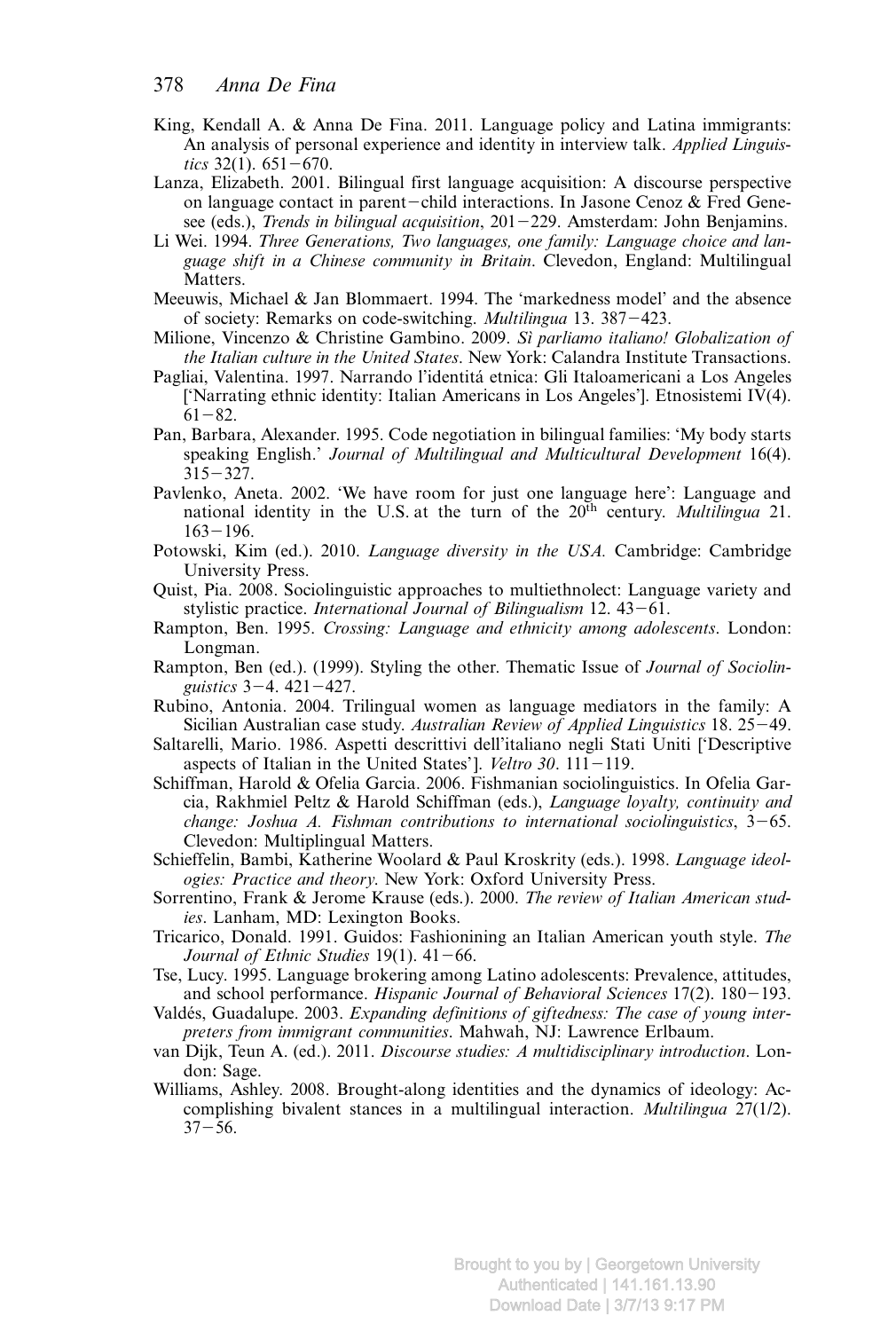- <sup>378</sup> *Anna De Fina* 378 *Anna De Fina*<br>King, Kendall A. & Anna De Fina. 2011. Language policy and Latina immigrants:<br>An analysis of personal experience and identity in interview talk. *Applied Linguis-<br>tics* 32(1). 651–670. Anna De Fina<br>
g, Kendall A. & Anna De Fina. 2011. Language policy and Latina immigrants:<br>
An analysis of personal experience and identity in interview talk. *Applied Linguis-*<br> *tics* 32(1). 651–670.<br>
za Elizabeth 2001. Bi *Anna De Fina*<br>g, Kendall A. & Anna D<br>An analysis of personal e:<br>*tics* 32(1). 651–670.<br>za, Elizabeth. 2001. Bilin<br>on language contact in pa 378 Anna De Fina<br>
King, Kendall A. & Anna De Fina. 2011. Language policy and Latina immigrants:<br>
An analysis of personal experience and identity in interview talk. *Applied Linguis-<br>
tics* 32(1). 651–670.<br>
Lanza, Elizabet Anna De Fina<br>
g, Kendall A. & Anna De Fina. 2011. Language policy and Latina immigrants:<br>
An analysis of personal experience and identity in interview talk. *Applied Linguis-<br>
tics* 32(1). 651–670.<br>
za, Elizabeth. 2001. B g, Kendall A. & Anna De Fina. 2011. Language policy and Latina immigrants:<br>
An analysis of personal experience and identity in interview talk. *Applied Linguis-<br>
tics* 32(1). 651–670.<br>
za, Elizabeth. 2001. Bilingual first
- An analysis of personal experience and identity in interview talk. *Applied Linguistics* 32(1). 651–670.<br>Lanza, Elizabeth. 2001. Bilingual first language acquisition: A discourse perspective<br>on language contact in parent—c *guardies* 32(1). 651–670.<br> *guardies* 32(1). 651–670.<br>
za, Elizabeth. 2001. Bilingual first language acquisition: A discourse perspective<br>
on language contact in parent–child interactions. In Jasone Cenoz & Fred Gene-<br>
se
- Matters.<br>Meeuwis, Michael & Jan Blommaert. 1994. The 'markedness model' and the absence Lanza, Elizabeth. 2001. Bilingual first language acquisition: A discourse perspective<br>on language contact in parent-child interactions. In Jasone Cenoz & Fred Gene-<br>see (eds.), *Trends in bilingual acquisition*, 201-229. see (eds.), *Trends in bilingual acquisition*, 201–229. Amsterdam: John Benjamins.<br>Li Wei. 1994. *Three Generations*, *Two languages, one family: Language choice and language shift in a Chinese community in Britain. Cleved* see (eds.), *Irends in bilingual acquisition*, 201–229. Amsterdam: John Benjamins.<br>Li Wei. 1994. *Three Generations*, *Two languages, one family: Language choice and language shift in a Chinese community in Britain. Cleved* **Net. 1994. Three Generations, Two languages, one family: Language choice and language shift in a Chinese community in Britain. Clevedon, England: Multilingual Matters.<br>
Hauters. Nichael & Jan Blommaert. 1994. The 'markedn**
- 
- 
- guage shift in a Chinese community in Britain. Clevedon, England: Multilingual<br>Matters.<br>Meeuwis, Michael & Jan Blommaert. 1994. The 'markedness model' and the absence<br>of society: Remarks on code-switching. *Multilingua* 1 Matters.<br>
uwis, Michael & Jan Blommaert. 1994. The 'markedness model' and the absence<br>
of society: Remarks on code-switching. *Multilingua* 13. 387–423.<br>
one, Vincenzo & Christine Gambino. 2009. *Sì parliamo italiano! Glob*  $61 - 82.$ of society: Remarks on code-switching. *Multilingua* 13.  $38/-423$ .<br>
Milione, Vincenzo & Christine Gambino. 2009. *Si parliamo italiano! Globalization of*<br> *the Italian culture in the United States*. New York: Calandra Ins one, Vincenzo & Christine Gambino. 2009. *Si parliamo italiano! Globalization of*<br>*the Italian culture in the United States*. New York: Calandra Institute Transactions.<br>['Narrating ethnic identity: Italian Americans in Los
- $315-327$ .<br>Paylenko, Aneta. 2002. 'We have room for just one language here': Language and Pagliai, Valentina. 1997. Narrando l'identità etnica: Gli Italoamericani a Los Angeles<br>
['Narrating ethnic identity: Italian Americans in Los Angeles']. Etnosistemi IV(4).<br>
61–82.<br>
Pan, Barbara, Alexander. 1995. Code nego
- ['Narrating ethnic identity: Italian Americans in Los Angeles']. Ethosistemi IV(4).<br>61–82.<br>Barbara, Alexander. 1995. Code negotiation in bilingual families: 'My body starts<br>speaking English.' *Journal of Multilingual and M*  $163 - 196$ . Pan, Barbara, Alexander. 1995. Code negotiation in bilingual families: 'My body starts<br>speaking English.' Journal of Multilingual and Multicultural Development 16(4).<br>315–327.<br>Pavlenko, Aneta. 2002. 'We have room for just speaking English.' Join<br>315–327.<br>lenko, Aneta. 2002. 'V<br>national identity in t<br>163–196.<br>Wiski, Kim (ed.). 201<br>University Press.<br>University Press.<br>st, Pia. 2008. Socioling Pavlenko, Aneta. 2002. 'We have room for just one language here': Language and<br>national identity in the U.S. at the turn of the 20<sup>th</sup> century. *Multilingua* 21.<br>163–196.<br>Potowski, Kim (ed.). 2010. *Language diversity in* lenko, Aneta. 2002. 'We have room for just one language here': Lam<br>national identity in the U.S. at the turn of the 20<sup>th</sup> century. *Mult*<br>163–196.<br>wski, Kim (ed.). 2010. *Language diversity in the USA*. Cambridge:<br>Univers
- national identity in the U.S. at the turn of the 20<sup>th</sup> century. *Multilingua* 21.<br>
163–196.<br>
Potowski, Kim (ed.). 2010. *Language diversity in the USA*. Cambridge: Cambridge<br>
University Press.<br>
Quist, Pia. 2008. Socioling
- Potowski, Kim (ed.). 2010. *Language diversity in the USA*. Cambridge: Cambridge University Press.<br>Quist, Pia. 2008. Sociolinguistic approaches to multiethnolect: Language variety and<br>stylistic practice. *International Jou* University Press.<br> *gt*, Pia. 2008. Sociolinguistic<br> *gylistic practice. Internation*<br> *ppton, Ben. 1995. Crossing:*<br>
Longman.<br> *gylistics* 3–4. 421–427.<br> *gylistics* 3–4. 421–427.<br> *giores* Antonia. 2004. Trilingino, Anto
- Longman. Quist, Pia. 2008. Sociolinguistic approaches to multiethnolect: Language variety and<br>stylistic practice. *International Journal of Bilingualism* 12. 43–61.<br>Rampton, Ben. 1995. *Crossing: Language and ethnicity among adoles* stylistic practice. *International Journal of Bilingualism* 12. 43–61.<br>
apton, Ben. 1995. *Crossing: Language and ethnicity among adolescents*. London:<br>
Longman.<br>
apton, Ben (ed.). (1999). Styling the other. Thematic Issue
- 
- 
- Rampton, Ben. 1995. *Crossing: Language and ethnicity among adolescents*. London:<br>
Longman.<br>
Rampton, Ben (ed.). (1999). Styling the other. Thematic Issue of *Journal of Sociolinguistics* 3-4. 421-427.<br>
Rubino, Antonia. 20 Rampton, Ben (ed.). (1999). Styling the other. Thematic Issue of *Journal of Sociolinguistics* 3-4. 421-427.<br>
Rubino, Antonia. 2004. Trilingual women as language mediators in the family: A Sicilian Australian case study.
- Schiffman, Harold & Ofelia Garcia. 2006. Fishmanian sociolinguistics. In Ofelia Garcia, Rakhmiel Peltz & Harold Schiffman (eds.), *Language loyalty, continuity and change: Joshua A. Fishman contributions to international s* guistics 3-4. 421-42/.<br>
ino, Antonia. 2004. Trilingual women as language mediators in the family: A<br>
Sicilian Australian case study. *Australian Review of Applied Linguistics* 18. 25-49.<br>
arelli, Mario. 1986. Aspetti descr ino, Antonia. 2004. Irlingual women as language mediators in the family: A<br>Sicilian Australian case study. *Australian Review of Applied Linguistics* 18. 25–49.<br>arelli, Mario. 1986. Aspetti descrittivi dell'italiano negli Sicilian Australian case study. Australia<br>arelli, Mario. 1986. Aspetti descrittivi<br>aspects of Italian in the United States'<br>ffman, Harold & Ofelia Garcia. 2006. I<br>cia, Rakhmiel Peltz & Harold Schiffm<br>*change: Joshua A. Fis* Saltarelli, Mario. 1986. Aspetti descrittivi dell'italiano negli Stati Uniti ['Descriptive aspects of Italian in the United States']. *Veltro 30*. 111–119. Schiffman, Harold & Ofelia Garcia. 2006. Fishmanian sociolinguisti aspects of Italian in the United States']. *Veltro 30.* 111–119.<br>*ffman, Harold & Ofelia Garcia. 2006. Fishmanian sociolinguistics. Ir*<br>cia, Rakhmiel Peltz & Harold Schiffman (eds.), *Language loyalty, c*<br>*change: Joshua A* Schiffman, Harold & Ofelia Garcia. 2006. Fishmanian sociolinguistics. In Ofelia Garcia, Rakhmiel Peltz & Harold Schiffman (eds.), *Language loyalty, continuity and change: Joshua A. Fishman contributions to international s* cia, Rakhmiel Peltz & Harold Schiffman *change: Joshua A. Fishman contributions*<br>Clevedon: Multiplingual Matters.<br>effelin, Bambi, Katherine Woolard & Paul<br>*ogies: Practice and theory*. New York: Oxf<br>rentino, Frank & Jerome
- change: Joshua A. Fishman contributions to international sociolinguistics, 3–65.<br>Clevedon: Multiplingual Matters.<br>Schieffelin, Bambi, Katherine Woolard & Paul Kroskrity (eds.). 1998. *Language ideologies: Practice and theo Clevedon: Multiplingual Matters.*<br> *effelin, Bambi, Katherine Woolard & Paul K<br>
<i>ogies: Practice and theory.* New York: Oxfor-<br>
rentino, Frank & Jerome Krause (eds.). 2000.<br> *ies.* Lanham, MD: Lexington Books.<br>
arico, Don
- Schieffelin, Bambi, Katherine Woolard & Paul Kroskrity (eds.). 1998. *Language ideologies: Practice and theory*. New York: Oxford University Press.<br>Sorrentino, Frank & Jerome Krause (eds.). 2000. *The review of Italian Am* ogies: Practice and theory. New York: Oxford University Press.<br>
rentino, Frank & Jerome Krause (eds.). 2000. The review of Italian American stud-<br>
ies. Lanham, MD: Lexington Books.<br>
arico, Donald. 1991. Guidos: Fashioninin
- 
- 
- Sorrentino, Frank & Jerome Krause (eds.). 2000. *The review of Italian American stud-*<br> *ies.* Lanham, MD: Lexington Books.<br>
Tricarico, Donald. 1991. Guidos: Fashionining an Italian American youth style. *The*<br> *Journal of ies.* Lanham, MD: Lexington Books.<br>arico, Donald. 1991. Guidos: Fashionining an Italian American youth style<br>*Journal of Ethnic Studies* 19(1). 41–66.<br>Lucy. 1995. Language brokering among Latino adolescents: Prevalence, a Journal of Ethn.<br>Lucy. 1995. Lan<br>and school perfects.<br>dies. Guadalupe.<br>preters from imr<br>Dijk, Teun A. ((don: Sage.<br>iams, Ashley. 2)<br>iams, Ashley. 2)
- Tricarico, Donald. 1991. Guidos: Fashionining an Italian American youth style. *The*<br> *Journal of Ethnic Studies* 19(1). 41–66.<br>
Tse, Lucy. 1995. Language brokering among Latino adolescents: Prevalence, attitudes,<br>
and sch and school performance. *Hispanic Journal of Behavioral Sciences* 17(2). 180–193.<br>Valdés, Guadalupe. 2003. *Expanding definitions of giftedness: The case of young inter-*<br>*preters from immigrant communities*. Mahwah, NJ: L
- and school performance. *Hispanic Journal of Behavioral Sciences* 17(2). 180–193.<br>lés, Guadalupe. 2003. *Expanding definitions of giftedness: The case of young inter-*<br>*preters from immigrant communities.* Mahwah, NJ: Lawr  $37 - 56$ .